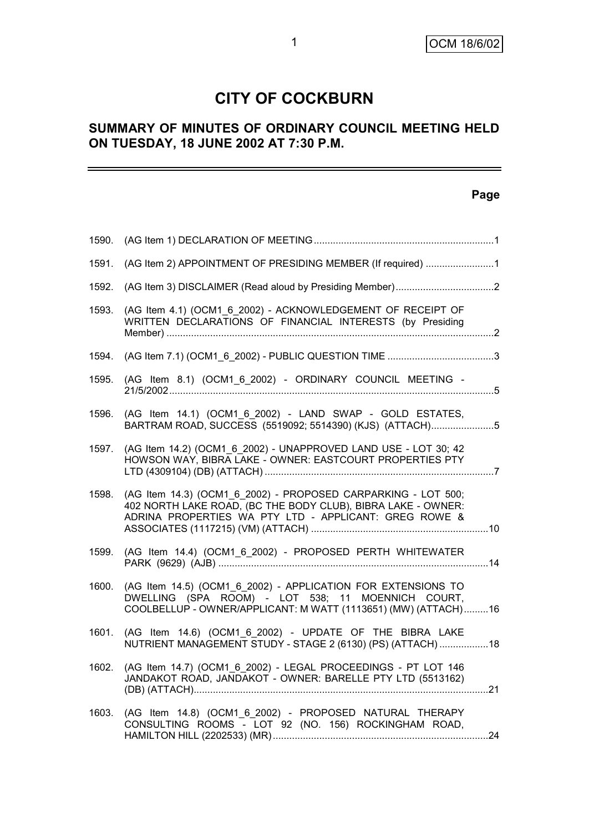# **CITY OF COCKBURN**

# **SUMMARY OF MINUTES OF ORDINARY COUNCIL MEETING HELD ON TUESDAY, 18 JUNE 2002 AT 7:30 P.M.**

# **Page**

| 1590. |                                                                                                                                                                                        |  |
|-------|----------------------------------------------------------------------------------------------------------------------------------------------------------------------------------------|--|
| 1591. | (AG Item 2) APPOINTMENT OF PRESIDING MEMBER (If required) 1                                                                                                                            |  |
| 1592. |                                                                                                                                                                                        |  |
| 1593. | (AG Item 4.1) (OCM1 6 2002) - ACKNOWLEDGEMENT OF RECEIPT OF<br>WRITTEN DECLARATIONS OF FINANCIAL INTERESTS (by Presiding                                                               |  |
| 1594. |                                                                                                                                                                                        |  |
| 1595. | (AG Item 8.1) (OCM1_6_2002) - ORDINARY COUNCIL MEETING -                                                                                                                               |  |
| 1596. | (AG Item 14.1) (OCM1 6 2002) - LAND SWAP - GOLD ESTATES,<br>BARTRAM ROAD, SUCCESS (5519092; 5514390) (KJS) (ATTACH)5                                                                   |  |
| 1597. | (AG Item 14.2) (OCM1 6 2002) - UNAPPROVED LAND USE - LOT 30; 42<br>HOWSON WAY, BIBRA LAKE - OWNER: EASTCOURT PROPERTIES PTY                                                            |  |
| 1598. | (AG Item 14.3) (OCM1 6 2002) - PROPOSED CARPARKING - LOT 500;<br>402 NORTH LAKE ROAD, (BC THE BODY CLUB), BIBRA LAKE - OWNER:<br>ADRINA PROPERTIES WA PTY LTD - APPLICANT: GREG ROWE & |  |
| 1599. | (AG Item 14.4) (OCM1_6_2002) - PROPOSED PERTH WHITEWATER                                                                                                                               |  |
| 1600. | (AG Item 14.5) (OCM1_6_2002) - APPLICATION FOR EXTENSIONS TO<br>DWELLING (SPA ROOM) - LOT 538: 11 MOENNICH COURT,<br>COOLBELLUP - OWNER/APPLICANT: M WATT (1113651) (MW) (ATTACH)16    |  |
| 1601. | (AG Item 14.6) (OCM1 6 2002) - UPDATE OF THE BIBRA LAKE<br>NUTRIENT MANAGEMENT STUDY - STAGE 2 (6130) (PS) (ATTACH) 18                                                                 |  |
| 1602. | (AG Item 14.7) (OCM1 6 2002) - LEGAL PROCEEDINGS - PT LOT 146<br>JANDAKOT ROAD, JANDAKOT - OWNER: BARELLE PTY LTD (5513162)                                                            |  |
| 1603. | (AG Item 14.8) (OCM1_6_2002) - PROPOSED NATURAL THERAPY<br>CONSULTING ROOMS - LOT 92 (NO. 156) ROCKINGHAM ROAD,                                                                        |  |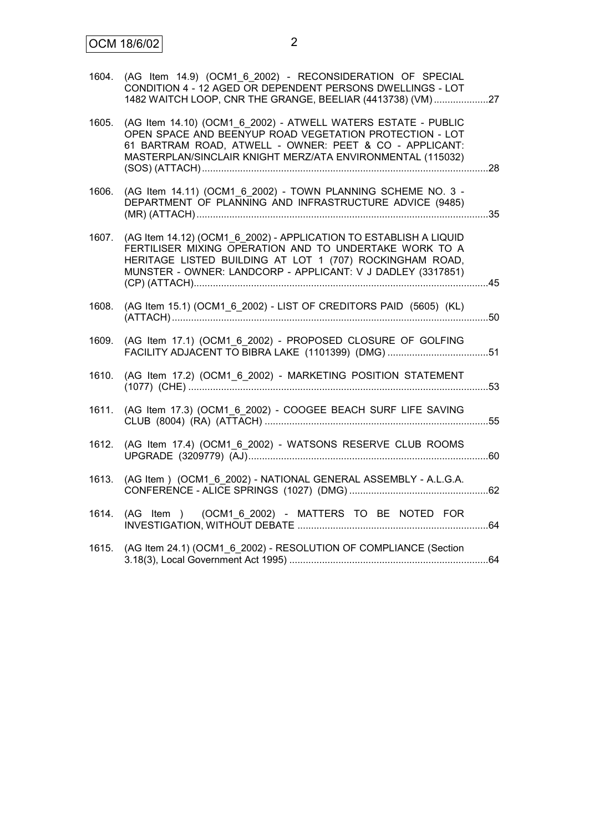| (AG Item 14.9) (OCM1 6 2002) - RECONSIDERATION OF SPECIAL<br>CONDITION 4 - 12 AGED OR DEPENDENT PERSONS DWELLINGS - LOT<br>1482 WAITCH LOOP, CNR THE GRANGE, BEELIAR (4413738) (VM)27                                                                  | 1604. |
|--------------------------------------------------------------------------------------------------------------------------------------------------------------------------------------------------------------------------------------------------------|-------|
| (AG Item 14.10) (OCM1 6 2002) - ATWELL WATERS ESTATE - PUBLIC<br>OPEN SPACE AND BEENYUP ROAD VEGETATION PROTECTION - LOT<br>61 BARTRAM ROAD, ATWELL - OWNER: PEET & CO - APPLICANT:<br>MASTERPLAN/SINCLAIR KNIGHT MERZ/ATA ENVIRONMENTAL (115032)      | 1605. |
| (AG Item 14.11) (OCM1 6 2002) - TOWN PLANNING SCHEME NO. 3 -<br>DEPARTMENT OF PLANNING AND INFRASTRUCTURE ADVICE (9485)                                                                                                                                | 1606. |
| (AG Item 14.12) (OCM1_6_2002) - APPLICATION TO ESTABLISH A LIQUID<br>FERTILISER MIXING OPERATION AND TO UNDERTAKE WORK TO A<br>HERITAGE LISTED BUILDING AT LOT 1 (707) ROCKINGHAM ROAD,<br>MUNSTER - OWNER: LANDCORP - APPLICANT: V J DADLEY (3317851) | 1607. |
| (AG Item 15.1) (OCM1_6_2002) - LIST OF CREDITORS PAID (5605) (KL)                                                                                                                                                                                      | 1608. |
| (AG Item 17.1) (OCM1 6 2002) - PROPOSED CLOSURE OF GOLFING<br>FACILITY ADJACENT TO BIBRA LAKE (1101399) (DMG) 51                                                                                                                                       | 1609. |
| (AG Item 17.2) (OCM1_6_2002) - MARKETING POSITION STATEMENT                                                                                                                                                                                            | 1610. |
| (AG Item 17.3) (OCM1_6_2002) - COOGEE BEACH SURF LIFE SAVING                                                                                                                                                                                           | 1611. |
| (AG Item 17.4) (OCM1_6_2002) - WATSONS RESERVE CLUB ROOMS                                                                                                                                                                                              | 1612. |
| (AG Item) (OCM1_6_2002) - NATIONAL GENERAL ASSEMBLY - A.L.G.A.                                                                                                                                                                                         | 1613. |
| (AG Item ) (OCM1_6_2002) - MATTERS TO BE NOTED FOR                                                                                                                                                                                                     | 1614. |
| (AG Item 24.1) (OCM1 6 2002) - RESOLUTION OF COMPLIANCE (Section                                                                                                                                                                                       | 1615. |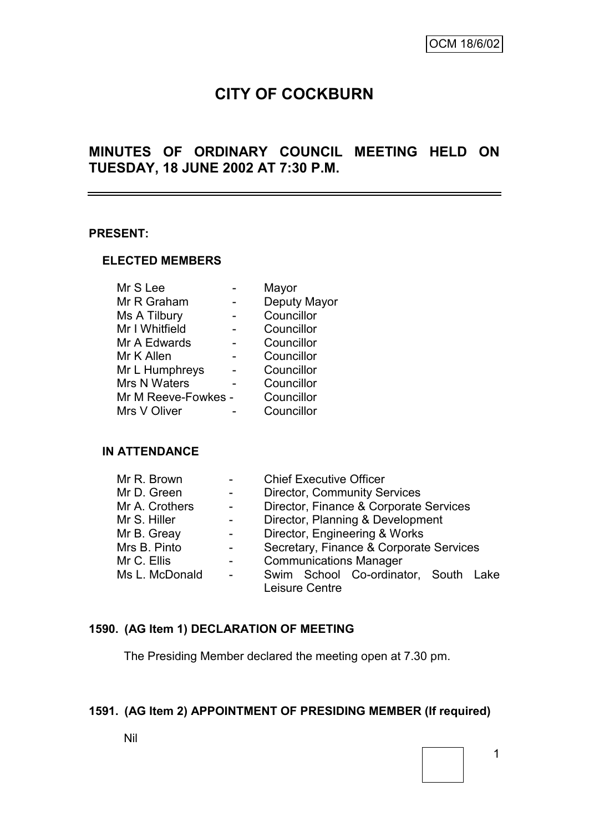# **CITY OF COCKBURN**

# **MINUTES OF ORDINARY COUNCIL MEETING HELD ON TUESDAY, 18 JUNE 2002 AT 7:30 P.M.**

#### **PRESENT:**

#### **ELECTED MEMBERS**

| Mr S Lee            | Mayor        |
|---------------------|--------------|
| Mr R Graham         | Deputy Mayor |
| Ms A Tilbury        | Councillor   |
| Mr I Whitfield      | Councillor   |
| Mr A Edwards        | Councillor   |
| Mr K Allen          | Councillor   |
| Mr L Humphreys      | Councillor   |
| Mrs N Waters        | Councillor   |
| Mr M Reeve-Fowkes - | Councillor   |
| Mrs V Oliver        | Councillor   |
|                     |              |

#### **IN ATTENDANCE**

| Mr R. Brown    |                | <b>Chief Executive Officer</b>          |  |  |
|----------------|----------------|-----------------------------------------|--|--|
| Mr D. Green    |                | <b>Director, Community Services</b>     |  |  |
| Mr A. Crothers | $\overline{a}$ | Director, Finance & Corporate Services  |  |  |
| Mr S. Hiller   | $\blacksquare$ | Director, Planning & Development        |  |  |
| Mr B. Greay    |                | Director, Engineering & Works           |  |  |
| Mrs B. Pinto   |                | Secretary, Finance & Corporate Services |  |  |
| Mr C. Ellis    |                | <b>Communications Manager</b>           |  |  |
| Ms L. McDonald | $\blacksquare$ | Swim School Co-ordinator, South Lake    |  |  |
|                |                | Leisure Centre                          |  |  |

# **1590. (AG Item 1) DECLARATION OF MEETING**

The Presiding Member declared the meeting open at 7.30 pm.

### **1591. (AG Item 2) APPOINTMENT OF PRESIDING MEMBER (If required)**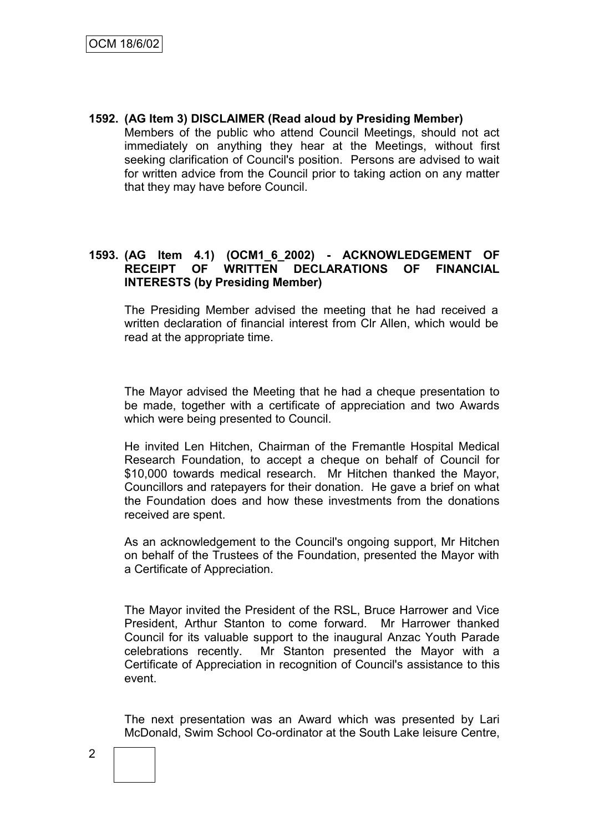**1592. (AG Item 3) DISCLAIMER (Read aloud by Presiding Member)** Members of the public who attend Council Meetings, should not act immediately on anything they hear at the Meetings, without first seeking clarification of Council's position. Persons are advised to wait for written advice from the Council prior to taking action on any matter that they may have before Council.

### **1593. (AG Item 4.1) (OCM1\_6\_2002) - ACKNOWLEDGEMENT OF RECEIPT OF WRITTEN DECLARATIONS OF FINANCIAL INTERESTS (by Presiding Member)**

The Presiding Member advised the meeting that he had received a written declaration of financial interest from Clr Allen, which would be read at the appropriate time.

The Mayor advised the Meeting that he had a cheque presentation to be made, together with a certificate of appreciation and two Awards which were being presented to Council.

He invited Len Hitchen, Chairman of the Fremantle Hospital Medical Research Foundation, to accept a cheque on behalf of Council for \$10,000 towards medical research. Mr Hitchen thanked the Mayor, Councillors and ratepayers for their donation. He gave a brief on what the Foundation does and how these investments from the donations received are spent.

As an acknowledgement to the Council's ongoing support, Mr Hitchen on behalf of the Trustees of the Foundation, presented the Mayor with a Certificate of Appreciation.

The Mayor invited the President of the RSL, Bruce Harrower and Vice President, Arthur Stanton to come forward. Mr Harrower thanked Council for its valuable support to the inaugural Anzac Youth Parade celebrations recently. Mr Stanton presented the Mayor with a Certificate of Appreciation in recognition of Council's assistance to this event.

The next presentation was an Award which was presented by Lari McDonald, Swim School Co-ordinator at the South Lake leisure Centre,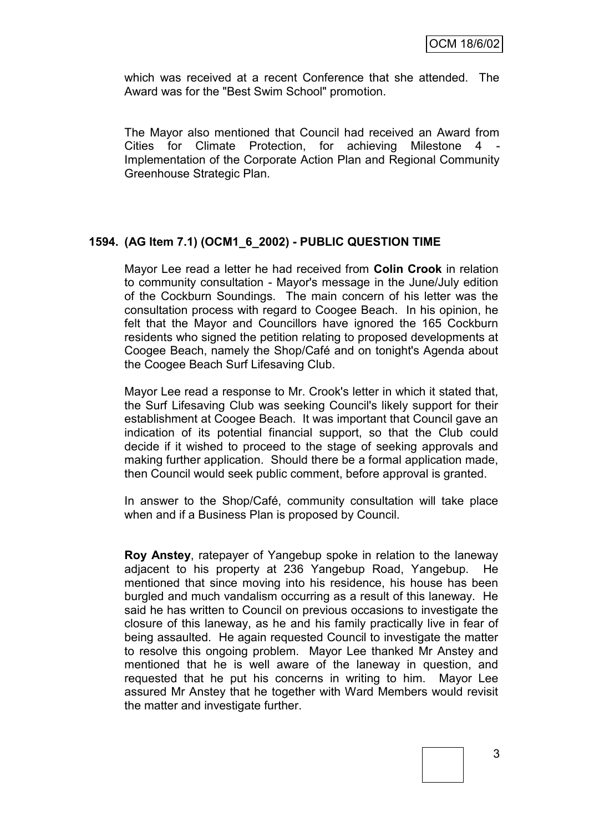which was received at a recent Conference that she attended. The Award was for the "Best Swim School" promotion.

The Mayor also mentioned that Council had received an Award from Cities for Climate Protection, for achieving Milestone 4 Implementation of the Corporate Action Plan and Regional Community Greenhouse Strategic Plan.

#### **1594. (AG Item 7.1) (OCM1\_6\_2002) - PUBLIC QUESTION TIME**

Mayor Lee read a letter he had received from **Colin Crook** in relation to community consultation - Mayor's message in the June/July edition of the Cockburn Soundings. The main concern of his letter was the consultation process with regard to Coogee Beach. In his opinion, he felt that the Mayor and Councillors have ignored the 165 Cockburn residents who signed the petition relating to proposed developments at Coogee Beach, namely the Shop/Café and on tonight's Agenda about the Coogee Beach Surf Lifesaving Club.

Mayor Lee read a response to Mr. Crook's letter in which it stated that, the Surf Lifesaving Club was seeking Council's likely support for their establishment at Coogee Beach. It was important that Council gave an indication of its potential financial support, so that the Club could decide if it wished to proceed to the stage of seeking approvals and making further application. Should there be a formal application made, then Council would seek public comment, before approval is granted.

In answer to the Shop/Café, community consultation will take place when and if a Business Plan is proposed by Council.

**Roy Anstey**, ratepayer of Yangebup spoke in relation to the laneway adjacent to his property at 236 Yangebup Road, Yangebup. He mentioned that since moving into his residence, his house has been burgled and much vandalism occurring as a result of this laneway. He said he has written to Council on previous occasions to investigate the closure of this laneway, as he and his family practically live in fear of being assaulted. He again requested Council to investigate the matter to resolve this ongoing problem. Mayor Lee thanked Mr Anstey and mentioned that he is well aware of the laneway in question, and requested that he put his concerns in writing to him. Mayor Lee assured Mr Anstey that he together with Ward Members would revisit the matter and investigate further.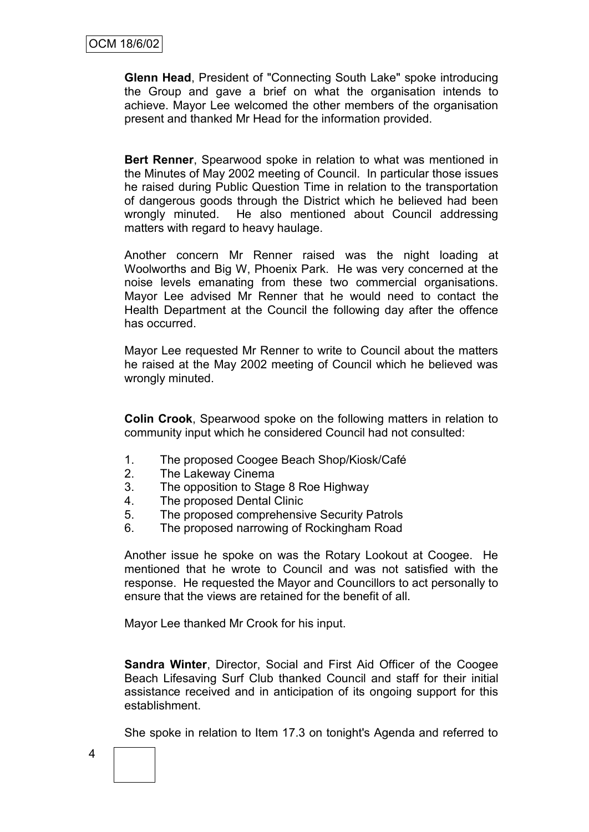**Glenn Head**, President of "Connecting South Lake" spoke introducing the Group and gave a brief on what the organisation intends to achieve. Mayor Lee welcomed the other members of the organisation present and thanked Mr Head for the information provided.

**Bert Renner**, Spearwood spoke in relation to what was mentioned in the Minutes of May 2002 meeting of Council. In particular those issues he raised during Public Question Time in relation to the transportation of dangerous goods through the District which he believed had been wrongly minuted. He also mentioned about Council addressing matters with regard to heavy haulage.

Another concern Mr Renner raised was the night loading at Woolworths and Big W, Phoenix Park. He was very concerned at the noise levels emanating from these two commercial organisations. Mayor Lee advised Mr Renner that he would need to contact the Health Department at the Council the following day after the offence has occurred.

Mayor Lee requested Mr Renner to write to Council about the matters he raised at the May 2002 meeting of Council which he believed was wrongly minuted.

**Colin Crook**, Spearwood spoke on the following matters in relation to community input which he considered Council had not consulted:

- 1. The proposed Coogee Beach Shop/Kiosk/Café
- 2. The Lakeway Cinema
- 3. The opposition to Stage 8 Roe Highway
- 4. The proposed Dental Clinic
- 5. The proposed comprehensive Security Patrols
- 6. The proposed narrowing of Rockingham Road

Another issue he spoke on was the Rotary Lookout at Coogee. He mentioned that he wrote to Council and was not satisfied with the response. He requested the Mayor and Councillors to act personally to ensure that the views are retained for the benefit of all.

Mayor Lee thanked Mr Crook for his input.

**Sandra Winter**, Director, Social and First Aid Officer of the Coogee Beach Lifesaving Surf Club thanked Council and staff for their initial assistance received and in anticipation of its ongoing support for this establishment.

She spoke in relation to Item 17.3 on tonight's Agenda and referred to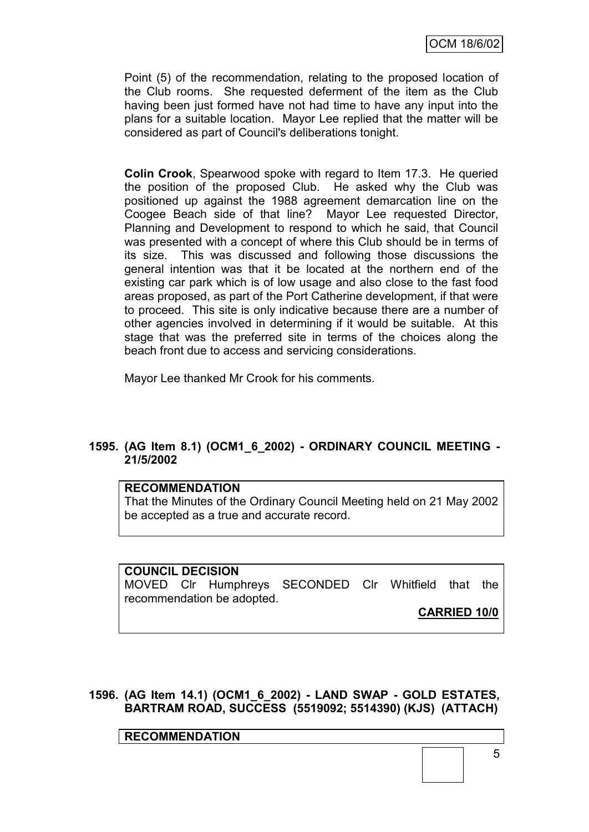Point (5) of the recommendation, relating to the proposed location of the Club rooms. She requested deferment of the item as the Club having been just formed have not had time to have any input into the plans for a suitable location. Mayor Lee replied that the matter will be considered as part of Council's deliberations tonight.

**Colin Crook**, Spearwood spoke with regard to Item 17.3. He queried the position of the proposed Club. He asked why the Club was positioned up against the 1988 agreement demarcation line on the Coogee Beach side of that line? Mayor Lee requested Director, Planning and Development to respond to which he said, that Council was presented with a concept of where this Club should be in terms of its size. This was discussed and following those discussions the general intention was that it be located at the northern end of the existing car park which is of low usage and also close to the fast food areas proposed, as part of the Port Catherine development, if that were to proceed. This site is only indicative because there are a number of other agencies involved in determining if it would be suitable. At this stage that was the preferred site in terms of the choices along the beach front due to access and servicing considerations.

Mayor Lee thanked Mr Crook for his comments.

### **1595. (AG Item 8.1) (OCM1\_6\_2002) - ORDINARY COUNCIL MEETING - 21/5/2002**

#### **RECOMMENDATION**

That the Minutes of the Ordinary Council Meeting held on 21 May 2002 be accepted as a true and accurate record.

**COUNCIL DECISION** MOVED Clr Humphreys SECONDED Clr Whitfield that the recommendation be adopted.

**CARRIED 10/0**

**1596. (AG Item 14.1) (OCM1\_6\_2002) - LAND SWAP - GOLD ESTATES, BARTRAM ROAD, SUCCESS (5519092; 5514390) (KJS) (ATTACH)**

**RECOMMENDATION**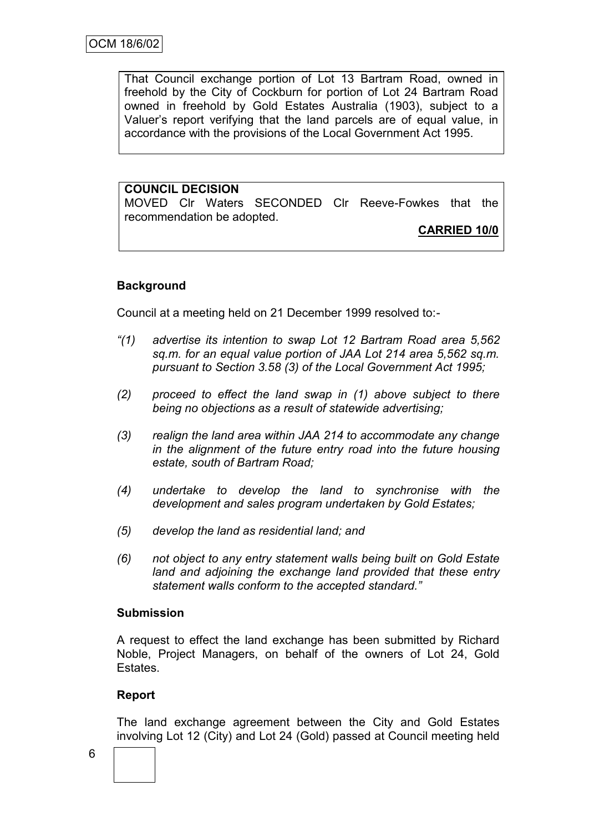That Council exchange portion of Lot 13 Bartram Road, owned in freehold by the City of Cockburn for portion of Lot 24 Bartram Road owned in freehold by Gold Estates Australia (1903), subject to a Valuer"s report verifying that the land parcels are of equal value, in accordance with the provisions of the Local Government Act 1995.

### **COUNCIL DECISION**

MOVED Clr Waters SECONDED Clr Reeve-Fowkes that the recommendation be adopted.

#### **CARRIED 10/0**

#### **Background**

Council at a meeting held on 21 December 1999 resolved to:-

- *"(1) advertise its intention to swap Lot 12 Bartram Road area 5,562 sq.m. for an equal value portion of JAA Lot 214 area 5,562 sq.m. pursuant to Section 3.58 (3) of the Local Government Act 1995;*
- *(2) proceed to effect the land swap in (1) above subject to there being no objections as a result of statewide advertising;*
- *(3) realign the land area within JAA 214 to accommodate any change in the alignment of the future entry road into the future housing estate, south of Bartram Road;*
- *(4) undertake to develop the land to synchronise with the development and sales program undertaken by Gold Estates;*
- *(5) develop the land as residential land; and*
- *(6) not object to any entry statement walls being built on Gold Estate land and adjoining the exchange land provided that these entry statement walls conform to the accepted standard."*

#### **Submission**

A request to effect the land exchange has been submitted by Richard Noble, Project Managers, on behalf of the owners of Lot 24, Gold Estates.

#### **Report**

The land exchange agreement between the City and Gold Estates involving Lot 12 (City) and Lot 24 (Gold) passed at Council meeting held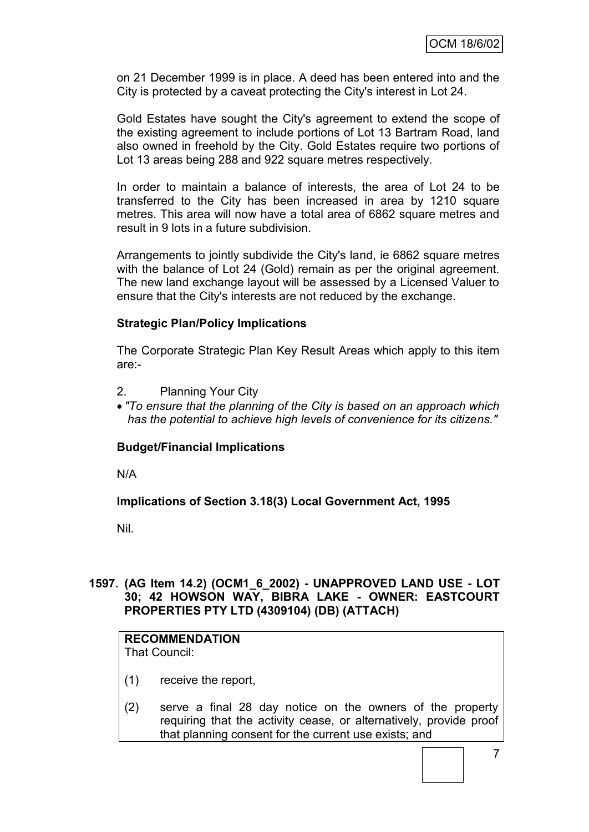on 21 December 1999 is in place. A deed has been entered into and the City is protected by a caveat protecting the City's interest in Lot 24.

Gold Estates have sought the City's agreement to extend the scope of the existing agreement to include portions of Lot 13 Bartram Road, land also owned in freehold by the City. Gold Estates require two portions of Lot 13 areas being 288 and 922 square metres respectively.

In order to maintain a balance of interests, the area of Lot 24 to be transferred to the City has been increased in area by 1210 square metres. This area will now have a total area of 6862 square metres and result in 9 lots in a future subdivision.

Arrangements to jointly subdivide the City's land, ie 6862 square metres with the balance of Lot 24 (Gold) remain as per the original agreement. The new land exchange layout will be assessed by a Licensed Valuer to ensure that the City's interests are not reduced by the exchange.

### **Strategic Plan/Policy Implications**

The Corporate Strategic Plan Key Result Areas which apply to this item are:-

- 2. Planning Your City
- *"To ensure that the planning of the City is based on an approach which has the potential to achieve high levels of convenience for its citizens."*

#### **Budget/Financial Implications**

N/A

**Implications of Section 3.18(3) Local Government Act, 1995**

Nil.

### **1597. (AG Item 14.2) (OCM1\_6\_2002) - UNAPPROVED LAND USE - LOT 30; 42 HOWSON WAY, BIBRA LAKE - OWNER: EASTCOURT PROPERTIES PTY LTD (4309104) (DB) (ATTACH)**

#### **RECOMMENDATION**

That Council:

- (1) receive the report,
- (2) serve a final 28 day notice on the owners of the property requiring that the activity cease, or alternatively, provide proof that planning consent for the current use exists; and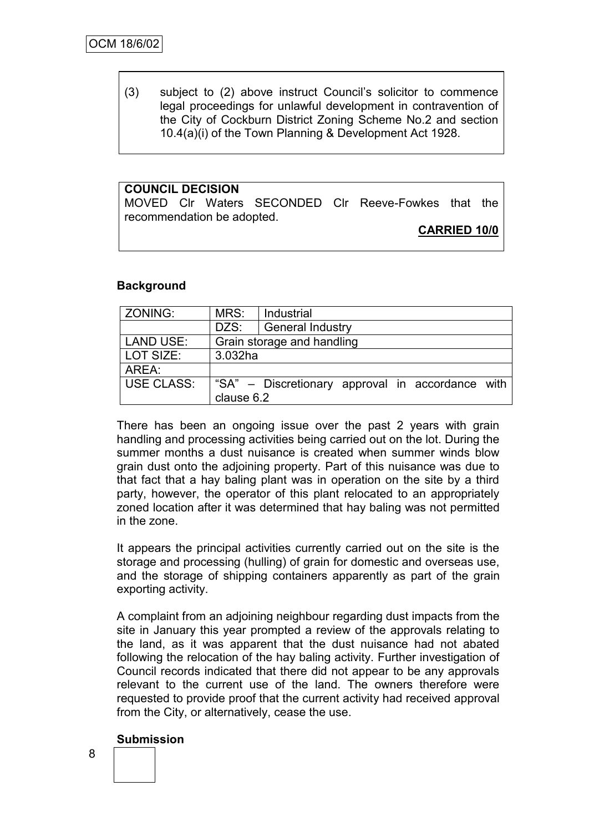(3) subject to (2) above instruct Council"s solicitor to commence legal proceedings for unlawful development in contravention of the City of Cockburn District Zoning Scheme No.2 and section 10.4(a)(i) of the Town Planning & Development Act 1928.

# **COUNCIL DECISION**

MOVED Clr Waters SECONDED Clr Reeve-Fowkes that the recommendation be adopted.

#### **CARRIED 10/0**

#### **Background**

| ZONING:    | MRS:                       | Industrial                                       |  |  |
|------------|----------------------------|--------------------------------------------------|--|--|
|            | DZS:                       | <b>General Industry</b>                          |  |  |
| LAND USE:  | Grain storage and handling |                                                  |  |  |
| LOT SIZE:  | 3.032ha                    |                                                  |  |  |
| AREA:      |                            |                                                  |  |  |
| USE CLASS: | clause 6.2                 | "SA" – Discretionary approval in accordance with |  |  |

There has been an ongoing issue over the past 2 years with grain handling and processing activities being carried out on the lot. During the summer months a dust nuisance is created when summer winds blow grain dust onto the adjoining property. Part of this nuisance was due to that fact that a hay baling plant was in operation on the site by a third party, however, the operator of this plant relocated to an appropriately zoned location after it was determined that hay baling was not permitted in the zone.

It appears the principal activities currently carried out on the site is the storage and processing (hulling) of grain for domestic and overseas use, and the storage of shipping containers apparently as part of the grain exporting activity.

A complaint from an adjoining neighbour regarding dust impacts from the site in January this year prompted a review of the approvals relating to the land, as it was apparent that the dust nuisance had not abated following the relocation of the hay baling activity. Further investigation of Council records indicated that there did not appear to be any approvals relevant to the current use of the land. The owners therefore were requested to provide proof that the current activity had received approval from the City, or alternatively, cease the use.

#### **Submission**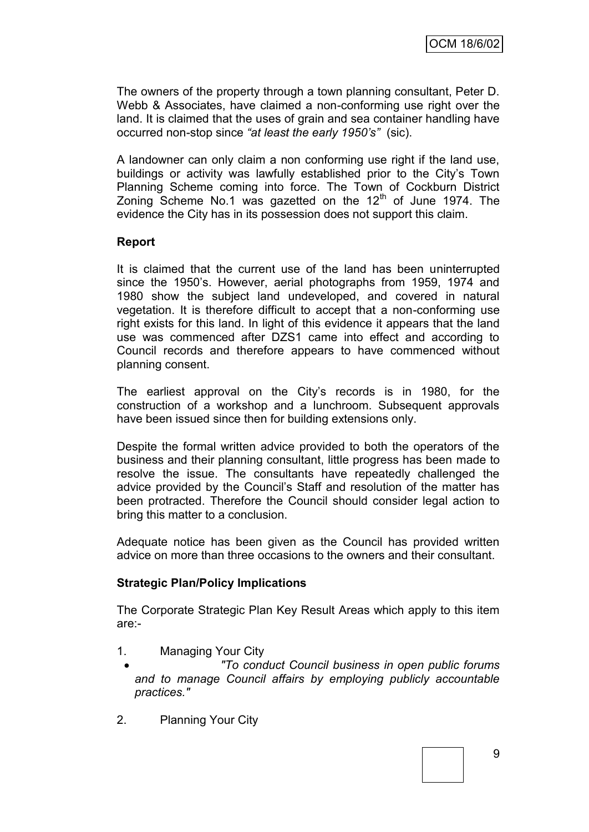The owners of the property through a town planning consultant, Peter D. Webb & Associates, have claimed a non-conforming use right over the land. It is claimed that the uses of grain and sea container handling have occurred non-stop since *"at least the early 1950"s"* (sic).

A landowner can only claim a non conforming use right if the land use, buildings or activity was lawfully established prior to the City"s Town Planning Scheme coming into force. The Town of Cockburn District Zoning Scheme No.1 was gazetted on the  $12<sup>th</sup>$  of June 1974. The evidence the City has in its possession does not support this claim.

### **Report**

It is claimed that the current use of the land has been uninterrupted since the 1950's. However, aerial photographs from 1959, 1974 and 1980 show the subject land undeveloped, and covered in natural vegetation. It is therefore difficult to accept that a non-conforming use right exists for this land. In light of this evidence it appears that the land use was commenced after DZS1 came into effect and according to Council records and therefore appears to have commenced without planning consent.

The earliest approval on the City"s records is in 1980, for the construction of a workshop and a lunchroom. Subsequent approvals have been issued since then for building extensions only.

Despite the formal written advice provided to both the operators of the business and their planning consultant, little progress has been made to resolve the issue. The consultants have repeatedly challenged the advice provided by the Council"s Staff and resolution of the matter has been protracted. Therefore the Council should consider legal action to bring this matter to a conclusion.

Adequate notice has been given as the Council has provided written advice on more than three occasions to the owners and their consultant.

#### **Strategic Plan/Policy Implications**

The Corporate Strategic Plan Key Result Areas which apply to this item are:-

- 1. Managing Your City
- *"To conduct Council business in open public forums and to manage Council affairs by employing publicly accountable practices."*
- 2. Planning Your City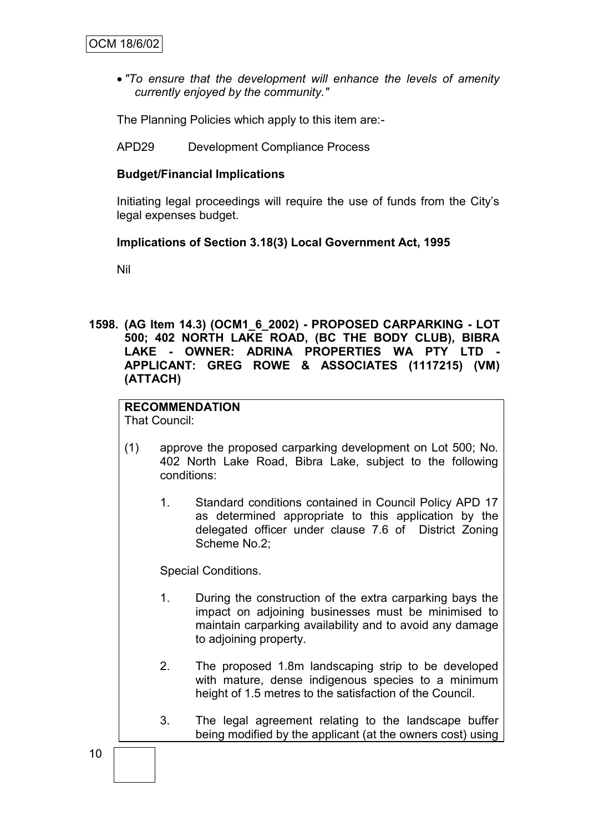*"To ensure that the development will enhance the levels of amenity currently enjoyed by the community."*

The Planning Policies which apply to this item are:-

APD29 Development Compliance Process

#### **Budget/Financial Implications**

Initiating legal proceedings will require the use of funds from the City"s legal expenses budget.

#### **Implications of Section 3.18(3) Local Government Act, 1995**

Nil

**1598. (AG Item 14.3) (OCM1\_6\_2002) - PROPOSED CARPARKING - LOT 500; 402 NORTH LAKE ROAD, (BC THE BODY CLUB), BIBRA LAKE - OWNER: ADRINA PROPERTIES WA PTY LTD - APPLICANT: GREG ROWE & ASSOCIATES (1117215) (VM) (ATTACH)**

# **RECOMMENDATION**

That Council:

- (1) approve the proposed carparking development on Lot 500; No. 402 North Lake Road, Bibra Lake, subject to the following conditions:
	- 1. Standard conditions contained in Council Policy APD 17 as determined appropriate to this application by the delegated officer under clause 7.6 of District Zoning Scheme No.2;

Special Conditions.

- 1. During the construction of the extra carparking bays the impact on adjoining businesses must be minimised to maintain carparking availability and to avoid any damage to adjoining property.
- 2. The proposed 1.8m landscaping strip to be developed with mature, dense indigenous species to a minimum height of 1.5 metres to the satisfaction of the Council.
- 3. The legal agreement relating to the landscape buffer being modified by the applicant (at the owners cost) using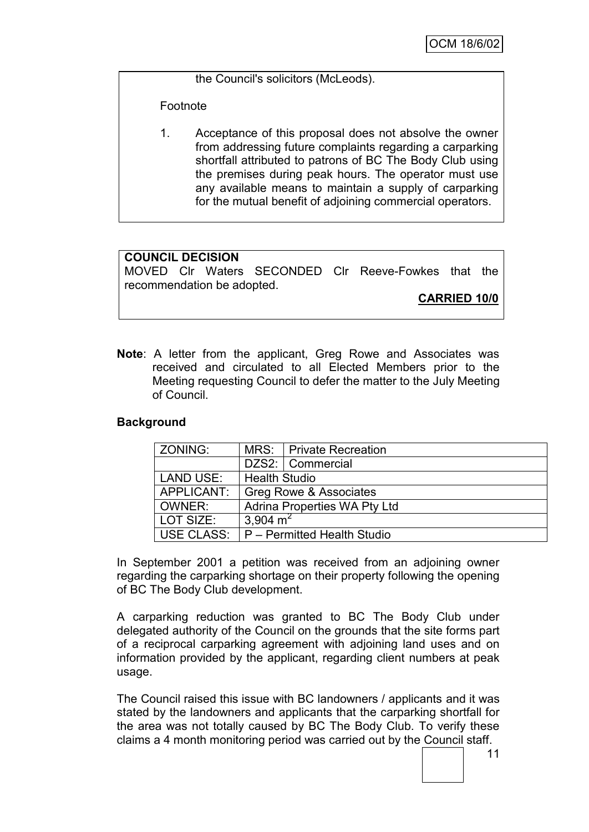the Council's solicitors (McLeods).

Footnote

1. Acceptance of this proposal does not absolve the owner from addressing future complaints regarding a carparking shortfall attributed to patrons of BC The Body Club using the premises during peak hours. The operator must use any available means to maintain a supply of carparking for the mutual benefit of adjoining commercial operators.

# **COUNCIL DECISION**

MOVED Clr Waters SECONDED Clr Reeve-Fowkes that the recommendation be adopted.

**CARRIED 10/0**

**Note**: A letter from the applicant, Greg Rowe and Associates was received and circulated to all Elected Members prior to the Meeting requesting Council to defer the matter to the July Meeting of Council.

# **Background**

| l ZONING:         |                                     | MRS:   Private Recreation |  |
|-------------------|-------------------------------------|---------------------------|--|
|                   |                                     | DZS2:   Commercial        |  |
| <b>LAND USE:</b>  | <b>Health Studio</b>                |                           |  |
| <b>APPLICANT:</b> | Greg Rowe & Associates              |                           |  |
| OWNER:            | <b>Adrina Properties WA Pty Ltd</b> |                           |  |
| LOT SIZE:         | 3,904 $m2$                          |                           |  |
| USE CLASS:        | P - Permitted Health Studio         |                           |  |

In September 2001 a petition was received from an adjoining owner regarding the carparking shortage on their property following the opening of BC The Body Club development.

A carparking reduction was granted to BC The Body Club under delegated authority of the Council on the grounds that the site forms part of a reciprocal carparking agreement with adjoining land uses and on information provided by the applicant, regarding client numbers at peak usage.

The Council raised this issue with BC landowners / applicants and it was stated by the landowners and applicants that the carparking shortfall for the area was not totally caused by BC The Body Club. To verify these claims a 4 month monitoring period was carried out by the Council staff.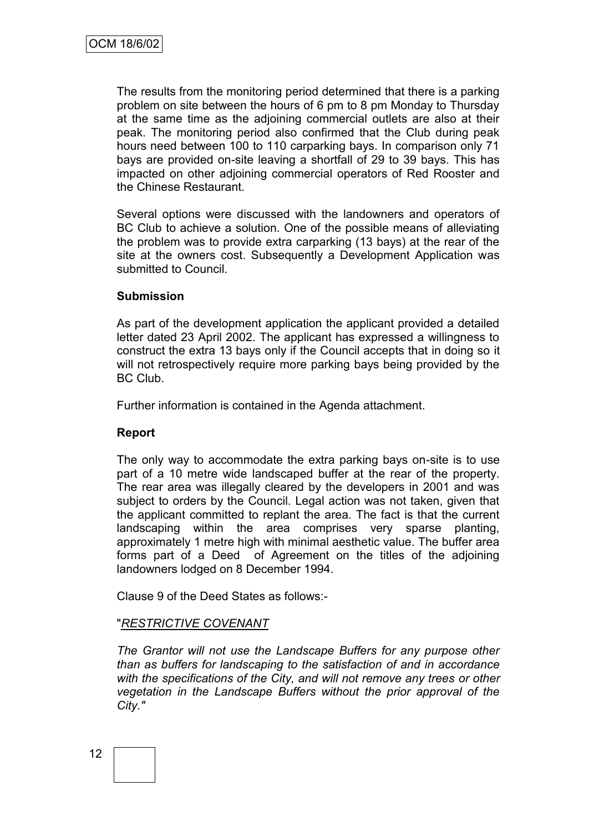The results from the monitoring period determined that there is a parking problem on site between the hours of 6 pm to 8 pm Monday to Thursday at the same time as the adjoining commercial outlets are also at their peak. The monitoring period also confirmed that the Club during peak hours need between 100 to 110 carparking bays. In comparison only 71 bays are provided on-site leaving a shortfall of 29 to 39 bays. This has impacted on other adjoining commercial operators of Red Rooster and the Chinese Restaurant.

Several options were discussed with the landowners and operators of BC Club to achieve a solution. One of the possible means of alleviating the problem was to provide extra carparking (13 bays) at the rear of the site at the owners cost. Subsequently a Development Application was submitted to Council.

#### **Submission**

As part of the development application the applicant provided a detailed letter dated 23 April 2002. The applicant has expressed a willingness to construct the extra 13 bays only if the Council accepts that in doing so it will not retrospectively require more parking bays being provided by the BC Club.

Further information is contained in the Agenda attachment.

#### **Report**

The only way to accommodate the extra parking bays on-site is to use part of a 10 metre wide landscaped buffer at the rear of the property. The rear area was illegally cleared by the developers in 2001 and was subject to orders by the Council. Legal action was not taken, given that the applicant committed to replant the area. The fact is that the current landscaping within the area comprises very sparse planting, approximately 1 metre high with minimal aesthetic value. The buffer area forms part of a Deed of Agreement on the titles of the adjoining landowners lodged on 8 December 1994.

Clause 9 of the Deed States as follows:-

#### "*RESTRICTIVE COVENANT*

*The Grantor will not use the Landscape Buffers for any purpose other than as buffers for landscaping to the satisfaction of and in accordance with the specifications of the City, and will not remove any trees or other vegetation in the Landscape Buffers without the prior approval of the City."*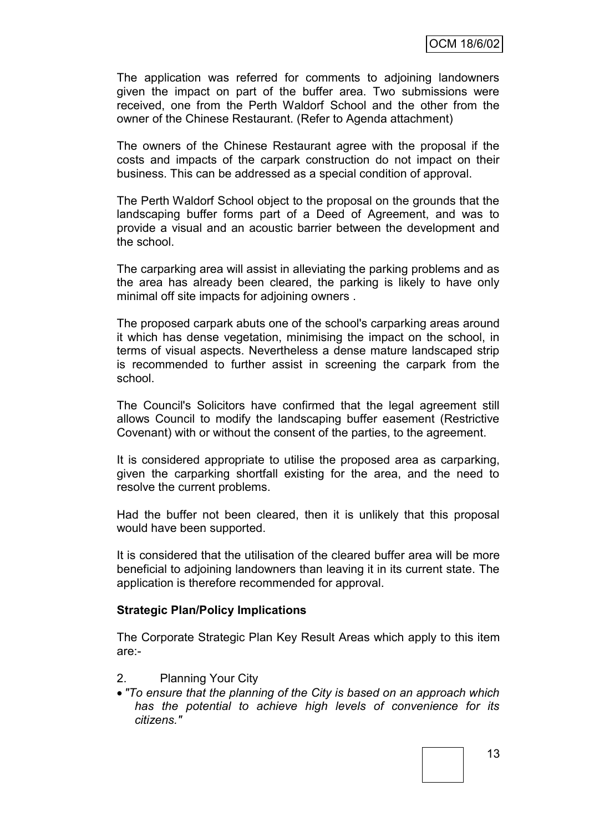The application was referred for comments to adjoining landowners given the impact on part of the buffer area. Two submissions were received, one from the Perth Waldorf School and the other from the owner of the Chinese Restaurant. (Refer to Agenda attachment)

The owners of the Chinese Restaurant agree with the proposal if the costs and impacts of the carpark construction do not impact on their business. This can be addressed as a special condition of approval.

The Perth Waldorf School object to the proposal on the grounds that the landscaping buffer forms part of a Deed of Agreement, and was to provide a visual and an acoustic barrier between the development and the school.

The carparking area will assist in alleviating the parking problems and as the area has already been cleared, the parking is likely to have only minimal off site impacts for adjoining owners .

The proposed carpark abuts one of the school's carparking areas around it which has dense vegetation, minimising the impact on the school, in terms of visual aspects. Nevertheless a dense mature landscaped strip is recommended to further assist in screening the carpark from the school.

The Council's Solicitors have confirmed that the legal agreement still allows Council to modify the landscaping buffer easement (Restrictive Covenant) with or without the consent of the parties, to the agreement.

It is considered appropriate to utilise the proposed area as carparking, given the carparking shortfall existing for the area, and the need to resolve the current problems.

Had the buffer not been cleared, then it is unlikely that this proposal would have been supported.

It is considered that the utilisation of the cleared buffer area will be more beneficial to adjoining landowners than leaving it in its current state. The application is therefore recommended for approval.

#### **Strategic Plan/Policy Implications**

The Corporate Strategic Plan Key Result Areas which apply to this item are:-

- 2. Planning Your City
- *"To ensure that the planning of the City is based on an approach which has the potential to achieve high levels of convenience for its citizens."*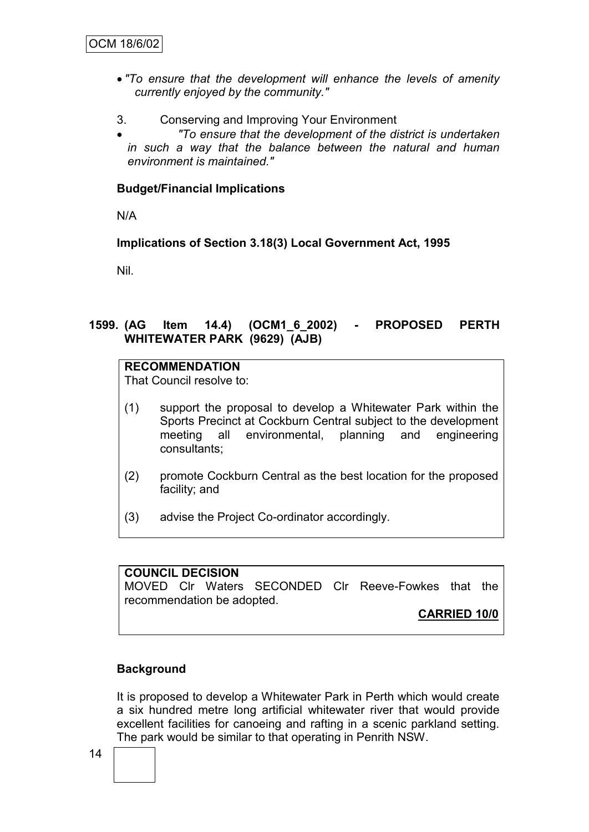- *"To ensure that the development will enhance the levels of amenity currently enjoyed by the community."*
- 3. Conserving and Improving Your Environment
- *"To ensure that the development of the district is undertaken in such a way that the balance between the natural and human environment is maintained."*

#### **Budget/Financial Implications**

N/A

**Implications of Section 3.18(3) Local Government Act, 1995**

Nil.

### **1599. (AG Item 14.4) (OCM1\_6\_2002) - PROPOSED PERTH WHITEWATER PARK (9629) (AJB)**

### **RECOMMENDATION**

That Council resolve to:

- (1) support the proposal to develop a Whitewater Park within the Sports Precinct at Cockburn Central subject to the development meeting all environmental, planning and engineering consultants;
- (2) promote Cockburn Central as the best location for the proposed facility; and
- (3) advise the Project Co-ordinator accordingly.

### **COUNCIL DECISION** MOVED Clr Waters SECONDED Clr Reeve-Fowkes that the recommendation be adopted.

**CARRIED 10/0**

#### **Background**

It is proposed to develop a Whitewater Park in Perth which would create a six hundred metre long artificial whitewater river that would provide excellent facilities for canoeing and rafting in a scenic parkland setting. The park would be similar to that operating in Penrith NSW.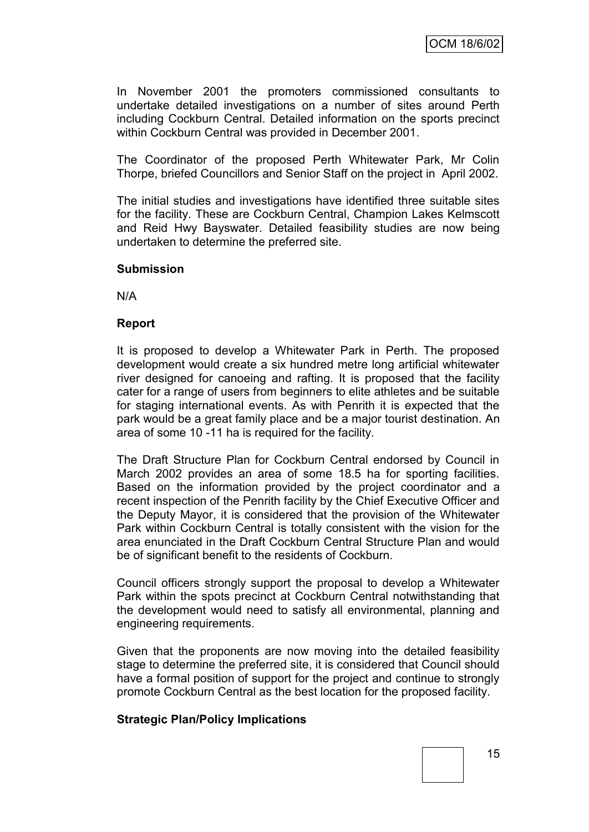In November 2001 the promoters commissioned consultants to undertake detailed investigations on a number of sites around Perth including Cockburn Central. Detailed information on the sports precinct within Cockburn Central was provided in December 2001.

The Coordinator of the proposed Perth Whitewater Park, Mr Colin Thorpe, briefed Councillors and Senior Staff on the project in April 2002.

The initial studies and investigations have identified three suitable sites for the facility. These are Cockburn Central, Champion Lakes Kelmscott and Reid Hwy Bayswater. Detailed feasibility studies are now being undertaken to determine the preferred site.

#### **Submission**

N/A

#### **Report**

It is proposed to develop a Whitewater Park in Perth. The proposed development would create a six hundred metre long artificial whitewater river designed for canoeing and rafting. It is proposed that the facility cater for a range of users from beginners to elite athletes and be suitable for staging international events. As with Penrith it is expected that the park would be a great family place and be a major tourist destination. An area of some 10 -11 ha is required for the facility.

The Draft Structure Plan for Cockburn Central endorsed by Council in March 2002 provides an area of some 18.5 ha for sporting facilities. Based on the information provided by the project coordinator and a recent inspection of the Penrith facility by the Chief Executive Officer and the Deputy Mayor, it is considered that the provision of the Whitewater Park within Cockburn Central is totally consistent with the vision for the area enunciated in the Draft Cockburn Central Structure Plan and would be of significant benefit to the residents of Cockburn.

Council officers strongly support the proposal to develop a Whitewater Park within the spots precinct at Cockburn Central notwithstanding that the development would need to satisfy all environmental, planning and engineering requirements.

Given that the proponents are now moving into the detailed feasibility stage to determine the preferred site, it is considered that Council should have a formal position of support for the project and continue to strongly promote Cockburn Central as the best location for the proposed facility.

#### **Strategic Plan/Policy Implications**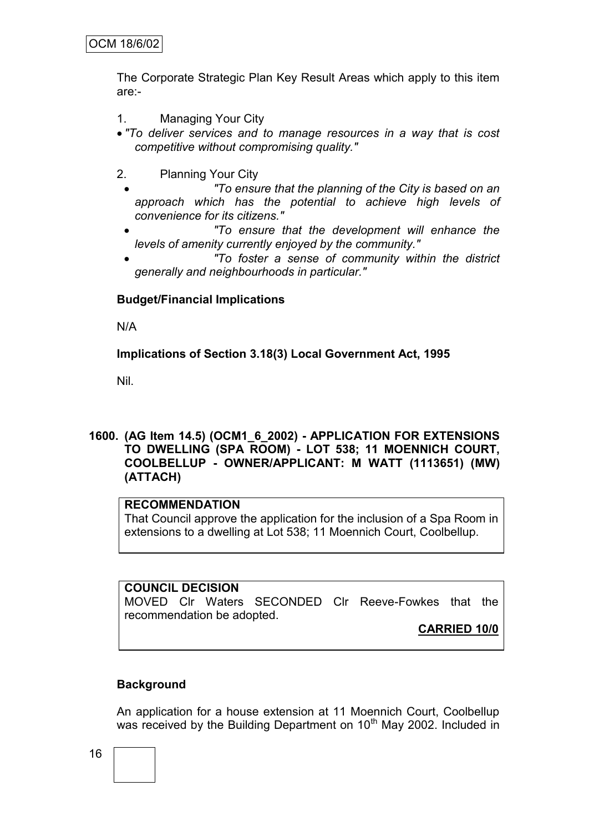The Corporate Strategic Plan Key Result Areas which apply to this item are:-

- 1. Managing Your City
- *"To deliver services and to manage resources in a way that is cost competitive without compromising quality."*
- 2. Planning Your City
	- *"To ensure that the planning of the City is based on an approach which has the potential to achieve high levels of convenience for its citizens."*
	- *"To ensure that the development will enhance the levels of amenity currently enjoyed by the community."*
	- *"To foster a sense of community within the district generally and neighbourhoods in particular."*

### **Budget/Financial Implications**

N/A

### **Implications of Section 3.18(3) Local Government Act, 1995**

Nil.

### **1600. (AG Item 14.5) (OCM1\_6\_2002) - APPLICATION FOR EXTENSIONS TO DWELLING (SPA ROOM) - LOT 538; 11 MOENNICH COURT, COOLBELLUP - OWNER/APPLICANT: M WATT (1113651) (MW) (ATTACH)**

### **RECOMMENDATION**

That Council approve the application for the inclusion of a Spa Room in extensions to a dwelling at Lot 538; 11 Moennich Court, Coolbellup.

#### **COUNCIL DECISION**

MOVED Clr Waters SECONDED Clr Reeve-Fowkes that the recommendation be adopted.

**CARRIED 10/0**

# **Background**

An application for a house extension at 11 Moennich Court, Coolbellup was received by the Building Department on 10<sup>th</sup> May 2002. Included in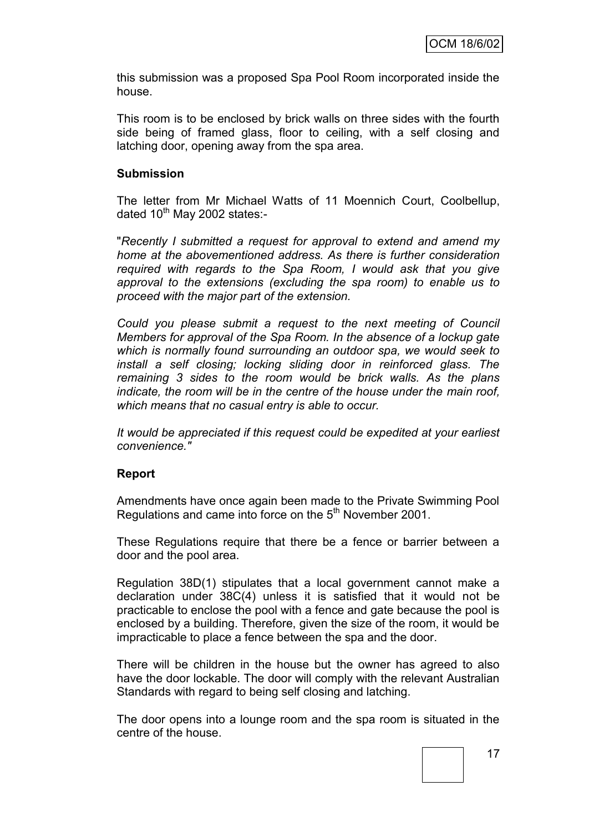this submission was a proposed Spa Pool Room incorporated inside the house.

This room is to be enclosed by brick walls on three sides with the fourth side being of framed glass, floor to ceiling, with a self closing and latching door, opening away from the spa area.

#### **Submission**

The letter from Mr Michael Watts of 11 Moennich Court, Coolbellup, dated  $10^{th}$  May 2002 states:-

"*Recently I submitted a request for approval to extend and amend my home at the abovementioned address. As there is further consideration required with regards to the Spa Room, I would ask that you give approval to the extensions (excluding the spa room) to enable us to proceed with the major part of the extension.*

*Could you please submit a request to the next meeting of Council Members for approval of the Spa Room. In the absence of a lockup gate which is normally found surrounding an outdoor spa, we would seek to install a self closing; locking sliding door in reinforced glass. The remaining 3 sides to the room would be brick walls. As the plans indicate, the room will be in the centre of the house under the main roof, which means that no casual entry is able to occur.*

*It would be appreciated if this request could be expedited at your earliest convenience."*

#### **Report**

Amendments have once again been made to the Private Swimming Pool Regulations and came into force on the 5<sup>th</sup> November 2001.

These Regulations require that there be a fence or barrier between a door and the pool area.

Regulation 38D(1) stipulates that a local government cannot make a declaration under 38C(4) unless it is satisfied that it would not be practicable to enclose the pool with a fence and gate because the pool is enclosed by a building. Therefore, given the size of the room, it would be impracticable to place a fence between the spa and the door.

There will be children in the house but the owner has agreed to also have the door lockable. The door will comply with the relevant Australian Standards with regard to being self closing and latching.

The door opens into a lounge room and the spa room is situated in the centre of the house.

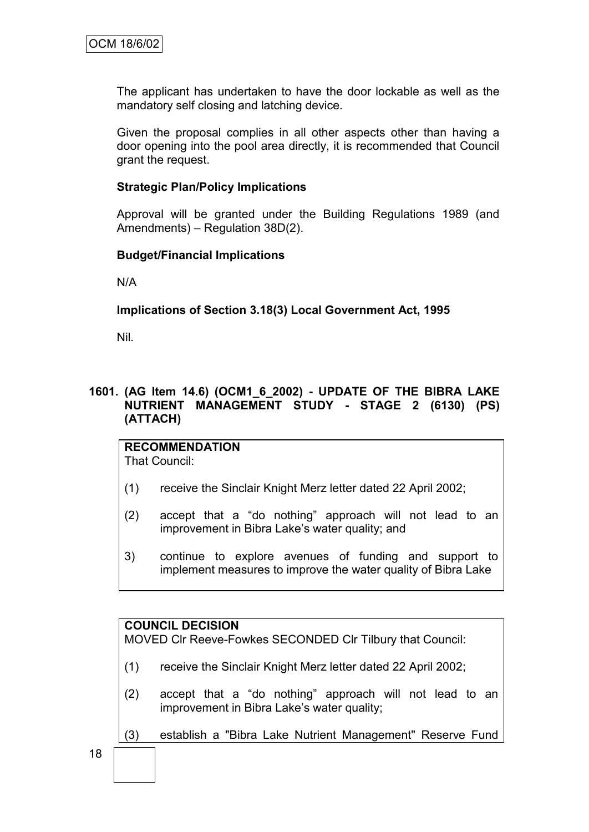The applicant has undertaken to have the door lockable as well as the mandatory self closing and latching device.

Given the proposal complies in all other aspects other than having a door opening into the pool area directly, it is recommended that Council grant the request.

#### **Strategic Plan/Policy Implications**

Approval will be granted under the Building Regulations 1989 (and Amendments) – Regulation 38D(2).

#### **Budget/Financial Implications**

N/A

### **Implications of Section 3.18(3) Local Government Act, 1995**

Nil.

### **1601. (AG Item 14.6) (OCM1\_6\_2002) - UPDATE OF THE BIBRA LAKE NUTRIENT MANAGEMENT STUDY - STAGE 2 (6130) (PS) (ATTACH)**

# **RECOMMENDATION**

That Council:

- (1) receive the Sinclair Knight Merz letter dated 22 April 2002;
- (2) accept that a "do nothing" approach will not lead to an improvement in Bibra Lake"s water quality; and
- 3) continue to explore avenues of funding and support to implement measures to improve the water quality of Bibra Lake

#### **COUNCIL DECISION**

MOVED Clr Reeve-Fowkes SECONDED Clr Tilbury that Council:

- (1) receive the Sinclair Knight Merz letter dated 22 April 2002;
- (2) accept that a "do nothing" approach will not lead to an improvement in Bibra Lake's water quality;
- (3) establish a "Bibra Lake Nutrient Management" Reserve Fund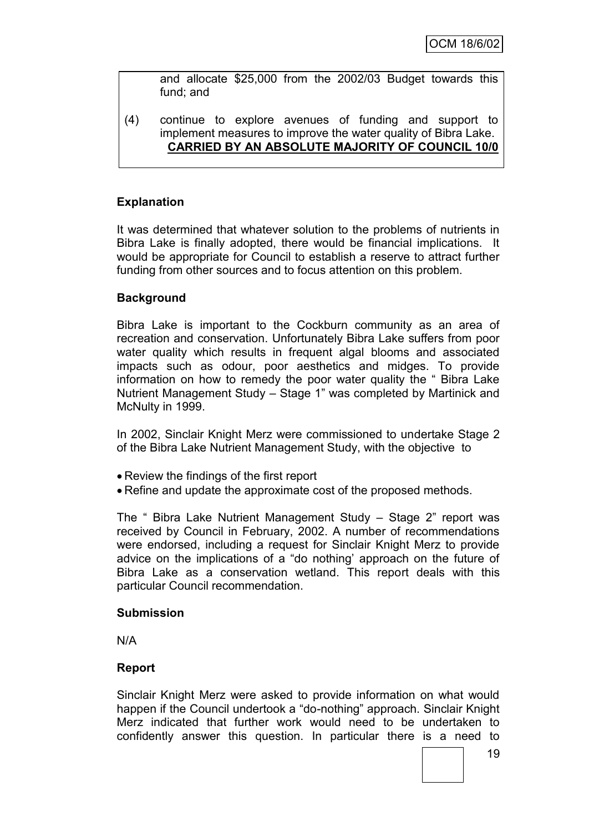and allocate \$25,000 from the 2002/03 Budget towards this fund; and

(4) continue to explore avenues of funding and support to implement measures to improve the water quality of Bibra Lake. **CARRIED BY AN ABSOLUTE MAJORITY OF COUNCIL 10/0**

### **Explanation**

It was determined that whatever solution to the problems of nutrients in Bibra Lake is finally adopted, there would be financial implications. It would be appropriate for Council to establish a reserve to attract further funding from other sources and to focus attention on this problem.

#### **Background**

Bibra Lake is important to the Cockburn community as an area of recreation and conservation. Unfortunately Bibra Lake suffers from poor water quality which results in frequent algal blooms and associated impacts such as odour, poor aesthetics and midges. To provide information on how to remedy the poor water quality the " Bibra Lake Nutrient Management Study – Stage 1" was completed by Martinick and McNulty in 1999.

In 2002, Sinclair Knight Merz were commissioned to undertake Stage 2 of the Bibra Lake Nutrient Management Study, with the objective to

- Review the findings of the first report
- Refine and update the approximate cost of the proposed methods.

The " Bibra Lake Nutrient Management Study – Stage 2" report was received by Council in February, 2002. A number of recommendations were endorsed, including a request for Sinclair Knight Merz to provide advice on the implications of a "do nothing" approach on the future of Bibra Lake as a conservation wetland. This report deals with this particular Council recommendation.

#### **Submission**

N/A

#### **Report**

Sinclair Knight Merz were asked to provide information on what would happen if the Council undertook a "do-nothing" approach. Sinclair Knight Merz indicated that further work would need to be undertaken to confidently answer this question. In particular there is a need to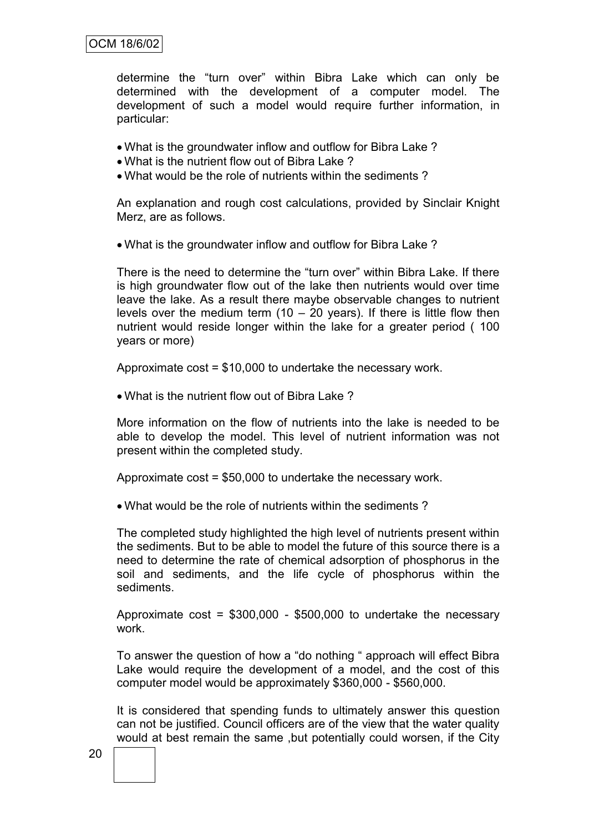### OCM 18/6/02

determine the "turn over" within Bibra Lake which can only be determined with the development of a computer model. The development of such a model would require further information, in particular:

- What is the groundwater inflow and outflow for Bibra Lake ?
- What is the nutrient flow out of Bibra Lake ?
- What would be the role of nutrients within the sediments ?

An explanation and rough cost calculations, provided by Sinclair Knight Merz, are as follows.

What is the groundwater inflow and outflow for Bibra Lake ?

There is the need to determine the "turn over" within Bibra Lake. If there is high groundwater flow out of the lake then nutrients would over time leave the lake. As a result there maybe observable changes to nutrient levels over the medium term  $(10 - 20$  years). If there is little flow then nutrient would reside longer within the lake for a greater period ( 100 years or more)

Approximate cost = \$10,000 to undertake the necessary work.

What is the nutrient flow out of Bibra Lake ?

More information on the flow of nutrients into the lake is needed to be able to develop the model. This level of nutrient information was not present within the completed study.

Approximate cost = \$50,000 to undertake the necessary work.

What would be the role of nutrients within the sediments ?

The completed study highlighted the high level of nutrients present within the sediments. But to be able to model the future of this source there is a need to determine the rate of chemical adsorption of phosphorus in the soil and sediments, and the life cycle of phosphorus within the sediments.

Approximate cost = \$300,000 - \$500,000 to undertake the necessary work.

To answer the question of how a "do nothing " approach will effect Bibra Lake would require the development of a model, and the cost of this computer model would be approximately \$360,000 - \$560,000.

It is considered that spending funds to ultimately answer this question can not be justified. Council officers are of the view that the water quality would at best remain the same ,but potentially could worsen, if the City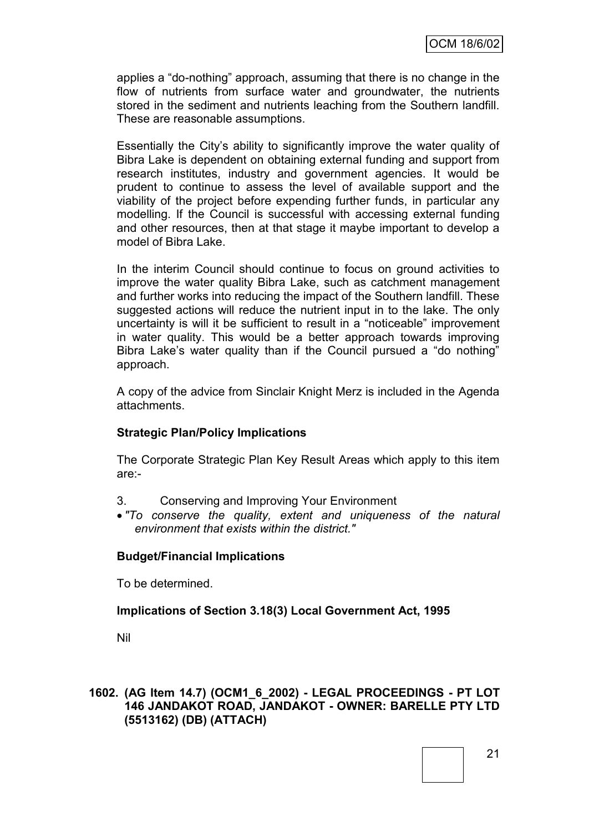applies a "do-nothing" approach, assuming that there is no change in the flow of nutrients from surface water and groundwater, the nutrients stored in the sediment and nutrients leaching from the Southern landfill. These are reasonable assumptions.

Essentially the City"s ability to significantly improve the water quality of Bibra Lake is dependent on obtaining external funding and support from research institutes, industry and government agencies. It would be prudent to continue to assess the level of available support and the viability of the project before expending further funds, in particular any modelling. If the Council is successful with accessing external funding and other resources, then at that stage it maybe important to develop a model of Bibra Lake.

In the interim Council should continue to focus on ground activities to improve the water quality Bibra Lake, such as catchment management and further works into reducing the impact of the Southern landfill. These suggested actions will reduce the nutrient input in to the lake. The only uncertainty is will it be sufficient to result in a "noticeable" improvement in water quality. This would be a better approach towards improving Bibra Lake"s water quality than if the Council pursued a "do nothing" approach.

A copy of the advice from Sinclair Knight Merz is included in the Agenda attachments.

# **Strategic Plan/Policy Implications**

The Corporate Strategic Plan Key Result Areas which apply to this item are:-

- 3. Conserving and Improving Your Environment
- *"To conserve the quality, extent and uniqueness of the natural environment that exists within the district."*

#### **Budget/Financial Implications**

To be determined.

# **Implications of Section 3.18(3) Local Government Act, 1995**

Nil

#### **1602. (AG Item 14.7) (OCM1\_6\_2002) - LEGAL PROCEEDINGS - PT LOT 146 JANDAKOT ROAD, JANDAKOT - OWNER: BARELLE PTY LTD (5513162) (DB) (ATTACH)**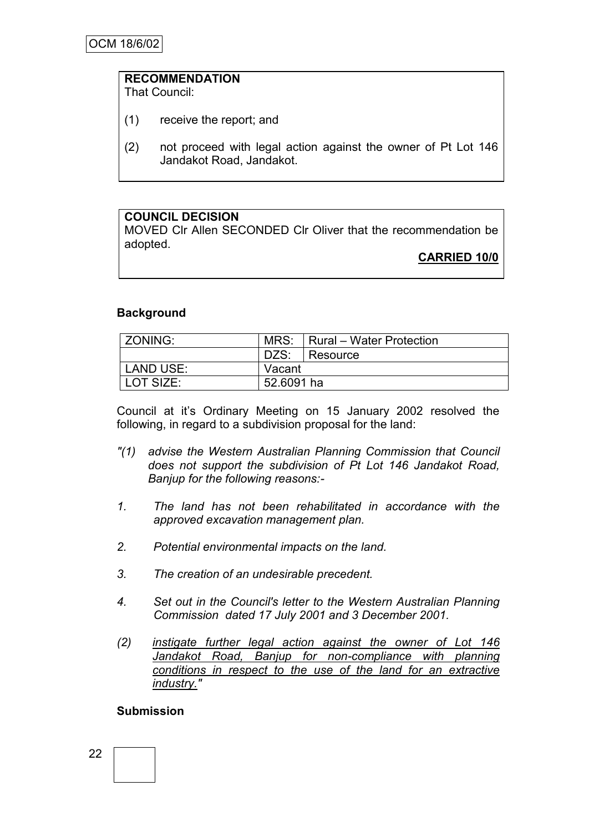# **RECOMMENDATION**

That Council:

- (1) receive the report; and
- (2) not proceed with legal action against the owner of Pt Lot 146 Jandakot Road, Jandakot.

# **COUNCIL DECISION**

MOVED Clr Allen SECONDED Clr Oliver that the recommendation be adopted.

**CARRIED 10/0**

#### **Background**

| ZONING:   | MRS:<br>  Rural – Water Protection |          |
|-----------|------------------------------------|----------|
|           | DZS:                               | Resource |
| LAND USE: | Vacant                             |          |
| LOT SIZE: | 52,6091 ha                         |          |

Council at it"s Ordinary Meeting on 15 January 2002 resolved the following, in regard to a subdivision proposal for the land:

- *"(1) advise the Western Australian Planning Commission that Council does not support the subdivision of Pt Lot 146 Jandakot Road, Banjup for the following reasons:-*
- *1. The land has not been rehabilitated in accordance with the approved excavation management plan.*
- *2. Potential environmental impacts on the land.*
- *3. The creation of an undesirable precedent.*
- *4. Set out in the Council's letter to the Western Australian Planning Commission dated 17 July 2001 and 3 December 2001.*
- *(2) instigate further legal action against the owner of Lot 146*  Jandakot Road, Banjup for non-compliance with planning *conditions in respect to the use of the land for an extractive industry."*

#### **Submission**

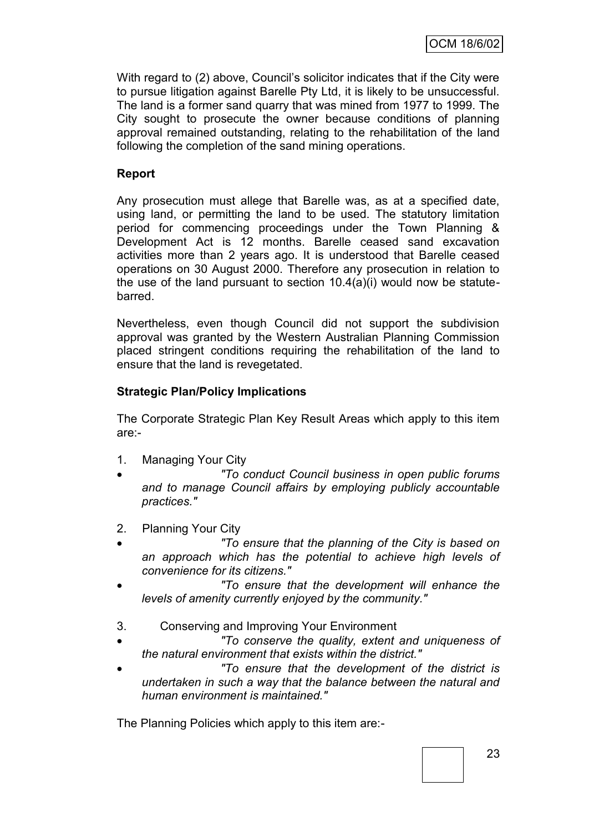With regard to (2) above, Council's solicitor indicates that if the City were to pursue litigation against Barelle Pty Ltd, it is likely to be unsuccessful. The land is a former sand quarry that was mined from 1977 to 1999. The City sought to prosecute the owner because conditions of planning approval remained outstanding, relating to the rehabilitation of the land following the completion of the sand mining operations.

### **Report**

Any prosecution must allege that Barelle was, as at a specified date, using land, or permitting the land to be used. The statutory limitation period for commencing proceedings under the Town Planning & Development Act is 12 months. Barelle ceased sand excavation activities more than 2 years ago. It is understood that Barelle ceased operations on 30 August 2000. Therefore any prosecution in relation to the use of the land pursuant to section 10.4(a)(i) would now be statutebarred.

Nevertheless, even though Council did not support the subdivision approval was granted by the Western Australian Planning Commission placed stringent conditions requiring the rehabilitation of the land to ensure that the land is revegetated.

### **Strategic Plan/Policy Implications**

The Corporate Strategic Plan Key Result Areas which apply to this item are:-

- 1. Managing Your City
- *"To conduct Council business in open public forums and to manage Council affairs by employing publicly accountable practices."*
- 2. Planning Your City
- *"To ensure that the planning of the City is based on an approach which has the potential to achieve high levels of convenience for its citizens."*
- *"To ensure that the development will enhance the levels of amenity currently enjoyed by the community."*
- 3. Conserving and Improving Your Environment
- *"To conserve the quality, extent and uniqueness of the natural environment that exists within the district."*
- *"To ensure that the development of the district is undertaken in such a way that the balance between the natural and human environment is maintained."*

The Planning Policies which apply to this item are:-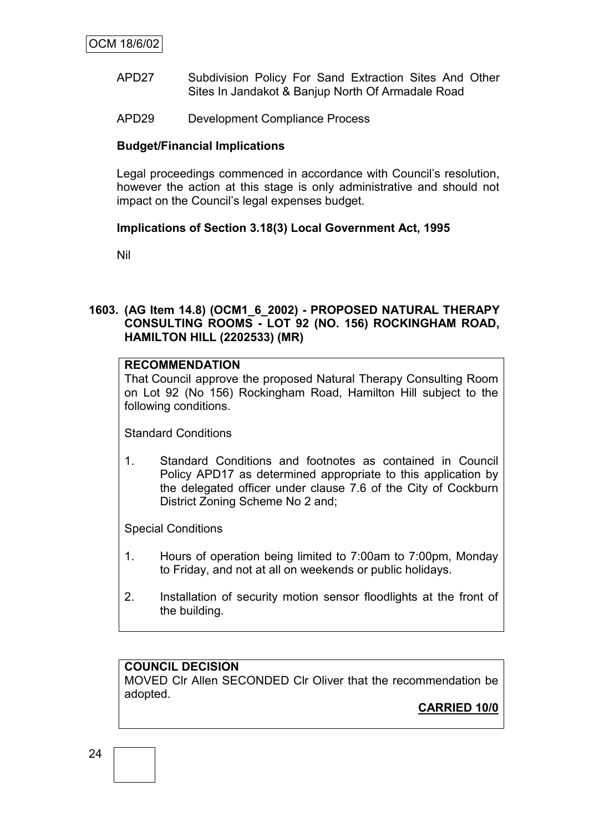- APD27 Subdivision Policy For Sand Extraction Sites And Other Sites In Jandakot & Banjup North Of Armadale Road
- APD29 Development Compliance Process

### **Budget/Financial Implications**

Legal proceedings commenced in accordance with Council's resolution, however the action at this stage is only administrative and should not impact on the Council"s legal expenses budget.

### **Implications of Section 3.18(3) Local Government Act, 1995**

Nil

### **1603. (AG Item 14.8) (OCM1\_6\_2002) - PROPOSED NATURAL THERAPY CONSULTING ROOMS - LOT 92 (NO. 156) ROCKINGHAM ROAD, HAMILTON HILL (2202533) (MR)**

# **RECOMMENDATION**

That Council approve the proposed Natural Therapy Consulting Room on Lot 92 (No 156) Rockingham Road, Hamilton Hill subject to the following conditions.

Standard Conditions

1. Standard Conditions and footnotes as contained in Council Policy APD17 as determined appropriate to this application by the delegated officer under clause 7.6 of the City of Cockburn District Zoning Scheme No 2 and;

Special Conditions

- 1. Hours of operation being limited to 7:00am to 7:00pm, Monday to Friday, and not at all on weekends or public holidays.
- 2. Installation of security motion sensor floodlights at the front of the building.

#### **COUNCIL DECISION** MOVED Clr Allen SECONDED Clr Oliver that the recommendation be adopted.

**CARRIED 10/0**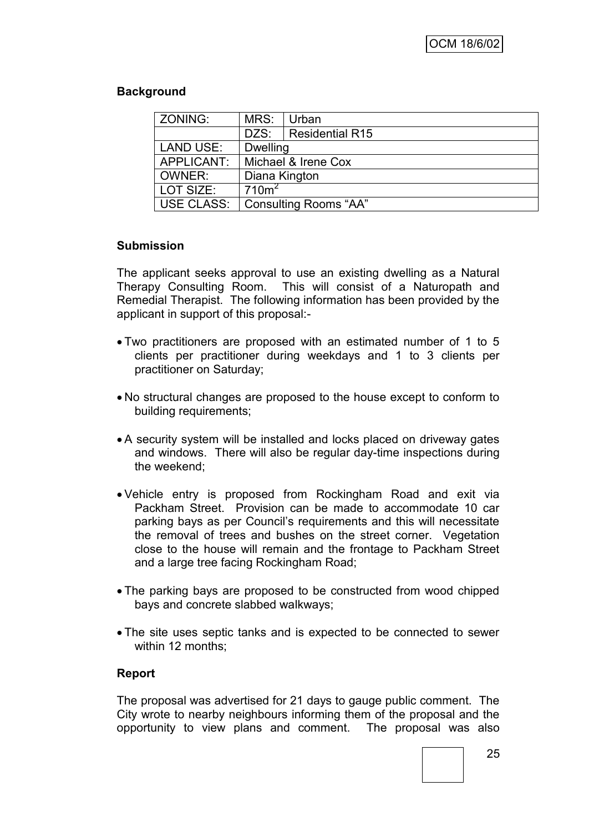# **Background**

| ZONING:    | MRS:                | Urban                        |  |
|------------|---------------------|------------------------------|--|
|            | DZS:                | <b>Residential R15</b>       |  |
| LAND USE:  | <b>Dwelling</b>     |                              |  |
| APPLICANT: | Michael & Irene Cox |                              |  |
| OWNER:     | Diana Kington       |                              |  |
| LOT SIZE:  | 710 <sup>m²</sup>   |                              |  |
| USE CLASS: |                     | <b>Consulting Rooms "AA"</b> |  |

### **Submission**

The applicant seeks approval to use an existing dwelling as a Natural Therapy Consulting Room. This will consist of a Naturopath and Remedial Therapist. The following information has been provided by the applicant in support of this proposal:-

- Two practitioners are proposed with an estimated number of 1 to 5 clients per practitioner during weekdays and 1 to 3 clients per practitioner on Saturday;
- No structural changes are proposed to the house except to conform to building requirements;
- A security system will be installed and locks placed on driveway gates and windows. There will also be regular day-time inspections during the weekend;
- Vehicle entry is proposed from Rockingham Road and exit via Packham Street. Provision can be made to accommodate 10 car parking bays as per Council"s requirements and this will necessitate the removal of trees and bushes on the street corner. Vegetation close to the house will remain and the frontage to Packham Street and a large tree facing Rockingham Road;
- The parking bays are proposed to be constructed from wood chipped bays and concrete slabbed walkways;
- The site uses septic tanks and is expected to be connected to sewer within 12 months;

#### **Report**

The proposal was advertised for 21 days to gauge public comment. The City wrote to nearby neighbours informing them of the proposal and the opportunity to view plans and comment. The proposal was also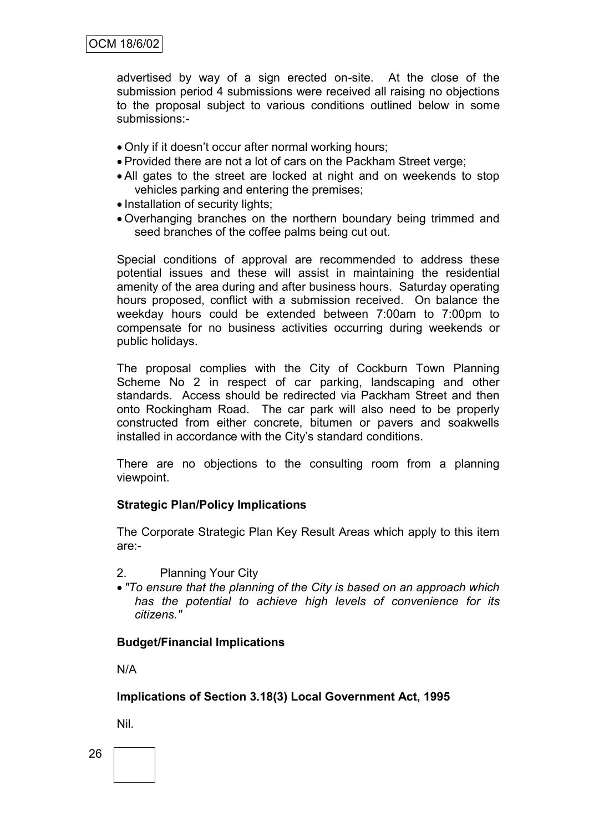advertised by way of a sign erected on-site. At the close of the submission period 4 submissions were received all raising no objections to the proposal subject to various conditions outlined below in some submissions:-

- Only if it doesn"t occur after normal working hours;
- Provided there are not a lot of cars on the Packham Street verge;
- All gates to the street are locked at night and on weekends to stop vehicles parking and entering the premises;
- Installation of security lights;
- Overhanging branches on the northern boundary being trimmed and seed branches of the coffee palms being cut out.

Special conditions of approval are recommended to address these potential issues and these will assist in maintaining the residential amenity of the area during and after business hours. Saturday operating hours proposed, conflict with a submission received. On balance the weekday hours could be extended between 7:00am to 7:00pm to compensate for no business activities occurring during weekends or public holidays.

The proposal complies with the City of Cockburn Town Planning Scheme No 2 in respect of car parking, landscaping and other standards. Access should be redirected via Packham Street and then onto Rockingham Road. The car park will also need to be properly constructed from either concrete, bitumen or pavers and soakwells installed in accordance with the City's standard conditions.

There are no objections to the consulting room from a planning viewpoint.

#### **Strategic Plan/Policy Implications**

The Corporate Strategic Plan Key Result Areas which apply to this item are:-

- 2. Planning Your City
- *"To ensure that the planning of the City is based on an approach which has the potential to achieve high levels of convenience for its citizens."*

#### **Budget/Financial Implications**

N/A

**Implications of Section 3.18(3) Local Government Act, 1995**

Nil.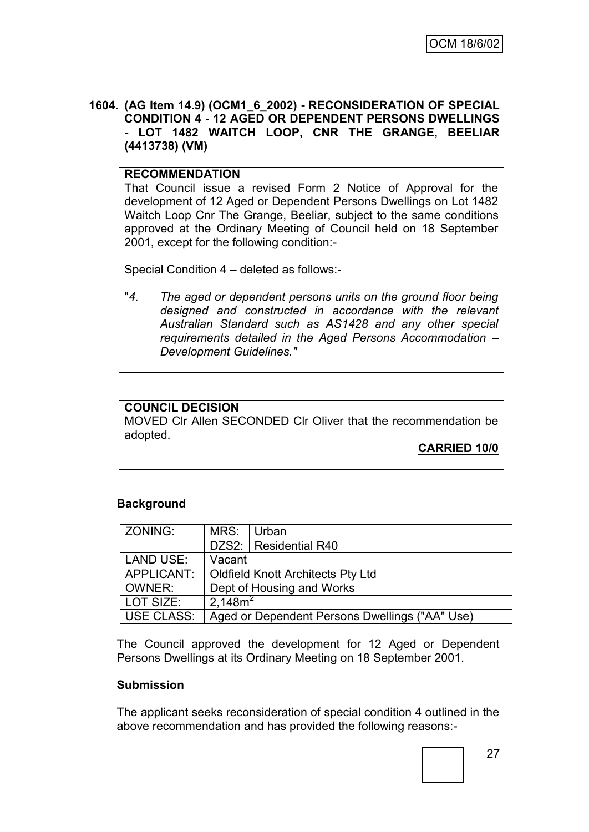#### **1604. (AG Item 14.9) (OCM1\_6\_2002) - RECONSIDERATION OF SPECIAL CONDITION 4 - 12 AGED OR DEPENDENT PERSONS DWELLINGS - LOT 1482 WAITCH LOOP, CNR THE GRANGE, BEELIAR (4413738) (VM)**

#### **RECOMMENDATION**

That Council issue a revised Form 2 Notice of Approval for the development of 12 Aged or Dependent Persons Dwellings on Lot 1482 Waitch Loop Cnr The Grange, Beeliar, subject to the same conditions approved at the Ordinary Meeting of Council held on 18 September 2001, except for the following condition:-

Special Condition 4 – deleted as follows:-

"*4. The aged or dependent persons units on the ground floor being designed and constructed in accordance with the relevant Australian Standard such as AS1428 and any other special requirements detailed in the Aged Persons Accommodation – Development Guidelines."*

### **COUNCIL DECISION**

MOVED Clr Allen SECONDED Clr Oliver that the recommendation be adopted.

**CARRIED 10/0**

#### **Background**

| ZONING:          | MRS:                                           | l Urban                 |  |
|------------------|------------------------------------------------|-------------------------|--|
|                  |                                                | DZS2:   Residential R40 |  |
| <b>LAND USE:</b> | Vacant                                         |                         |  |
| APPLICANT:       | Oldfield Knott Architects Pty Ltd              |                         |  |
| OWNER:           | Dept of Housing and Works                      |                         |  |
| LOT SIZE:        | 2,148m <sup>2</sup>                            |                         |  |
| USE CLASS:       | Aged or Dependent Persons Dwellings ("AA" Use) |                         |  |

The Council approved the development for 12 Aged or Dependent Persons Dwellings at its Ordinary Meeting on 18 September 2001.

#### **Submission**

The applicant seeks reconsideration of special condition 4 outlined in the above recommendation and has provided the following reasons:-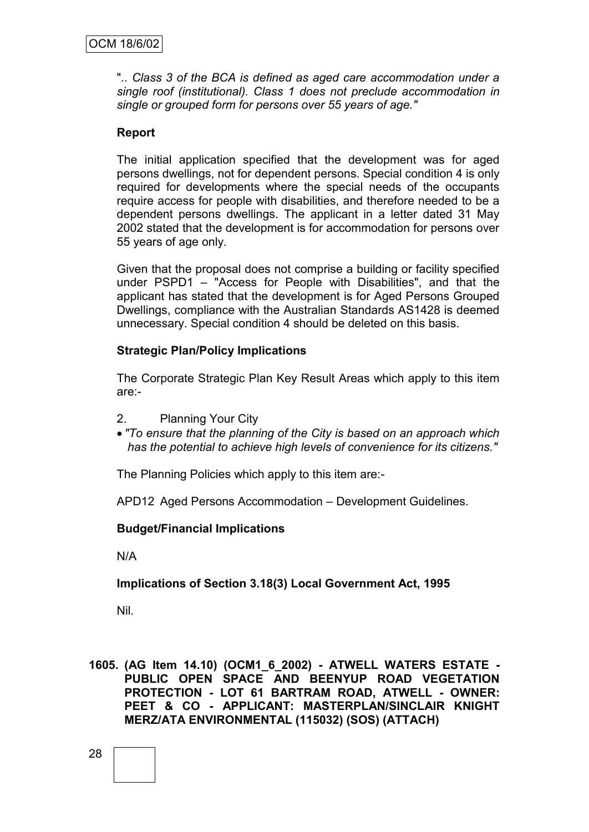"*.. Class 3 of the BCA is defined as aged care accommodation under a single roof (institutional). Class 1 does not preclude accommodation in single or grouped form for persons over 55 years of age."*

### **Report**

The initial application specified that the development was for aged persons dwellings, not for dependent persons. Special condition 4 is only required for developments where the special needs of the occupants require access for people with disabilities, and therefore needed to be a dependent persons dwellings. The applicant in a letter dated 31 May 2002 stated that the development is for accommodation for persons over 55 years of age only.

Given that the proposal does not comprise a building or facility specified under PSPD1 – "Access for People with Disabilities", and that the applicant has stated that the development is for Aged Persons Grouped Dwellings, compliance with the Australian Standards AS1428 is deemed unnecessary. Special condition 4 should be deleted on this basis.

### **Strategic Plan/Policy Implications**

The Corporate Strategic Plan Key Result Areas which apply to this item are:-

- 2. Planning Your City
- *"To ensure that the planning of the City is based on an approach which has the potential to achieve high levels of convenience for its citizens."*

The Planning Policies which apply to this item are:-

APD12 Aged Persons Accommodation – Development Guidelines.

#### **Budget/Financial Implications**

N/A

#### **Implications of Section 3.18(3) Local Government Act, 1995**

Nil.

**1605. (AG Item 14.10) (OCM1\_6\_2002) - ATWELL WATERS ESTATE - PUBLIC OPEN SPACE AND BEENYUP ROAD VEGETATION PROTECTION - LOT 61 BARTRAM ROAD, ATWELL - OWNER: PEET & CO - APPLICANT: MASTERPLAN/SINCLAIR KNIGHT MERZ/ATA ENVIRONMENTAL (115032) (SOS) (ATTACH)**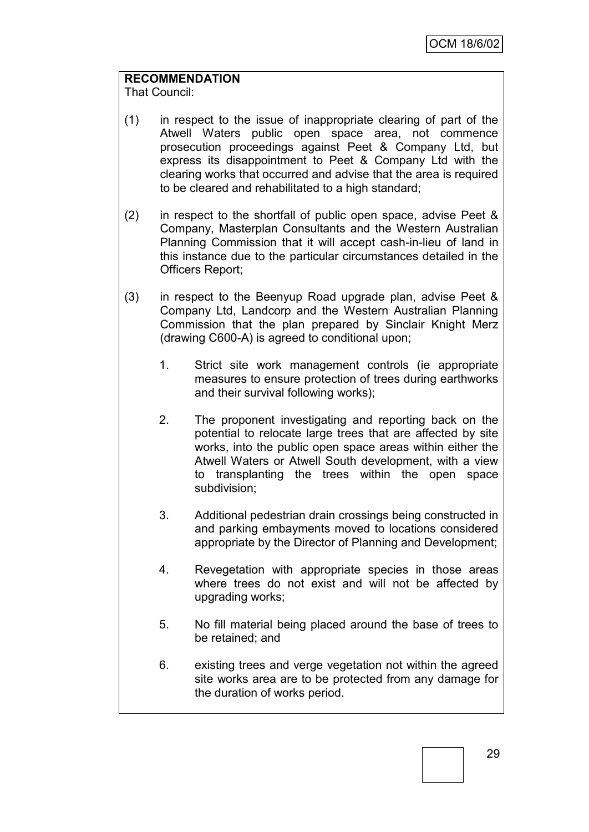# **RECOMMENDATION**

That Council:

- (1) in respect to the issue of inappropriate clearing of part of the Atwell Waters public open space area, not commence prosecution proceedings against Peet & Company Ltd, but express its disappointment to Peet & Company Ltd with the clearing works that occurred and advise that the area is required to be cleared and rehabilitated to a high standard;
- (2) in respect to the shortfall of public open space, advise Peet & Company, Masterplan Consultants and the Western Australian Planning Commission that it will accept cash-in-lieu of land in this instance due to the particular circumstances detailed in the Officers Report;
- (3) in respect to the Beenyup Road upgrade plan, advise Peet & Company Ltd, Landcorp and the Western Australian Planning Commission that the plan prepared by Sinclair Knight Merz (drawing C600-A) is agreed to conditional upon;
	- 1. Strict site work management controls (ie appropriate measures to ensure protection of trees during earthworks and their survival following works);
	- 2. The proponent investigating and reporting back on the potential to relocate large trees that are affected by site works, into the public open space areas within either the Atwell Waters or Atwell South development, with a view to transplanting the trees within the open space subdivision;
	- 3. Additional pedestrian drain crossings being constructed in and parking embayments moved to locations considered appropriate by the Director of Planning and Development;
	- 4. Revegetation with appropriate species in those areas where trees do not exist and will not be affected by upgrading works;
	- 5. No fill material being placed around the base of trees to be retained; and
	- 6. existing trees and verge vegetation not within the agreed site works area are to be protected from any damage for the duration of works period.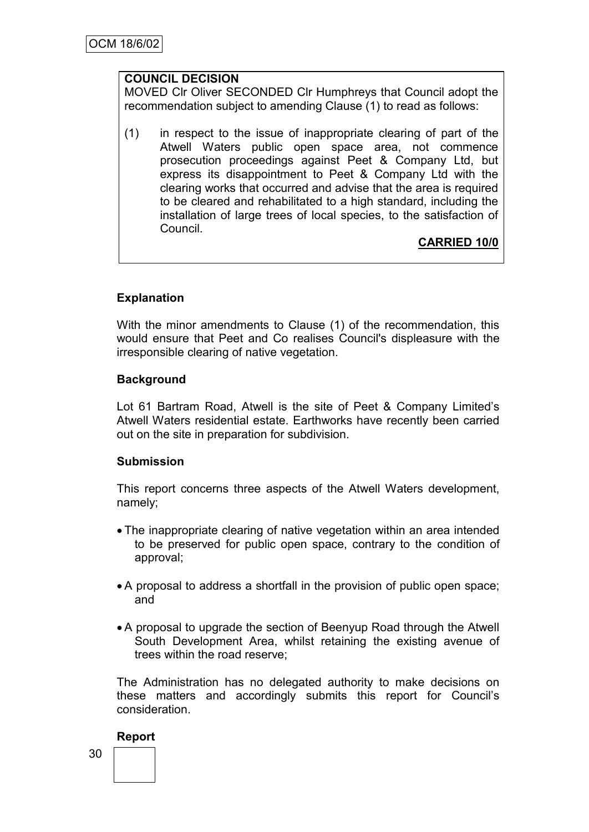### **COUNCIL DECISION**

MOVED Clr Oliver SECONDED Clr Humphreys that Council adopt the recommendation subject to amending Clause (1) to read as follows:

(1) in respect to the issue of inappropriate clearing of part of the Atwell Waters public open space area, not commence prosecution proceedings against Peet & Company Ltd, but express its disappointment to Peet & Company Ltd with the clearing works that occurred and advise that the area is required to be cleared and rehabilitated to a high standard, including the installation of large trees of local species, to the satisfaction of Council.

**CARRIED 10/0**

# **Explanation**

With the minor amendments to Clause (1) of the recommendation, this would ensure that Peet and Co realises Council's displeasure with the irresponsible clearing of native vegetation.

# **Background**

Lot 61 Bartram Road, Atwell is the site of Peet & Company Limited"s Atwell Waters residential estate. Earthworks have recently been carried out on the site in preparation for subdivision.

#### **Submission**

This report concerns three aspects of the Atwell Waters development, namely;

- The inappropriate clearing of native vegetation within an area intended to be preserved for public open space, contrary to the condition of approval;
- A proposal to address a shortfall in the provision of public open space; and
- A proposal to upgrade the section of Beenyup Road through the Atwell South Development Area, whilst retaining the existing avenue of trees within the road reserve;

The Administration has no delegated authority to make decisions on these matters and accordingly submits this report for Council"s consideration.

#### **Report**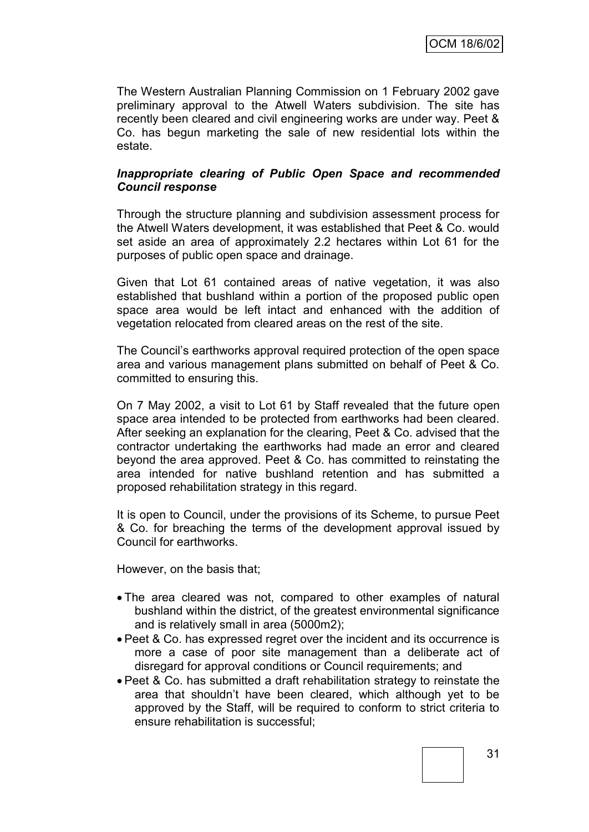The Western Australian Planning Commission on 1 February 2002 gave preliminary approval to the Atwell Waters subdivision. The site has recently been cleared and civil engineering works are under way. Peet & Co. has begun marketing the sale of new residential lots within the estate.

#### *Inappropriate clearing of Public Open Space and recommended Council response*

Through the structure planning and subdivision assessment process for the Atwell Waters development, it was established that Peet & Co. would set aside an area of approximately 2.2 hectares within Lot 61 for the purposes of public open space and drainage.

Given that Lot 61 contained areas of native vegetation, it was also established that bushland within a portion of the proposed public open space area would be left intact and enhanced with the addition of vegetation relocated from cleared areas on the rest of the site.

The Council"s earthworks approval required protection of the open space area and various management plans submitted on behalf of Peet & Co. committed to ensuring this.

On 7 May 2002, a visit to Lot 61 by Staff revealed that the future open space area intended to be protected from earthworks had been cleared. After seeking an explanation for the clearing, Peet & Co. advised that the contractor undertaking the earthworks had made an error and cleared beyond the area approved. Peet & Co. has committed to reinstating the area intended for native bushland retention and has submitted a proposed rehabilitation strategy in this regard.

It is open to Council, under the provisions of its Scheme, to pursue Peet & Co. for breaching the terms of the development approval issued by Council for earthworks.

However, on the basis that;

- The area cleared was not, compared to other examples of natural bushland within the district, of the greatest environmental significance and is relatively small in area (5000m2);
- Peet & Co. has expressed regret over the incident and its occurrence is more a case of poor site management than a deliberate act of disregard for approval conditions or Council requirements; and
- Peet & Co. has submitted a draft rehabilitation strategy to reinstate the area that shouldn"t have been cleared, which although yet to be approved by the Staff, will be required to conform to strict criteria to ensure rehabilitation is successful;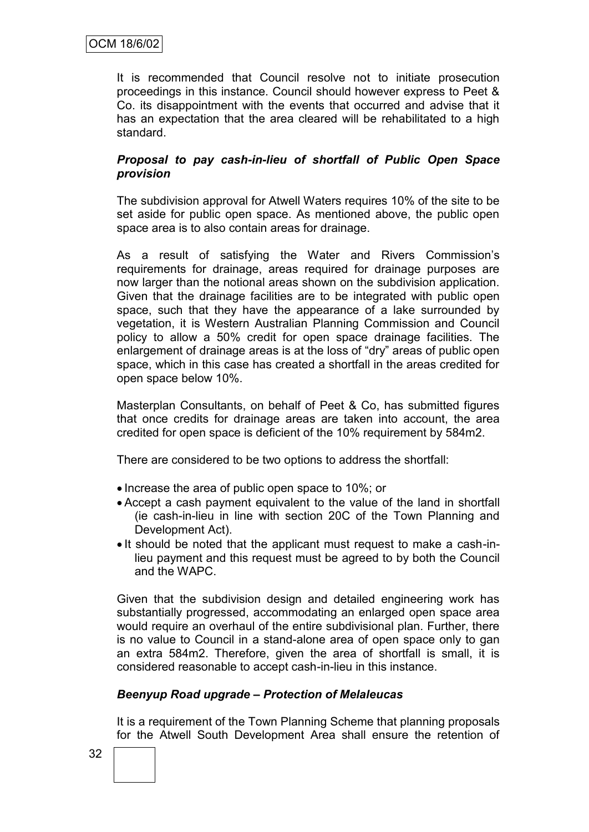It is recommended that Council resolve not to initiate prosecution proceedings in this instance. Council should however express to Peet & Co. its disappointment with the events that occurred and advise that it has an expectation that the area cleared will be rehabilitated to a high standard.

### *Proposal to pay cash-in-lieu of shortfall of Public Open Space provision*

The subdivision approval for Atwell Waters requires 10% of the site to be set aside for public open space. As mentioned above, the public open space area is to also contain areas for drainage.

As a result of satisfying the Water and Rivers Commission's requirements for drainage, areas required for drainage purposes are now larger than the notional areas shown on the subdivision application. Given that the drainage facilities are to be integrated with public open space, such that they have the appearance of a lake surrounded by vegetation, it is Western Australian Planning Commission and Council policy to allow a 50% credit for open space drainage facilities. The enlargement of drainage areas is at the loss of "dry" areas of public open space, which in this case has created a shortfall in the areas credited for open space below 10%.

Masterplan Consultants, on behalf of Peet & Co, has submitted figures that once credits for drainage areas are taken into account, the area credited for open space is deficient of the 10% requirement by 584m2.

There are considered to be two options to address the shortfall:

- Increase the area of public open space to 10%; or
- Accept a cash payment equivalent to the value of the land in shortfall (ie cash-in-lieu in line with section 20C of the Town Planning and Development Act).
- It should be noted that the applicant must request to make a cash-inlieu payment and this request must be agreed to by both the Council and the WAPC.

Given that the subdivision design and detailed engineering work has substantially progressed, accommodating an enlarged open space area would require an overhaul of the entire subdivisional plan. Further, there is no value to Council in a stand-alone area of open space only to gan an extra 584m2. Therefore, given the area of shortfall is small, it is considered reasonable to accept cash-in-lieu in this instance.

#### *Beenyup Road upgrade – Protection of Melaleucas*

It is a requirement of the Town Planning Scheme that planning proposals for the Atwell South Development Area shall ensure the retention of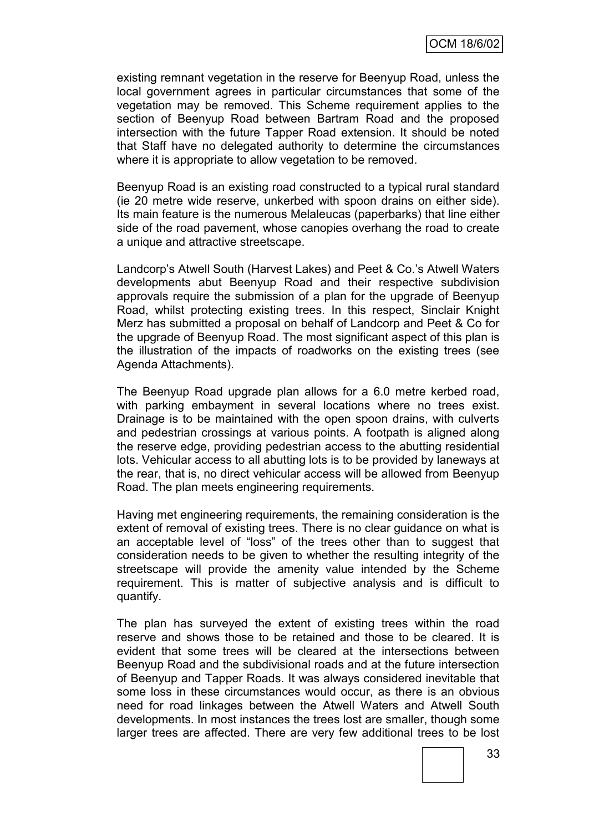existing remnant vegetation in the reserve for Beenyup Road, unless the local government agrees in particular circumstances that some of the vegetation may be removed. This Scheme requirement applies to the section of Beenyup Road between Bartram Road and the proposed intersection with the future Tapper Road extension. It should be noted that Staff have no delegated authority to determine the circumstances where it is appropriate to allow vegetation to be removed.

Beenyup Road is an existing road constructed to a typical rural standard (ie 20 metre wide reserve, unkerbed with spoon drains on either side). Its main feature is the numerous Melaleucas (paperbarks) that line either side of the road pavement, whose canopies overhang the road to create a unique and attractive streetscape.

Landcorp"s Atwell South (Harvest Lakes) and Peet & Co."s Atwell Waters developments abut Beenyup Road and their respective subdivision approvals require the submission of a plan for the upgrade of Beenyup Road, whilst protecting existing trees. In this respect, Sinclair Knight Merz has submitted a proposal on behalf of Landcorp and Peet & Co for the upgrade of Beenyup Road. The most significant aspect of this plan is the illustration of the impacts of roadworks on the existing trees (see Agenda Attachments).

The Beenyup Road upgrade plan allows for a 6.0 metre kerbed road, with parking embayment in several locations where no trees exist. Drainage is to be maintained with the open spoon drains, with culverts and pedestrian crossings at various points. A footpath is aligned along the reserve edge, providing pedestrian access to the abutting residential lots. Vehicular access to all abutting lots is to be provided by laneways at the rear, that is, no direct vehicular access will be allowed from Beenyup Road. The plan meets engineering requirements.

Having met engineering requirements, the remaining consideration is the extent of removal of existing trees. There is no clear guidance on what is an acceptable level of "loss" of the trees other than to suggest that consideration needs to be given to whether the resulting integrity of the streetscape will provide the amenity value intended by the Scheme requirement. This is matter of subjective analysis and is difficult to quantify.

The plan has surveyed the extent of existing trees within the road reserve and shows those to be retained and those to be cleared. It is evident that some trees will be cleared at the intersections between Beenyup Road and the subdivisional roads and at the future intersection of Beenyup and Tapper Roads. It was always considered inevitable that some loss in these circumstances would occur, as there is an obvious need for road linkages between the Atwell Waters and Atwell South developments. In most instances the trees lost are smaller, though some larger trees are affected. There are very few additional trees to be lost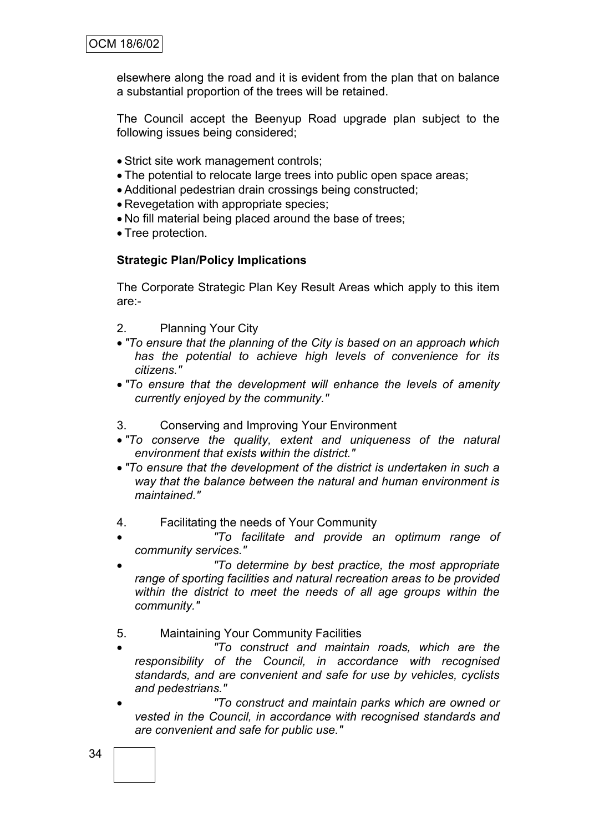elsewhere along the road and it is evident from the plan that on balance a substantial proportion of the trees will be retained.

The Council accept the Beenyup Road upgrade plan subject to the following issues being considered;

- Strict site work management controls;
- The potential to relocate large trees into public open space areas;
- Additional pedestrian drain crossings being constructed;
- Revegetation with appropriate species;
- No fill material being placed around the base of trees;
- Tree protection.

#### **Strategic Plan/Policy Implications**

The Corporate Strategic Plan Key Result Areas which apply to this item are:-

- 2. Planning Your City
- *"To ensure that the planning of the City is based on an approach which has the potential to achieve high levels of convenience for its citizens."*
- *"To ensure that the development will enhance the levels of amenity currently enjoyed by the community."*
- 3. Conserving and Improving Your Environment
- *"To conserve the quality, extent and uniqueness of the natural environment that exists within the district."*
- *"To ensure that the development of the district is undertaken in such a way that the balance between the natural and human environment is maintained."*
- 4. Facilitating the needs of Your Community
- *"To facilitate and provide an optimum range of community services."*
- *"To determine by best practice, the most appropriate range of sporting facilities and natural recreation areas to be provided within the district to meet the needs of all age groups within the community."*
- 5. Maintaining Your Community Facilities
- *"To construct and maintain roads, which are the responsibility of the Council, in accordance with recognised standards, and are convenient and safe for use by vehicles, cyclists and pedestrians."*
- *"To construct and maintain parks which are owned or vested in the Council, in accordance with recognised standards and are convenient and safe for public use."*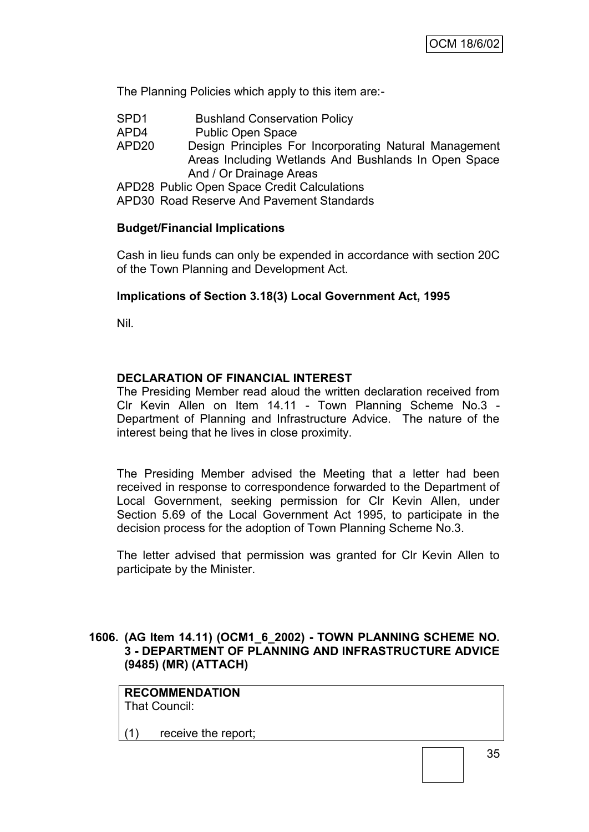The Planning Policies which apply to this item are:-

- SPD1 Bushland Conservation Policy
- APD4 Public Open Space
- APD20 Design Principles For Incorporating Natural Management Areas Including Wetlands And Bushlands In Open Space And / Or Drainage Areas

APD28 Public Open Space Credit Calculations

APD30 Road Reserve And Pavement Standards

#### **Budget/Financial Implications**

Cash in lieu funds can only be expended in accordance with section 20C of the Town Planning and Development Act.

#### **Implications of Section 3.18(3) Local Government Act, 1995**

Nil.

#### **DECLARATION OF FINANCIAL INTEREST**

The Presiding Member read aloud the written declaration received from Clr Kevin Allen on Item 14.11 - Town Planning Scheme No.3 - Department of Planning and Infrastructure Advice. The nature of the interest being that he lives in close proximity.

The Presiding Member advised the Meeting that a letter had been received in response to correspondence forwarded to the Department of Local Government, seeking permission for Clr Kevin Allen, under Section 5.69 of the Local Government Act 1995, to participate in the decision process for the adoption of Town Planning Scheme No.3.

The letter advised that permission was granted for Clr Kevin Allen to participate by the Minister.

#### **1606. (AG Item 14.11) (OCM1\_6\_2002) - TOWN PLANNING SCHEME NO. 3 - DEPARTMENT OF PLANNING AND INFRASTRUCTURE ADVICE (9485) (MR) (ATTACH)**

**RECOMMENDATION** That Council:

(1) receive the report;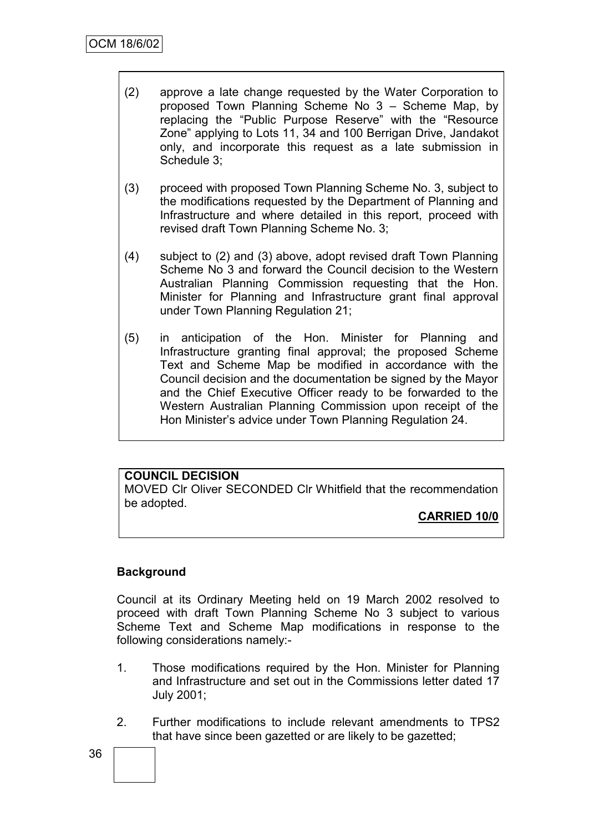- (2) approve a late change requested by the Water Corporation to proposed Town Planning Scheme No 3 – Scheme Map, by replacing the "Public Purpose Reserve" with the "Resource Zone" applying to Lots 11, 34 and 100 Berrigan Drive, Jandakot only, and incorporate this request as a late submission in Schedule 3;
- (3) proceed with proposed Town Planning Scheme No. 3, subject to the modifications requested by the Department of Planning and Infrastructure and where detailed in this report, proceed with revised draft Town Planning Scheme No. 3;
- (4) subject to (2) and (3) above, adopt revised draft Town Planning Scheme No 3 and forward the Council decision to the Western Australian Planning Commission requesting that the Hon. Minister for Planning and Infrastructure grant final approval under Town Planning Regulation 21;
- (5) in anticipation of the Hon. Minister for Planning and Infrastructure granting final approval; the proposed Scheme Text and Scheme Map be modified in accordance with the Council decision and the documentation be signed by the Mayor and the Chief Executive Officer ready to be forwarded to the Western Australian Planning Commission upon receipt of the Hon Minister"s advice under Town Planning Regulation 24.

# **COUNCIL DECISION**

MOVED Clr Oliver SECONDED Clr Whitfield that the recommendation be adopted.

# **CARRIED 10/0**

### **Background**

Council at its Ordinary Meeting held on 19 March 2002 resolved to proceed with draft Town Planning Scheme No 3 subject to various Scheme Text and Scheme Map modifications in response to the following considerations namely:-

- 1. Those modifications required by the Hon. Minister for Planning and Infrastructure and set out in the Commissions letter dated 17 July 2001;
- 2. Further modifications to include relevant amendments to TPS2 that have since been gazetted or are likely to be gazetted;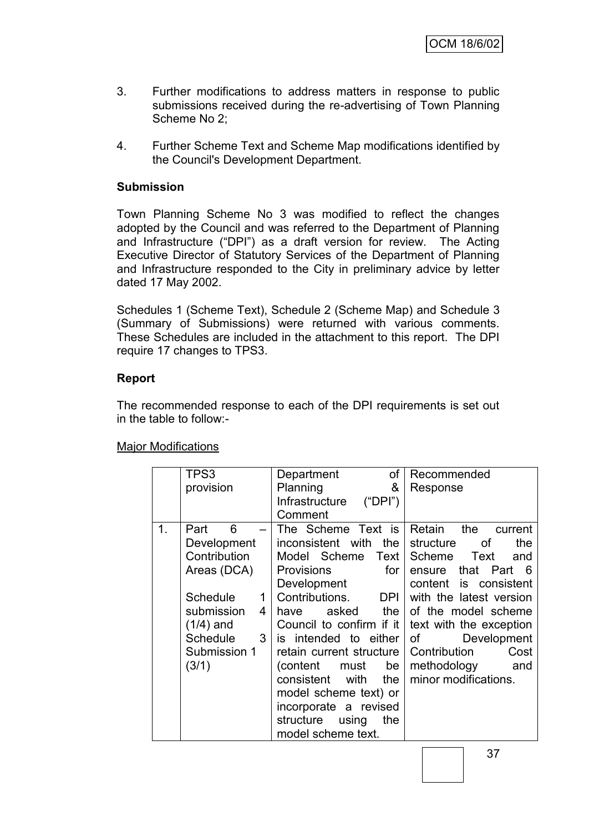- 3. Further modifications to address matters in response to public submissions received during the re-advertising of Town Planning Scheme No 2;
- 4. Further Scheme Text and Scheme Map modifications identified by the Council's Development Department.

#### **Submission**

Town Planning Scheme No 3 was modified to reflect the changes adopted by the Council and was referred to the Department of Planning and Infrastructure ("DPI") as a draft version for review. The Acting Executive Director of Statutory Services of the Department of Planning and Infrastructure responded to the City in preliminary advice by letter dated 17 May 2002.

Schedules 1 (Scheme Text), Schedule 2 (Scheme Map) and Schedule 3 (Summary of Submissions) were returned with various comments. These Schedules are included in the attachment to this report. The DPI require 17 changes to TPS3.

#### **Report**

The recommended response to each of the DPI requirements is set out in the table to follow:-

#### Major Modifications

| TPS3                 | Department<br>of             | Recommended                |
|----------------------|------------------------------|----------------------------|
| provision            | &<br>Planning                | Response                   |
|                      | Infrastructure<br>("DPI")    |                            |
|                      | Comment                      |                            |
| 1.<br>6<br>Part      | The Scheme Text is           | Retain<br>the<br>current   |
| Development          | inconsistent with the        | the<br>structure<br>οf     |
| Contribution         | Model Scheme Text            | Scheme<br>Text<br>and      |
| Areas (DCA)          | for<br><b>Provisions</b>     | that Part<br>- 6<br>ensure |
|                      | Development                  | content is consistent      |
| Schedule<br>1        | Contributions.<br><b>DPI</b> | with the latest version    |
| submission<br>4      | asked the<br>have            | of the model scheme        |
| $(1/4)$ and          | Council to confirm if it     | text with the exception    |
| <b>Schedule</b><br>3 | is intended to either        | Development<br>of          |
| Submission 1         | retain current structure     | Contribution<br>Cost       |
| (3/1)                | be<br>(content<br>must       | methodology<br>and         |
|                      | consistent<br>with<br>the    | minor modifications.       |
|                      | model scheme text) or        |                            |
|                      | incorporate a revised        |                            |
|                      | structure<br>using<br>the    |                            |
|                      | model scheme text.           |                            |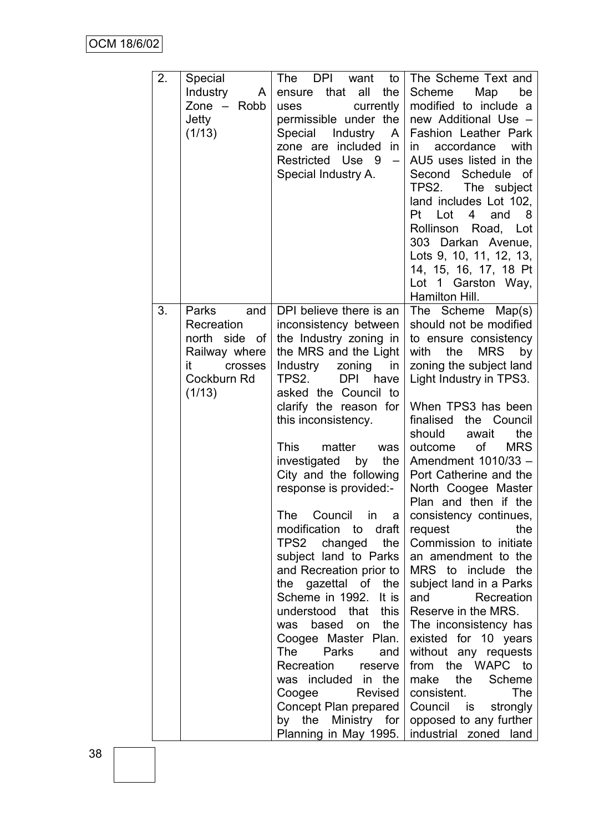| 2. | Special<br><b>Industry</b><br>A<br>Zone $-$<br>Robb<br>Jetty<br>(1/13)                                     | The DPI want<br>to<br>ensure that<br>all<br>the<br>currently<br>uses<br>permissible under the<br>Special Industry<br>A<br>zone are included<br>in<br>Restricted Use 9<br>$\qquad \qquad -$<br>Special Industry A.                                                                                                                                                                                                                                                                                                                                                                                                                                                                                                                                                                   | The Scheme Text and<br>Scheme<br>Map<br>be<br>modified to include a<br>new Additional Use -<br>Fashion Leather Park<br>accordance<br>with<br>in l<br>AU5 uses listed in the<br>Second Schedule of<br>TPS2.<br>The subject<br>land includes Lot 102,<br>Pt<br>Lot<br>and<br>4<br>- 8<br>Rollinson Road, Lot<br>303 Darkan Avenue,<br>Lots 9, 10, 11, 12, 13,<br>14, 15, 16, 17, 18 Pt<br>Lot 1 Garston Way,<br>Hamilton Hill.                                                                                                                                                                                                                                                                                                                                                          |
|----|------------------------------------------------------------------------------------------------------------|-------------------------------------------------------------------------------------------------------------------------------------------------------------------------------------------------------------------------------------------------------------------------------------------------------------------------------------------------------------------------------------------------------------------------------------------------------------------------------------------------------------------------------------------------------------------------------------------------------------------------------------------------------------------------------------------------------------------------------------------------------------------------------------|---------------------------------------------------------------------------------------------------------------------------------------------------------------------------------------------------------------------------------------------------------------------------------------------------------------------------------------------------------------------------------------------------------------------------------------------------------------------------------------------------------------------------------------------------------------------------------------------------------------------------------------------------------------------------------------------------------------------------------------------------------------------------------------|
| 3. | Parks<br>and<br>Recreation<br>north side<br>of<br>Railway where<br>it.<br>crosses<br>Cockburn Rd<br>(1/13) | DPI believe there is an<br>inconsistency between<br>the Industry zoning in<br>the MRS and the Light<br>Industry<br>zoning<br>in<br><b>DPI</b><br>TPS2.<br>have<br>asked the Council to<br>clarify the reason for<br>this inconsistency.<br>This<br>matter<br>was<br>investigated<br>by<br>the<br>City and the following<br>response is provided:-<br>The Council in a<br>modification<br>to draft<br>TPS2 changed<br>the<br>subject land to Parks<br>and Recreation prior to<br>the gazettal of the<br>Scheme in 1992.<br>It is<br>understood that<br>this<br>based<br>the<br>on<br>was<br>Coogee Master Plan.<br>The<br>Parks<br>and<br>Recreation<br>reserve<br>was included in the<br>Coogee<br>Revised<br>Concept Plan prepared<br>by the Ministry for<br>Planning in May 1995. | The Scheme Map(s)<br>should not be modified<br>to ensure consistency<br><b>MRS</b><br>by<br>with<br>the<br>zoning the subject land<br>Light Industry in TPS3.<br>When TPS3 has been<br>finalised the Council<br>should<br>the<br>await<br>of<br><b>MRS</b><br>outcome<br>Amendment 1010/33 -<br>Port Catherine and the<br>North Coogee Master<br>Plan and then if the<br>consistency continues,<br>the<br>request<br>Commission to initiate<br>an amendment to the<br>MRS to include the<br>subject land in a Parks<br>Recreation<br>and<br>Reserve in the MRS.<br>The inconsistency has<br>existed for 10 years<br>without any requests<br>from the WAPC to<br>make the<br>Scheme<br>The<br>consistent.<br>Council is<br>strongly<br>opposed to any further<br>industrial zoned land |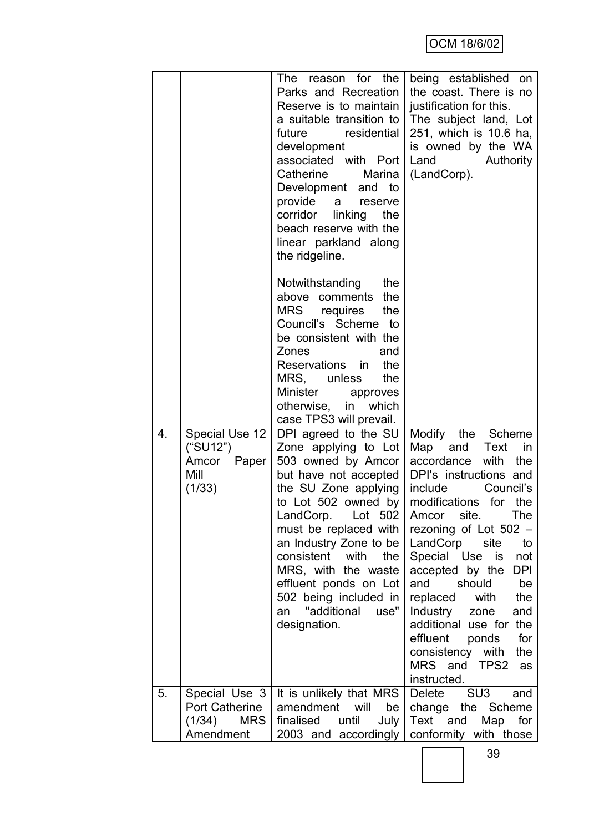|    |                                                                     | The reason for the<br>Parks and Recreation<br>Reserve is to maintain<br>a suitable transition to<br>residential<br>future<br>development<br>associated with Port<br>Catherine<br>Marina<br>Development and to<br>provide<br>a<br>reserve<br>corridor linking<br>the<br>beach reserve with the<br>linear parkland along<br>the ridgeline.                              | being established on<br>the coast. There is no<br>justification for this.<br>The subject land, Lot<br>251, which is 10.6 ha,<br>is owned by the WA<br>Land<br>Authority<br>(LandCorp).                                                                                                                                                                                                                                                                                                       |
|----|---------------------------------------------------------------------|-----------------------------------------------------------------------------------------------------------------------------------------------------------------------------------------------------------------------------------------------------------------------------------------------------------------------------------------------------------------------|----------------------------------------------------------------------------------------------------------------------------------------------------------------------------------------------------------------------------------------------------------------------------------------------------------------------------------------------------------------------------------------------------------------------------------------------------------------------------------------------|
|    |                                                                     | Notwithstanding<br>the<br>above comments the<br>MRS requires<br>the<br>Council's Scheme to<br>be consistent with the<br>Zones<br>and<br>Reservations in<br>the<br>MRS, unless<br>the<br>Minister<br>approves<br>otherwise, in which<br>case TPS3 will prevail.                                                                                                        |                                                                                                                                                                                                                                                                                                                                                                                                                                                                                              |
| 4. | Special Use 12<br>("SU12")<br>Amcor Paper<br>Mill<br>(1/33)         | DPI agreed to the SU<br>Zone applying to Lot<br>503 owned by Amcor<br>but have not accepted<br>the SU Zone applying<br>to Lot 502 owned by<br>LandCorp.<br>Lot 502<br>must be replaced with<br>an Industry Zone to be<br>consistent with<br>the<br>MRS, with the waste<br>effluent ponds on Lot<br>502 being included in<br>"additional<br>use"<br>an<br>designation. | Modify the<br>Scheme<br>Map and<br>Text<br>in<br>with<br>the<br>accordance<br>DPI's instructions and<br>include<br>Council's<br>modifications for the<br>Amcor<br>site.<br>The<br>rezoning of Lot $502 -$<br>LandCorp<br>site<br>to<br>Special Use<br>is<br>not<br>accepted by the<br>DPI<br>and<br>should<br>be<br>replaced<br>with<br>the<br>Industry<br>and<br>zone<br>additional use for the<br>effluent<br>for<br>ponds<br>consistency with<br>the<br>MRS and TPS2<br>as<br>instructed. |
| 5. | Special Use 3<br><b>Port Catherine</b><br>$(1/34)$ MRS<br>Amendment | It is unlikely that MRS<br>amendment<br>will<br>be<br>finalised<br>until<br>July<br>2003 and accordingly                                                                                                                                                                                                                                                              | SU <sub>3</sub><br>Delete<br>and<br>change the Scheme<br>Text and<br>Map for<br>conformity with those                                                                                                                                                                                                                                                                                                                                                                                        |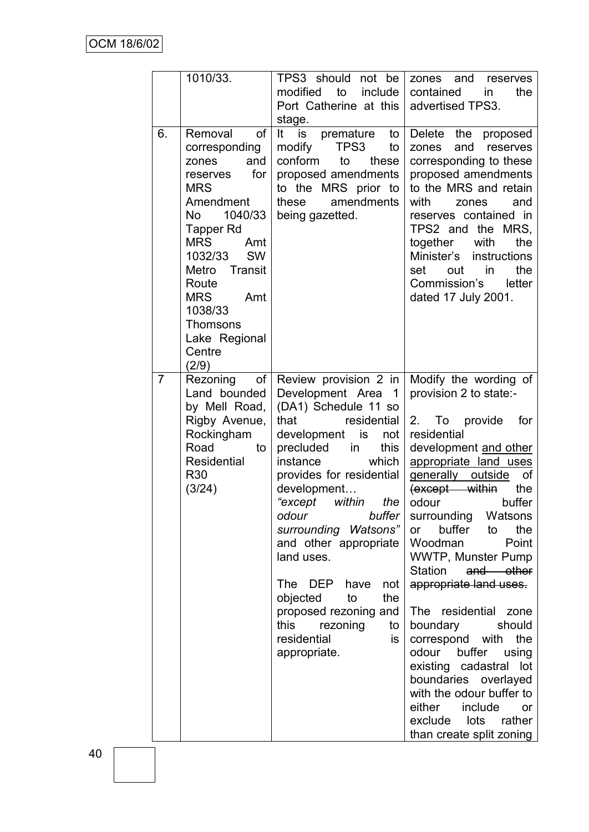|                | 1010/33.                                                                                                                                                                                                                                                                                 | TPS3 should not be<br>to<br>modified<br>include<br>Port Catherine at this<br>stage.                                                                                                                                                                                                                                                                                                                                                                                     | zones and<br>reserves<br>contained<br>the<br>in<br>advertised TPS3.                                                                                                                                                                                                                                                                                                                                                                                                                                                                                                                                                                |
|----------------|------------------------------------------------------------------------------------------------------------------------------------------------------------------------------------------------------------------------------------------------------------------------------------------|-------------------------------------------------------------------------------------------------------------------------------------------------------------------------------------------------------------------------------------------------------------------------------------------------------------------------------------------------------------------------------------------------------------------------------------------------------------------------|------------------------------------------------------------------------------------------------------------------------------------------------------------------------------------------------------------------------------------------------------------------------------------------------------------------------------------------------------------------------------------------------------------------------------------------------------------------------------------------------------------------------------------------------------------------------------------------------------------------------------------|
| 6.             | <b>of</b><br>Removal<br>corresponding<br>zones<br>and<br>for<br>reserves<br><b>MRS</b><br>Amendment<br>1040/33<br>No<br>Tapper Rd<br><b>MRS</b><br>Amt<br>1032/33<br><b>SW</b><br>Metro Transit<br>Route<br><b>MRS</b><br>Amt<br>1038/33<br>Thomsons<br>Lake Regional<br>Centre<br>(2/9) | It is<br>premature<br>to<br>modify<br>TPS3<br>to<br>conform<br>to<br>these<br>proposed amendments<br>to the MRS prior to<br>amendments<br>these<br>being gazetted.                                                                                                                                                                                                                                                                                                      | Delete the<br>proposed<br>and<br>reserves<br>zones<br>corresponding to these<br>proposed amendments<br>to the MRS and retain<br>with<br>and<br>zones<br>reserves contained in<br>TPS2 and the MRS,<br>together<br>with<br>the<br>Minister's<br>instructions<br>in<br>the<br>set<br>out<br>Commission's<br>letter<br>dated 17 July 2001.                                                                                                                                                                                                                                                                                            |
| $\overline{7}$ | Rezoning<br>оf<br>Land bounded<br>by Mell Road,<br>Rigby Avenue,<br>Rockingham<br>Road<br>to<br>Residential<br>R <sub>30</sub><br>(3/24)                                                                                                                                                 | Review provision 2 in<br>Development Area 1<br>(DA1) Schedule 11 so<br>that<br>residential<br>development is<br>not<br>precluded<br>this<br>in<br>instance<br>which<br>provides for residential<br>development<br>"except within<br>the<br>odour<br>buffer<br>surrounding Watsons"<br>and other appropriate<br>land uses.<br>The<br>DEP<br>have<br>not<br>the<br>objected<br>to<br>proposed rezoning and<br>this<br>rezoning<br>to<br>residential<br>is<br>appropriate. | Modify the wording of<br>provision 2 to state:-<br>2.<br>To provide<br>for<br>residential<br>development and other<br>appropriate land uses<br>generally outside<br>οf<br>(except within<br>the<br>buffer<br>odour<br>surrounding Watsons<br>buffer<br>the<br>to<br>or<br>Point<br>Woodman<br>WWTP, Munster Pump<br>Station<br>and other<br>appropriate land uses.<br>The residential zone<br>should<br>boundary<br>correspond with<br>the<br>odour<br>buffer<br>using<br>existing cadastral lot<br>boundaries overlayed<br>with the odour buffer to<br>either<br>include<br>or<br>exclude lots rather<br>than create split zoning |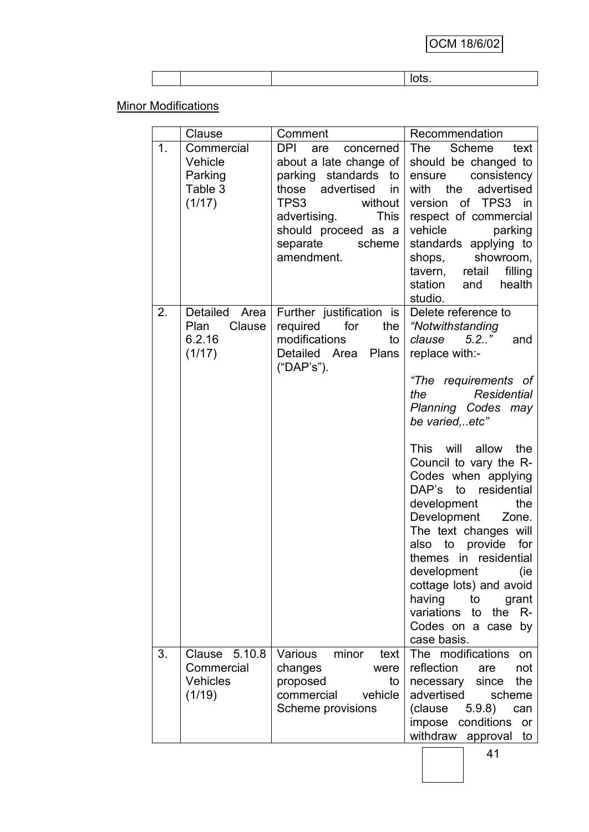**Minor Modifications** 

|    | Clause                                                   | Comment                                                                                                                                                                                                   | Recommendation                                                                                                                                                                                                                                                                                                                                                                                                                                                                                                                               |
|----|----------------------------------------------------------|-----------------------------------------------------------------------------------------------------------------------------------------------------------------------------------------------------------|----------------------------------------------------------------------------------------------------------------------------------------------------------------------------------------------------------------------------------------------------------------------------------------------------------------------------------------------------------------------------------------------------------------------------------------------------------------------------------------------------------------------------------------------|
| 1. | Commercial<br>Vehicle<br>Parking<br>Table 3<br>(1/17)    | DPI<br>are<br>concerned<br>about a late change of<br>parking standards to<br>those advertised<br>in<br>TPS3<br>without<br>advertising.<br>This<br>should proceed as a<br>separate<br>scheme<br>amendment. | The<br>Scheme<br>text<br>should be changed to<br>ensure<br>consistency<br>with the<br>advertised<br>version of TPS3 in<br>respect of commercial<br>vehicle<br>parking<br>standards applying to<br>shops, showroom,<br>retail<br>filling<br>tavern,<br>health<br>station<br>and<br>studio.                                                                                                                                                                                                                                                    |
| 2. | Detailed Area<br>Plan<br>Clause<br>6.2.16<br>(1/17)      | Further justification is<br>required<br>for<br>the<br>modifications<br>to<br>Detailed Area Plans<br>("DAP's").                                                                                            | Delete reference to<br>"Notwithstanding<br>$5.2.$ ."<br>clause<br>and<br>replace with:-<br>"The requirements of<br>Residential<br>the<br>Planning Codes may<br>be varied, etc"<br>This will allow<br>the<br>Council to vary the R-<br>Codes when applying<br>DAP's to residential<br>development<br>the<br>Development<br>Zone.<br>The text changes will<br>to provide<br>for<br>also<br>themes in residential<br>development<br>(ie<br>cottage lots) and avoid<br>having<br>to<br>grant<br>variations<br>the R-<br>to<br>Codes on a case by |
| 3. | Clause 5.10.8<br>Commercial<br><b>Vehicles</b><br>(1/19) | minor<br>Various<br>text<br>changes<br>were<br>proposed<br>to<br>commercial<br>vehicle<br>Scheme provisions                                                                                               | case basis.<br>The modifications<br>on<br>reflection<br>not<br>are<br>since<br>the<br>necessary<br>advertised<br>scheme<br>5.9.8<br>(clause<br>can<br>impose<br>conditions<br>or<br>withdraw approval<br>to                                                                                                                                                                                                                                                                                                                                  |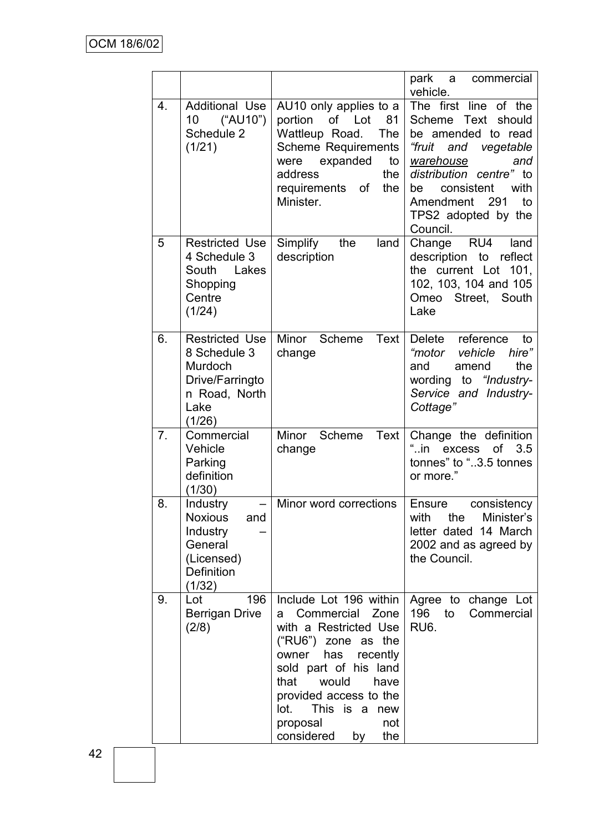|    |                                                                                                        |                                                                                                                                                                                                                                                                              | park<br>commercial<br>a a<br>vehicle.                                                                                                                                                                                                        |
|----|--------------------------------------------------------------------------------------------------------|------------------------------------------------------------------------------------------------------------------------------------------------------------------------------------------------------------------------------------------------------------------------------|----------------------------------------------------------------------------------------------------------------------------------------------------------------------------------------------------------------------------------------------|
| 4. | <b>Additional Use</b><br>("AU10")<br>10<br>Schedule 2<br>(1/21)                                        | AU10 only applies to a<br>portion<br>of Lot<br>81<br>Wattleup Road.<br>The<br><b>Scheme Requirements</b><br>expanded<br>were<br>to<br>address<br>the<br>requirements of<br>the<br>Minister.                                                                                  | The first line<br>of the<br>Scheme Text<br>should<br>be amended to read<br>"fruit<br>and vegetable<br>warehouse<br>and<br>distribution centre" to<br>with<br>consistent<br>be<br>Amendment<br>- 291<br>to<br>TPS2 adopted by the<br>Council. |
| 5  | <b>Restricted Use</b><br>4 Schedule 3<br>South<br>Lakes<br>Shopping<br>Centre<br>(1/24)                | Simplify<br>the<br>land<br>description                                                                                                                                                                                                                                       | Change<br>RU4<br>land<br>description to reflect<br>the current Lot<br>101.<br>102, 103, 104 and 105<br>Omeo<br>Street, South<br>Lake                                                                                                         |
| 6. | <b>Restricted Use</b><br>8 Schedule 3<br>Murdoch<br>Drive/Farringto<br>n Road, North<br>Lake<br>(1/26) | Minor<br>Scheme<br>Text<br>change                                                                                                                                                                                                                                            | Delete reference<br>to<br>"motor vehicle<br>hire"<br>the<br>and<br>amend<br>to "Industry-<br>wording<br>Service and Industry-<br>Cottage"                                                                                                    |
| 7. | Commercial<br>Vehicle<br>Parking<br>definition<br>(1/30)                                               | Minor<br>Scheme Text<br>change                                                                                                                                                                                                                                               | Change the definition<br>" . in<br><b>of</b><br>3.5<br>excess<br>tonnes" to "3.5 tonnes<br>or more."                                                                                                                                         |
| 8. | Industry<br>-<br><b>Noxious</b><br>and<br>Industry<br>General<br>(Licensed)<br>Definition<br>(1/32)    | Minor word corrections                                                                                                                                                                                                                                                       | <b>Ensure</b><br>consistency<br>with<br>the<br>Minister's<br>letter dated 14 March<br>2002 and as agreed by<br>the Council.                                                                                                                  |
| 9. | 196<br>Lot<br>Berrigan Drive<br>(2/8)                                                                  | Include Lot 196 within<br>Commercial Zone<br>a i<br>with a Restricted Use<br>("RU6") zone as the<br>owner has<br>recently<br>sold part of his land<br>that<br>would<br>have<br>provided access to the<br>This is a new<br>lot.<br>proposal<br>not<br>considered<br>the<br>by | Agree to change Lot<br>196<br>to<br>Commercial<br>RU <sub>6</sub> .                                                                                                                                                                          |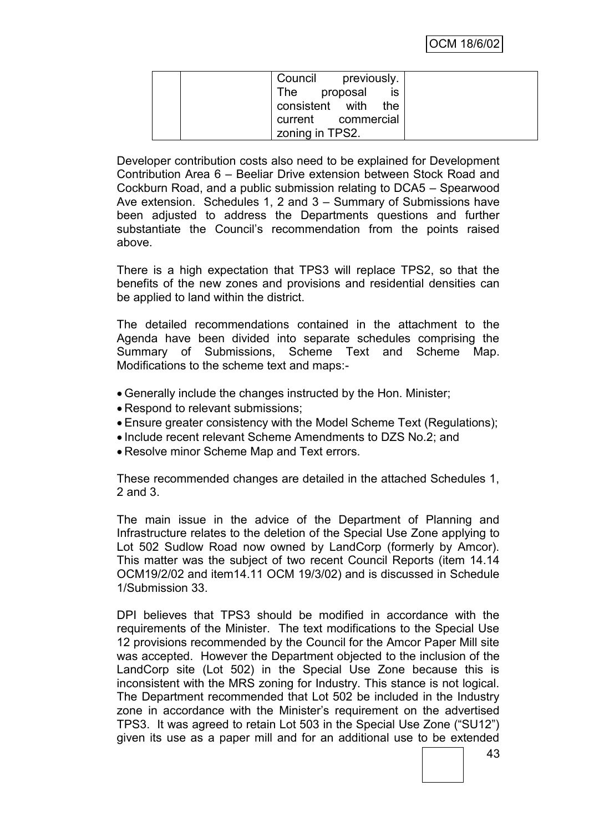| Council previously. |
|---------------------|
| The proposal<br>is  |
| consistent with the |
| current commercial  |
| zoning in TPS2.     |

Developer contribution costs also need to be explained for Development Contribution Area 6 – Beeliar Drive extension between Stock Road and Cockburn Road, and a public submission relating to DCA5 – Spearwood Ave extension. Schedules 1, 2 and 3 – Summary of Submissions have been adjusted to address the Departments questions and further substantiate the Council's recommendation from the points raised above.

There is a high expectation that TPS3 will replace TPS2, so that the benefits of the new zones and provisions and residential densities can be applied to land within the district.

The detailed recommendations contained in the attachment to the Agenda have been divided into separate schedules comprising the Summary of Submissions, Scheme Text and Scheme Map. Modifications to the scheme text and maps:-

- Generally include the changes instructed by the Hon. Minister;
- Respond to relevant submissions;
- Ensure greater consistency with the Model Scheme Text (Regulations);
- Include recent relevant Scheme Amendments to DZS No.2; and
- Resolve minor Scheme Map and Text errors.

These recommended changes are detailed in the attached Schedules 1, 2 and 3.

The main issue in the advice of the Department of Planning and Infrastructure relates to the deletion of the Special Use Zone applying to Lot 502 Sudlow Road now owned by LandCorp (formerly by Amcor). This matter was the subject of two recent Council Reports (item 14.14 OCM19/2/02 and item14.11 OCM 19/3/02) and is discussed in Schedule 1/Submission 33.

DPI believes that TPS3 should be modified in accordance with the requirements of the Minister. The text modifications to the Special Use 12 provisions recommended by the Council for the Amcor Paper Mill site was accepted. However the Department objected to the inclusion of the LandCorp site (Lot 502) in the Special Use Zone because this is inconsistent with the MRS zoning for Industry. This stance is not logical. The Department recommended that Lot 502 be included in the Industry zone in accordance with the Minister's requirement on the advertised TPS3. It was agreed to retain Lot 503 in the Special Use Zone ("SU12") given its use as a paper mill and for an additional use to be extended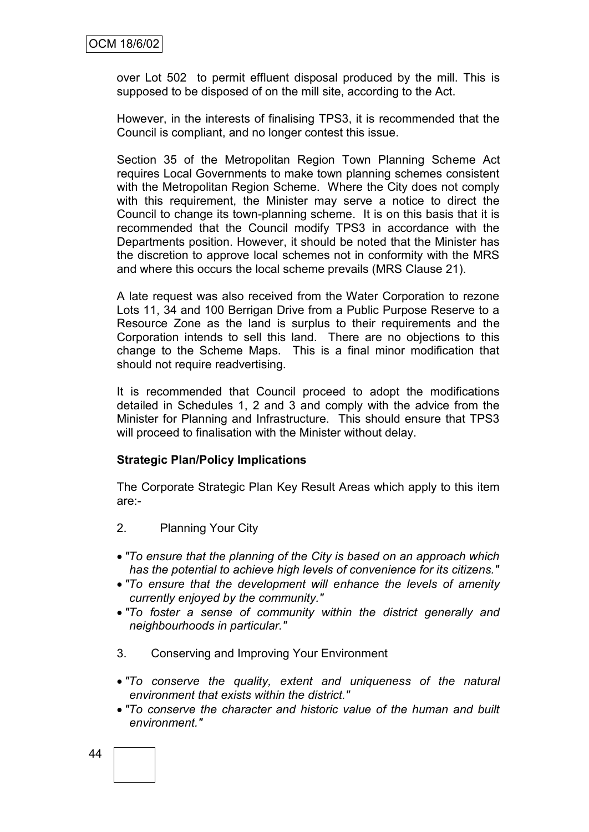over Lot 502 to permit effluent disposal produced by the mill. This is supposed to be disposed of on the mill site, according to the Act.

However, in the interests of finalising TPS3, it is recommended that the Council is compliant, and no longer contest this issue.

Section 35 of the Metropolitan Region Town Planning Scheme Act requires Local Governments to make town planning schemes consistent with the Metropolitan Region Scheme. Where the City does not comply with this requirement, the Minister may serve a notice to direct the Council to change its town-planning scheme. It is on this basis that it is recommended that the Council modify TPS3 in accordance with the Departments position. However, it should be noted that the Minister has the discretion to approve local schemes not in conformity with the MRS and where this occurs the local scheme prevails (MRS Clause 21).

A late request was also received from the Water Corporation to rezone Lots 11, 34 and 100 Berrigan Drive from a Public Purpose Reserve to a Resource Zone as the land is surplus to their requirements and the Corporation intends to sell this land. There are no objections to this change to the Scheme Maps. This is a final minor modification that should not require readvertising.

It is recommended that Council proceed to adopt the modifications detailed in Schedules 1, 2 and 3 and comply with the advice from the Minister for Planning and Infrastructure. This should ensure that TPS3 will proceed to finalisation with the Minister without delay.

#### **Strategic Plan/Policy Implications**

The Corporate Strategic Plan Key Result Areas which apply to this item are:-

- 2. Planning Your City
- *"To ensure that the planning of the City is based on an approach which has the potential to achieve high levels of convenience for its citizens."*
- *"To ensure that the development will enhance the levels of amenity currently enjoyed by the community."*
- *"To foster a sense of community within the district generally and neighbourhoods in particular."*
- 3. Conserving and Improving Your Environment
- *"To conserve the quality, extent and uniqueness of the natural environment that exists within the district."*
- *"To conserve the character and historic value of the human and built environment."*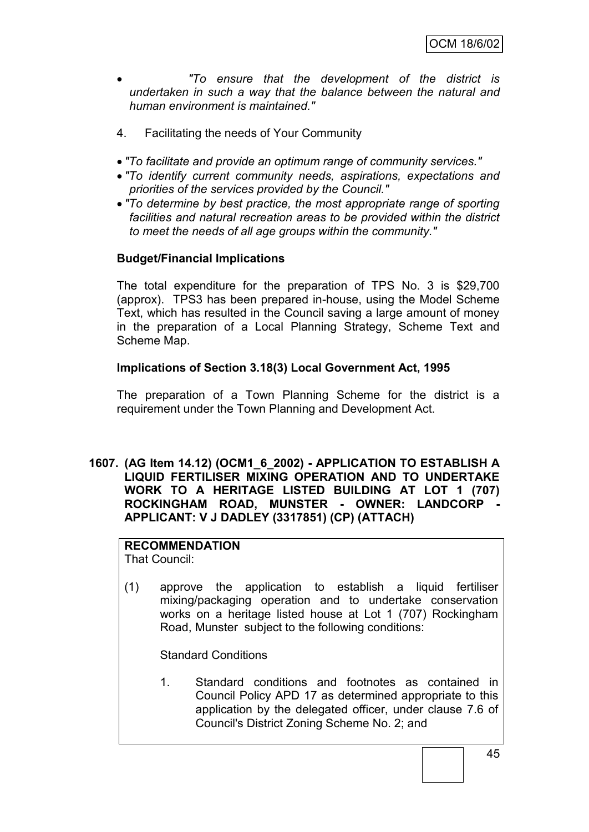*"To ensure that the development of the district is undertaken in such a way that the balance between the natural and human environment is maintained."*

- 4. Facilitating the needs of Your Community
- *"To facilitate and provide an optimum range of community services."*
- *"To identify current community needs, aspirations, expectations and priorities of the services provided by the Council."*
- *"To determine by best practice, the most appropriate range of sporting facilities and natural recreation areas to be provided within the district to meet the needs of all age groups within the community."*

#### **Budget/Financial Implications**

The total expenditure for the preparation of TPS No. 3 is \$29,700 (approx). TPS3 has been prepared in-house, using the Model Scheme Text, which has resulted in the Council saving a large amount of money in the preparation of a Local Planning Strategy, Scheme Text and Scheme Map.

#### **Implications of Section 3.18(3) Local Government Act, 1995**

The preparation of a Town Planning Scheme for the district is a requirement under the Town Planning and Development Act.

**1607. (AG Item 14.12) (OCM1\_6\_2002) - APPLICATION TO ESTABLISH A LIQUID FERTILISER MIXING OPERATION AND TO UNDERTAKE WORK TO A HERITAGE LISTED BUILDING AT LOT 1 (707) ROCKINGHAM ROAD, MUNSTER - OWNER: LANDCORP - APPLICANT: V J DADLEY (3317851) (CP) (ATTACH)**

#### **RECOMMENDATION**

That Council:

(1) approve the application to establish a liquid fertiliser mixing/packaging operation and to undertake conservation works on a heritage listed house at Lot 1 (707) Rockingham Road, Munster subject to the following conditions:

Standard Conditions

1. Standard conditions and footnotes as contained in Council Policy APD 17 as determined appropriate to this application by the delegated officer, under clause 7.6 of Council's District Zoning Scheme No. 2; and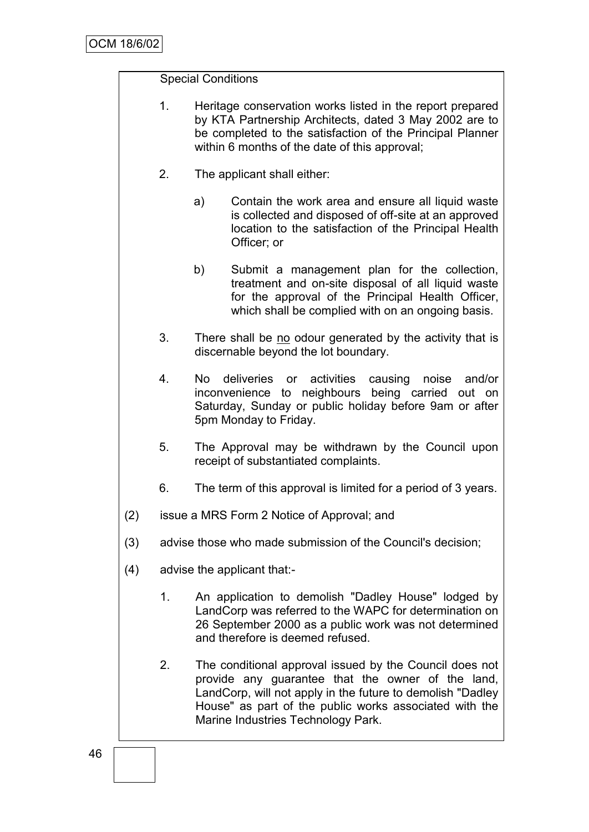### Special Conditions

- 1. Heritage conservation works listed in the report prepared by KTA Partnership Architects, dated 3 May 2002 are to be completed to the satisfaction of the Principal Planner within 6 months of the date of this approval:
- 2. The applicant shall either:
	- a) Contain the work area and ensure all liquid waste is collected and disposed of off-site at an approved location to the satisfaction of the Principal Health Officer; or
	- b) Submit a management plan for the collection, treatment and on-site disposal of all liquid waste for the approval of the Principal Health Officer, which shall be complied with on an ongoing basis.
- 3. There shall be no odour generated by the activity that is discernable beyond the lot boundary.
- 4. No deliveries or activities causing noise and/or inconvenience to neighbours being carried out on Saturday, Sunday or public holiday before 9am or after 5pm Monday to Friday.
- 5. The Approval may be withdrawn by the Council upon receipt of substantiated complaints.
- 6. The term of this approval is limited for a period of 3 years.
- (2) issue a MRS Form 2 Notice of Approval; and
- (3) advise those who made submission of the Council's decision;
- (4) advise the applicant that:-
	- 1. An application to demolish "Dadley House" lodged by LandCorp was referred to the WAPC for determination on 26 September 2000 as a public work was not determined and therefore is deemed refused.
	- 2. The conditional approval issued by the Council does not provide any guarantee that the owner of the land, LandCorp, will not apply in the future to demolish "Dadley House" as part of the public works associated with the Marine Industries Technology Park.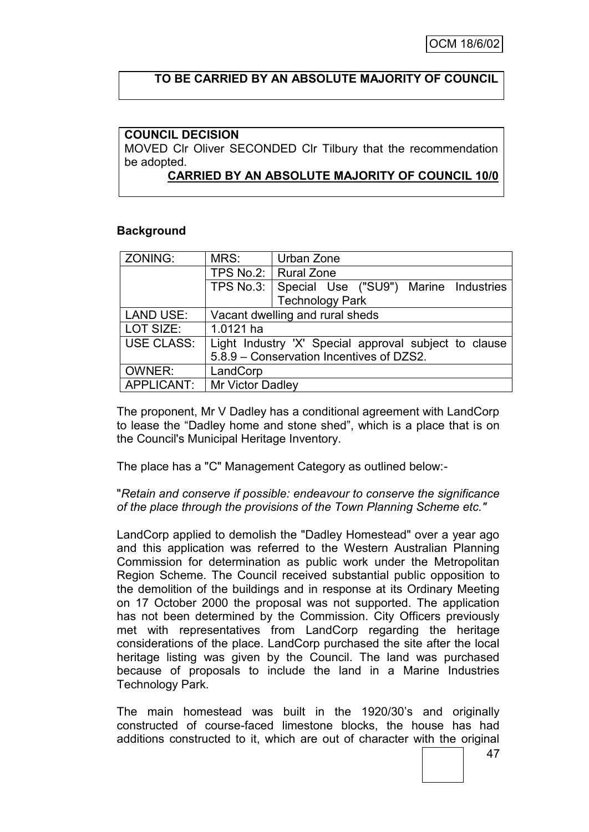# **TO BE CARRIED BY AN ABSOLUTE MAJORITY OF COUNCIL**

#### **COUNCIL DECISION**

MOVED Clr Oliver SECONDED Clr Tilbury that the recommendation be adopted.

#### **CARRIED BY AN ABSOLUTE MAJORITY OF COUNCIL 10/0**

#### **Background**

| ZONING:           | MRS:                            | Urban Zone                                            |
|-------------------|---------------------------------|-------------------------------------------------------|
|                   |                                 | TPS No.2:   Rural Zone                                |
|                   |                                 | TPS No.3: Special Use ("SU9") Marine Industries       |
|                   |                                 | <b>Technology Park</b>                                |
| <b>LAND USE:</b>  | Vacant dwelling and rural sheds |                                                       |
| LOT SIZE:         | 1.0121 ha                       |                                                       |
| <b>USE CLASS:</b> |                                 | Light Industry 'X' Special approval subject to clause |
|                   |                                 | 5.8.9 - Conservation Incentives of DZS2.              |
| <b>OWNER:</b>     | LandCorp                        |                                                       |
| APPLICANT:        | Mr Victor Dadley                |                                                       |

The proponent, Mr V Dadley has a conditional agreement with LandCorp to lease the "Dadley home and stone shed", which is a place that is on the Council's Municipal Heritage Inventory.

The place has a "C" Management Category as outlined below:-

#### "*Retain and conserve if possible: endeavour to conserve the significance of the place through the provisions of the Town Planning Scheme etc."*

LandCorp applied to demolish the "Dadley Homestead" over a year ago and this application was referred to the Western Australian Planning Commission for determination as public work under the Metropolitan Region Scheme. The Council received substantial public opposition to the demolition of the buildings and in response at its Ordinary Meeting on 17 October 2000 the proposal was not supported. The application has not been determined by the Commission. City Officers previously met with representatives from LandCorp regarding the heritage considerations of the place. LandCorp purchased the site after the local heritage listing was given by the Council. The land was purchased because of proposals to include the land in a Marine Industries Technology Park.

The main homestead was built in the 1920/30"s and originally constructed of course-faced limestone blocks, the house has had additions constructed to it, which are out of character with the original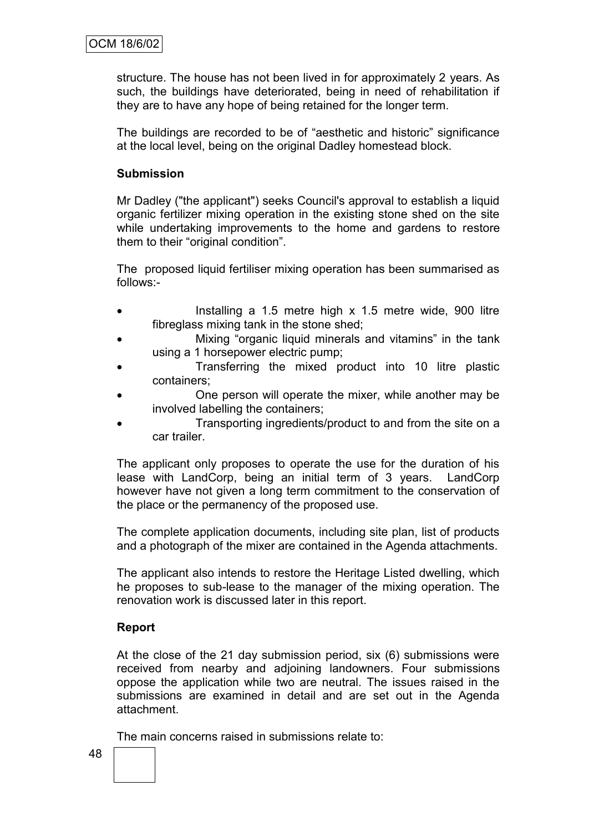structure. The house has not been lived in for approximately 2 years. As such, the buildings have deteriorated, being in need of rehabilitation if they are to have any hope of being retained for the longer term.

The buildings are recorded to be of "aesthetic and historic" significance at the local level, being on the original Dadley homestead block.

#### **Submission**

Mr Dadley ("the applicant") seeks Council's approval to establish a liquid organic fertilizer mixing operation in the existing stone shed on the site while undertaking improvements to the home and gardens to restore them to their "original condition".

The proposed liquid fertiliser mixing operation has been summarised as follows:-

- Installing a 1.5 metre high x 1.5 metre wide, 900 litre fibreglass mixing tank in the stone shed;
- Mixing "organic liquid minerals and vitamins" in the tank using a 1 horsepower electric pump;
- Transferring the mixed product into 10 litre plastic containers;
- One person will operate the mixer, while another may be involved labelling the containers;
- Transporting ingredients/product to and from the site on a car trailer.

The applicant only proposes to operate the use for the duration of his lease with LandCorp, being an initial term of 3 years. LandCorp however have not given a long term commitment to the conservation of the place or the permanency of the proposed use.

The complete application documents, including site plan, list of products and a photograph of the mixer are contained in the Agenda attachments.

The applicant also intends to restore the Heritage Listed dwelling, which he proposes to sub-lease to the manager of the mixing operation. The renovation work is discussed later in this report.

#### **Report**

At the close of the 21 day submission period, six (6) submissions were received from nearby and adjoining landowners. Four submissions oppose the application while two are neutral. The issues raised in the submissions are examined in detail and are set out in the Agenda attachment.

The main concerns raised in submissions relate to: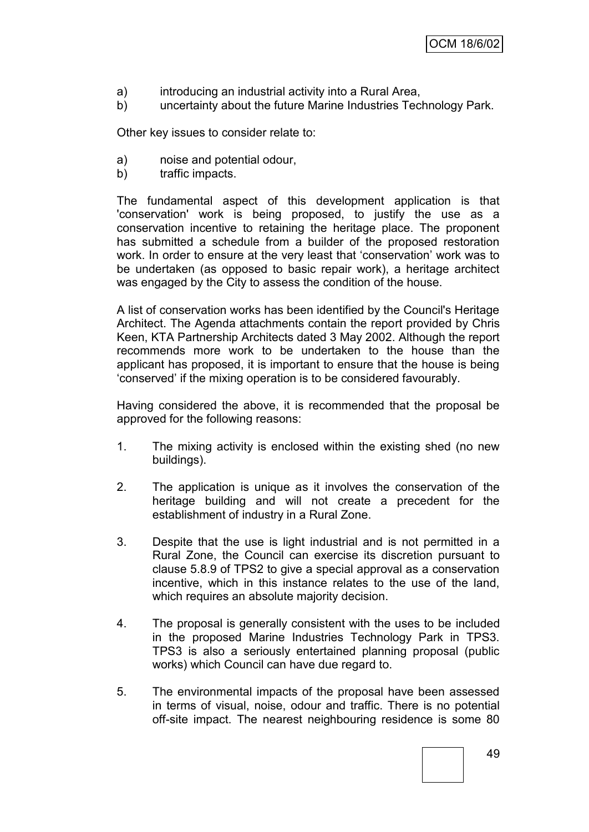- a) introducing an industrial activity into a Rural Area,
- b) uncertainty about the future Marine Industries Technology Park.

Other key issues to consider relate to:

- a) noise and potential odour,
- b) traffic impacts.

The fundamental aspect of this development application is that 'conservation' work is being proposed, to justify the use as a conservation incentive to retaining the heritage place. The proponent has submitted a schedule from a builder of the proposed restoration work. In order to ensure at the very least that "conservation" work was to be undertaken (as opposed to basic repair work), a heritage architect was engaged by the City to assess the condition of the house.

A list of conservation works has been identified by the Council's Heritage Architect. The Agenda attachments contain the report provided by Chris Keen, KTA Partnership Architects dated 3 May 2002. Although the report recommends more work to be undertaken to the house than the applicant has proposed, it is important to ensure that the house is being "conserved" if the mixing operation is to be considered favourably.

Having considered the above, it is recommended that the proposal be approved for the following reasons:

- 1. The mixing activity is enclosed within the existing shed (no new buildings).
- 2. The application is unique as it involves the conservation of the heritage building and will not create a precedent for the establishment of industry in a Rural Zone.
- 3. Despite that the use is light industrial and is not permitted in a Rural Zone, the Council can exercise its discretion pursuant to clause 5.8.9 of TPS2 to give a special approval as a conservation incentive, which in this instance relates to the use of the land, which requires an absolute majority decision.
- 4. The proposal is generally consistent with the uses to be included in the proposed Marine Industries Technology Park in TPS3. TPS3 is also a seriously entertained planning proposal (public works) which Council can have due regard to.
- 5. The environmental impacts of the proposal have been assessed in terms of visual, noise, odour and traffic. There is no potential off-site impact. The nearest neighbouring residence is some 80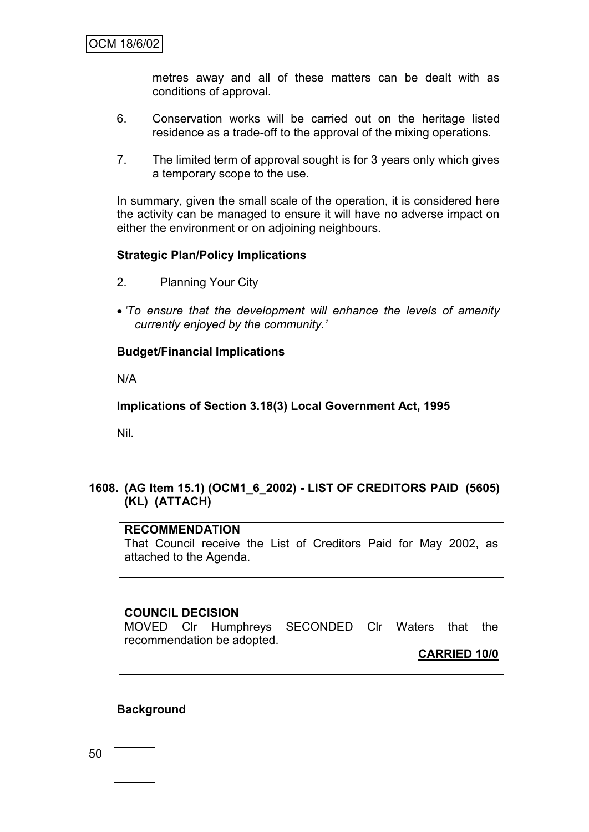metres away and all of these matters can be dealt with as conditions of approval.

- 6. Conservation works will be carried out on the heritage listed residence as a trade-off to the approval of the mixing operations.
- 7. The limited term of approval sought is for 3 years only which gives a temporary scope to the use.

In summary, given the small scale of the operation, it is considered here the activity can be managed to ensure it will have no adverse impact on either the environment or on adjoining neighbours.

### **Strategic Plan/Policy Implications**

- 2. Planning Your City
- *"To ensure that the development will enhance the levels of amenity currently enjoyed by the community."*

#### **Budget/Financial Implications**

N/A

#### **Implications of Section 3.18(3) Local Government Act, 1995**

Nil.

# **1608. (AG Item 15.1) (OCM1\_6\_2002) - LIST OF CREDITORS PAID (5605) (KL) (ATTACH)**

#### **RECOMMENDATION**

That Council receive the List of Creditors Paid for May 2002, as attached to the Agenda.

**COUNCIL DECISION** MOVED Clr Humphreys SECONDED Clr Waters that the recommendation be adopted.

**CARRIED 10/0**

# **Background**

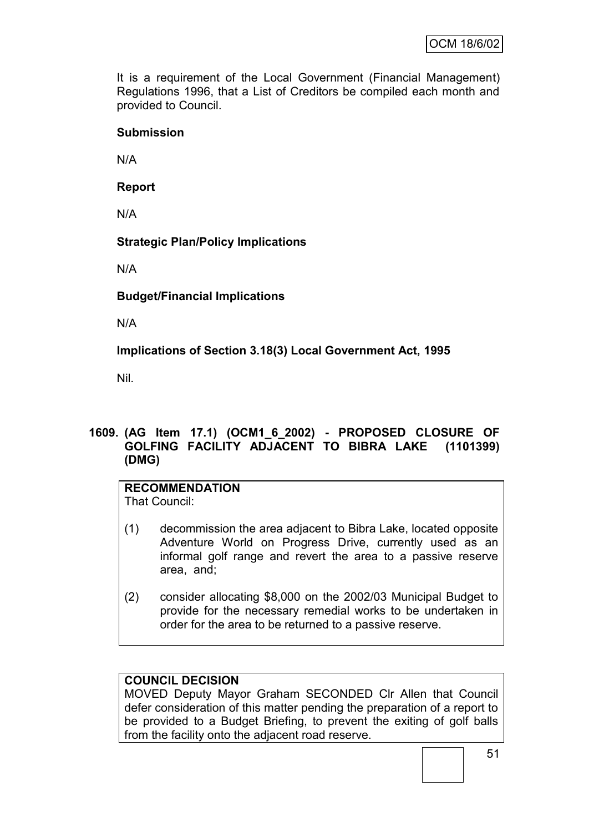It is a requirement of the Local Government (Financial Management) Regulations 1996, that a List of Creditors be compiled each month and provided to Council.

### **Submission**

N/A

**Report**

N/A

# **Strategic Plan/Policy Implications**

N/A

**Budget/Financial Implications**

N/A

**Implications of Section 3.18(3) Local Government Act, 1995**

Nil.

# **1609. (AG Item 17.1) (OCM1\_6\_2002) - PROPOSED CLOSURE OF GOLFING FACILITY ADJACENT TO BIBRA LAKE (1101399) (DMG)**

# **RECOMMENDATION**

That Council:

- (1) decommission the area adjacent to Bibra Lake, located opposite Adventure World on Progress Drive, currently used as an informal golf range and revert the area to a passive reserve area, and;
- (2) consider allocating \$8,000 on the 2002/03 Municipal Budget to provide for the necessary remedial works to be undertaken in order for the area to be returned to a passive reserve.

# **COUNCIL DECISION**

MOVED Deputy Mayor Graham SECONDED Clr Allen that Council defer consideration of this matter pending the preparation of a report to be provided to a Budget Briefing, to prevent the exiting of golf balls from the facility onto the adjacent road reserve.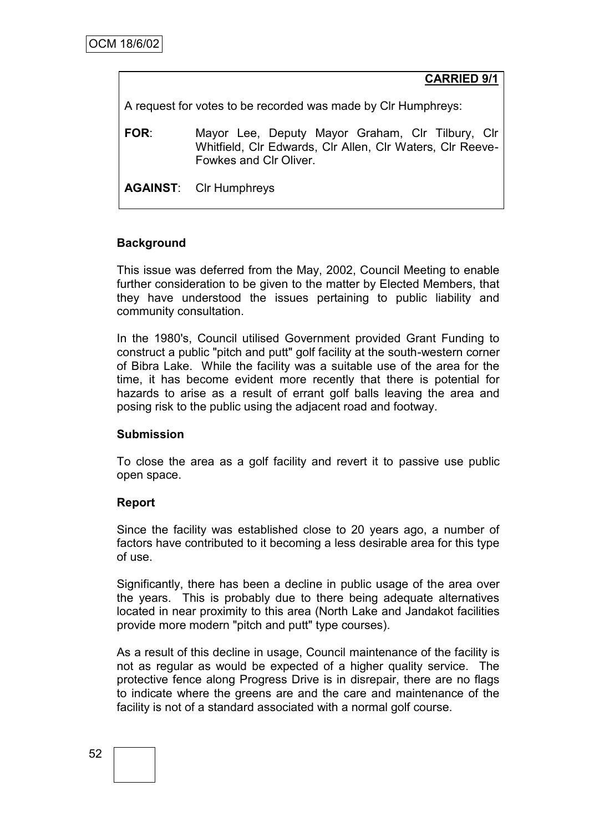**CARRIED 9/1**

A request for votes to be recorded was made by Clr Humphreys:

**FOR**: Mayor Lee, Deputy Mayor Graham, Clr Tilbury, Clr Whitfield, Clr Edwards, Clr Allen, Clr Waters, Clr Reeve-Fowkes and Clr Oliver.

**AGAINST**: Clr Humphreys

### **Background**

This issue was deferred from the May, 2002, Council Meeting to enable further consideration to be given to the matter by Elected Members, that they have understood the issues pertaining to public liability and community consultation.

In the 1980's, Council utilised Government provided Grant Funding to construct a public "pitch and putt" golf facility at the south-western corner of Bibra Lake. While the facility was a suitable use of the area for the time, it has become evident more recently that there is potential for hazards to arise as a result of errant golf balls leaving the area and posing risk to the public using the adjacent road and footway.

#### **Submission**

To close the area as a golf facility and revert it to passive use public open space.

# **Report**

Since the facility was established close to 20 years ago, a number of factors have contributed to it becoming a less desirable area for this type of use.

Significantly, there has been a decline in public usage of the area over the years. This is probably due to there being adequate alternatives located in near proximity to this area (North Lake and Jandakot facilities provide more modern "pitch and putt" type courses).

As a result of this decline in usage, Council maintenance of the facility is not as regular as would be expected of a higher quality service. The protective fence along Progress Drive is in disrepair, there are no flags to indicate where the greens are and the care and maintenance of the facility is not of a standard associated with a normal golf course.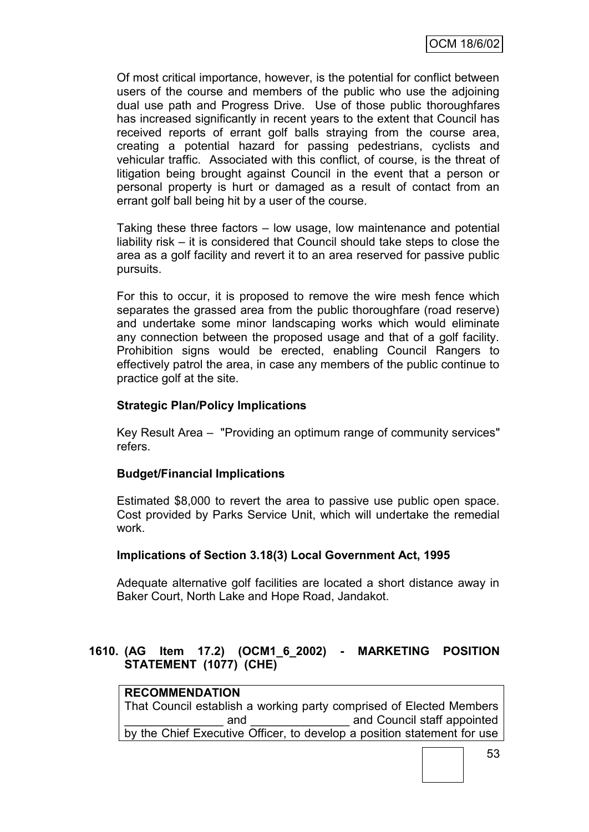Of most critical importance, however, is the potential for conflict between users of the course and members of the public who use the adjoining dual use path and Progress Drive. Use of those public thoroughfares has increased significantly in recent years to the extent that Council has received reports of errant golf balls straying from the course area, creating a potential hazard for passing pedestrians, cyclists and vehicular traffic. Associated with this conflict, of course, is the threat of litigation being brought against Council in the event that a person or personal property is hurt or damaged as a result of contact from an errant golf ball being hit by a user of the course.

Taking these three factors – low usage, low maintenance and potential liability risk – it is considered that Council should take steps to close the area as a golf facility and revert it to an area reserved for passive public pursuits.

For this to occur, it is proposed to remove the wire mesh fence which separates the grassed area from the public thoroughfare (road reserve) and undertake some minor landscaping works which would eliminate any connection between the proposed usage and that of a golf facility. Prohibition signs would be erected, enabling Council Rangers to effectively patrol the area, in case any members of the public continue to practice golf at the site.

### **Strategic Plan/Policy Implications**

Key Result Area – "Providing an optimum range of community services" refers.

#### **Budget/Financial Implications**

Estimated \$8,000 to revert the area to passive use public open space. Cost provided by Parks Service Unit, which will undertake the remedial work.

#### **Implications of Section 3.18(3) Local Government Act, 1995**

Adequate alternative golf facilities are located a short distance away in Baker Court, North Lake and Hope Road, Jandakot.

# **1610. (AG Item 17.2) (OCM1\_6\_2002) - MARKETING POSITION STATEMENT (1077) (CHE)**

# **RECOMMENDATION**

That Council establish a working party comprised of Elected Members and and Council staff appointed by the Chief Executive Officer, to develop a position statement for use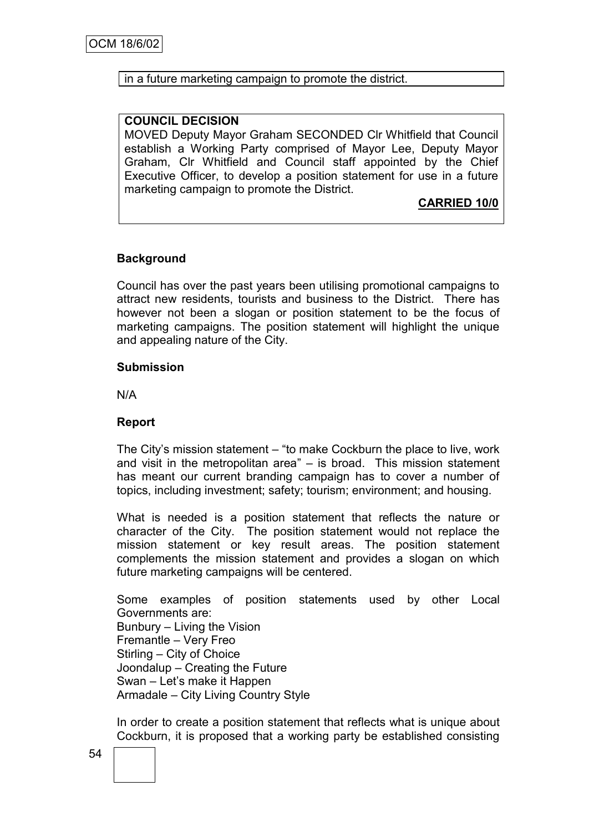#### in a future marketing campaign to promote the district.

#### **COUNCIL DECISION**

MOVED Deputy Mayor Graham SECONDED Clr Whitfield that Council establish a Working Party comprised of Mayor Lee, Deputy Mayor Graham, Clr Whitfield and Council staff appointed by the Chief Executive Officer, to develop a position statement for use in a future marketing campaign to promote the District.

### **CARRIED 10/0**

#### **Background**

Council has over the past years been utilising promotional campaigns to attract new residents, tourists and business to the District. There has however not been a slogan or position statement to be the focus of marketing campaigns. The position statement will highlight the unique and appealing nature of the City.

#### **Submission**

N/A

#### **Report**

The City"s mission statement – "to make Cockburn the place to live, work and visit in the metropolitan area" – is broad. This mission statement has meant our current branding campaign has to cover a number of topics, including investment; safety; tourism; environment; and housing.

What is needed is a position statement that reflects the nature or character of the City. The position statement would not replace the mission statement or key result areas. The position statement complements the mission statement and provides a slogan on which future marketing campaigns will be centered.

Some examples of position statements used by other Local Governments are: Bunbury – Living the Vision Fremantle – Very Freo Stirling – City of Choice Joondalup – Creating the Future Swan – Let"s make it Happen Armadale – City Living Country Style

In order to create a position statement that reflects what is unique about Cockburn, it is proposed that a working party be established consisting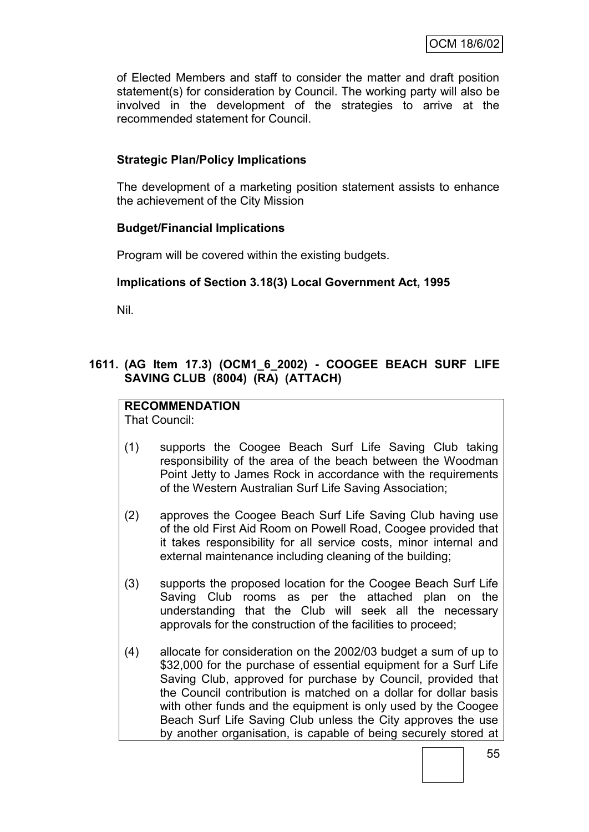of Elected Members and staff to consider the matter and draft position statement(s) for consideration by Council. The working party will also be involved in the development of the strategies to arrive at the recommended statement for Council.

# **Strategic Plan/Policy Implications**

The development of a marketing position statement assists to enhance the achievement of the City Mission

#### **Budget/Financial Implications**

Program will be covered within the existing budgets.

### **Implications of Section 3.18(3) Local Government Act, 1995**

Nil.

### **1611. (AG Item 17.3) (OCM1\_6\_2002) - COOGEE BEACH SURF LIFE SAVING CLUB (8004) (RA) (ATTACH)**

# **RECOMMENDATION**

That Council:

- (1) supports the Coogee Beach Surf Life Saving Club taking responsibility of the area of the beach between the Woodman Point Jetty to James Rock in accordance with the requirements of the Western Australian Surf Life Saving Association;
- (2) approves the Coogee Beach Surf Life Saving Club having use of the old First Aid Room on Powell Road, Coogee provided that it takes responsibility for all service costs, minor internal and external maintenance including cleaning of the building;
- (3) supports the proposed location for the Coogee Beach Surf Life Saving Club rooms as per the attached plan on the understanding that the Club will seek all the necessary approvals for the construction of the facilities to proceed;
- (4) allocate for consideration on the 2002/03 budget a sum of up to \$32,000 for the purchase of essential equipment for a Surf Life Saving Club, approved for purchase by Council, provided that the Council contribution is matched on a dollar for dollar basis with other funds and the equipment is only used by the Coogee Beach Surf Life Saving Club unless the City approves the use by another organisation, is capable of being securely stored at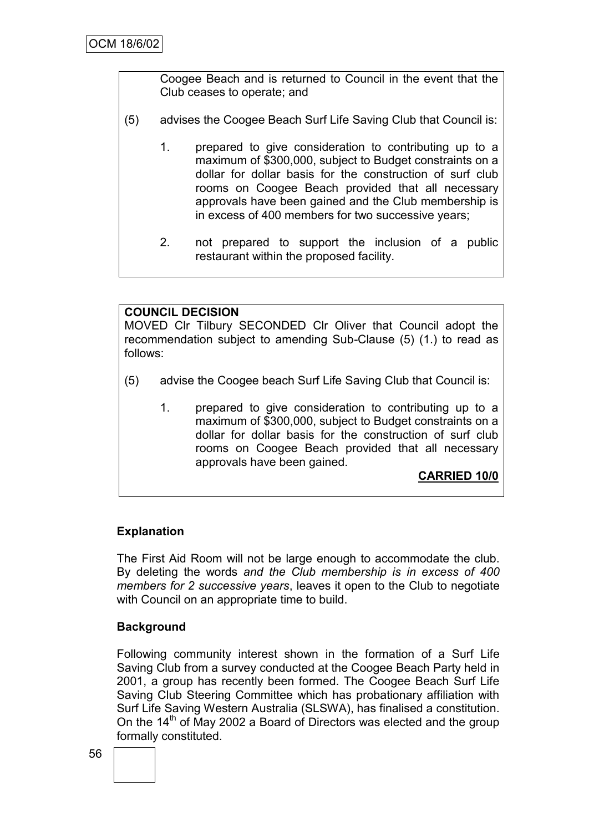Coogee Beach and is returned to Council in the event that the Club ceases to operate; and

- (5) advises the Coogee Beach Surf Life Saving Club that Council is:
	- 1. prepared to give consideration to contributing up to a maximum of \$300,000, subject to Budget constraints on a dollar for dollar basis for the construction of surf club rooms on Coogee Beach provided that all necessary approvals have been gained and the Club membership is in excess of 400 members for two successive years;
	- 2. not prepared to support the inclusion of a public restaurant within the proposed facility.

# **COUNCIL DECISION**

MOVED Clr Tilbury SECONDED Clr Oliver that Council adopt the recommendation subject to amending Sub-Clause (5) (1.) to read as follows:

- (5) advise the Coogee beach Surf Life Saving Club that Council is:
	- 1. prepared to give consideration to contributing up to a maximum of \$300,000, subject to Budget constraints on a dollar for dollar basis for the construction of surf club rooms on Coogee Beach provided that all necessary approvals have been gained.

**CARRIED 10/0**

# **Explanation**

The First Aid Room will not be large enough to accommodate the club. By deleting the words *and the Club membership is in excess of 400 members for 2 successive years*, leaves it open to the Club to negotiate with Council on an appropriate time to build.

#### **Background**

Following community interest shown in the formation of a Surf Life Saving Club from a survey conducted at the Coogee Beach Party held in 2001, a group has recently been formed. The Coogee Beach Surf Life Saving Club Steering Committee which has probationary affiliation with Surf Life Saving Western Australia (SLSWA), has finalised a constitution. On the 14<sup>th</sup> of May 2002 a Board of Directors was elected and the group formally constituted.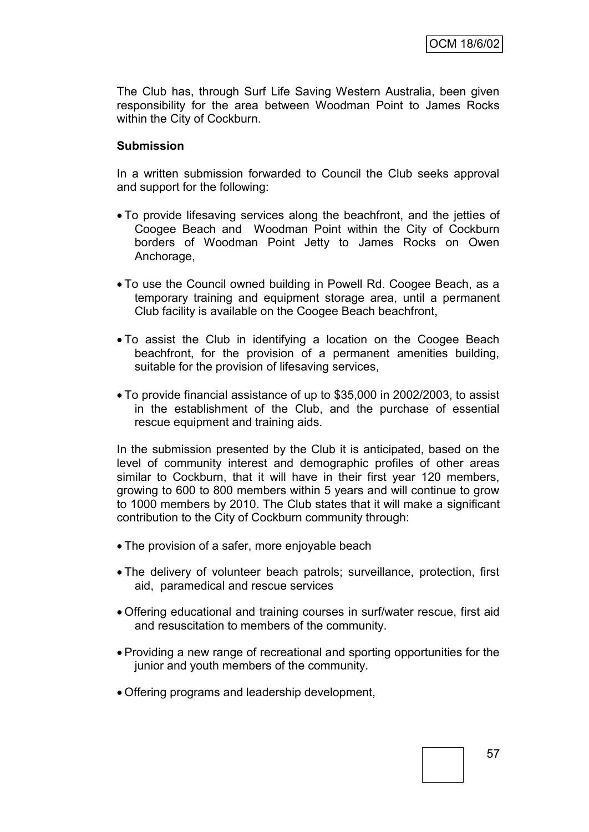The Club has, through Surf Life Saving Western Australia, been given responsibility for the area between Woodman Point to James Rocks within the City of Cockburn.

#### **Submission**

In a written submission forwarded to Council the Club seeks approval and support for the following:

- To provide lifesaving services along the beachfront, and the jetties of Coogee Beach and Woodman Point within the City of Cockburn borders of Woodman Point Jetty to James Rocks on Owen Anchorage,
- To use the Council owned building in Powell Rd. Coogee Beach, as a temporary training and equipment storage area, until a permanent Club facility is available on the Coogee Beach beachfront,
- To assist the Club in identifying a location on the Coogee Beach beachfront, for the provision of a permanent amenities building, suitable for the provision of lifesaving services,
- To provide financial assistance of up to \$35,000 in 2002/2003, to assist in the establishment of the Club, and the purchase of essential rescue equipment and training aids.

In the submission presented by the Club it is anticipated, based on the level of community interest and demographic profiles of other areas similar to Cockburn, that it will have in their first year 120 members, growing to 600 to 800 members within 5 years and will continue to grow to 1000 members by 2010. The Club states that it will make a significant contribution to the City of Cockburn community through:

- The provision of a safer, more enjoyable beach
- The delivery of volunteer beach patrols; surveillance, protection, first aid, paramedical and rescue services
- Offering educational and training courses in surf/water rescue, first aid and resuscitation to members of the community.
- Providing a new range of recreational and sporting opportunities for the junior and youth members of the community.
- Offering programs and leadership development,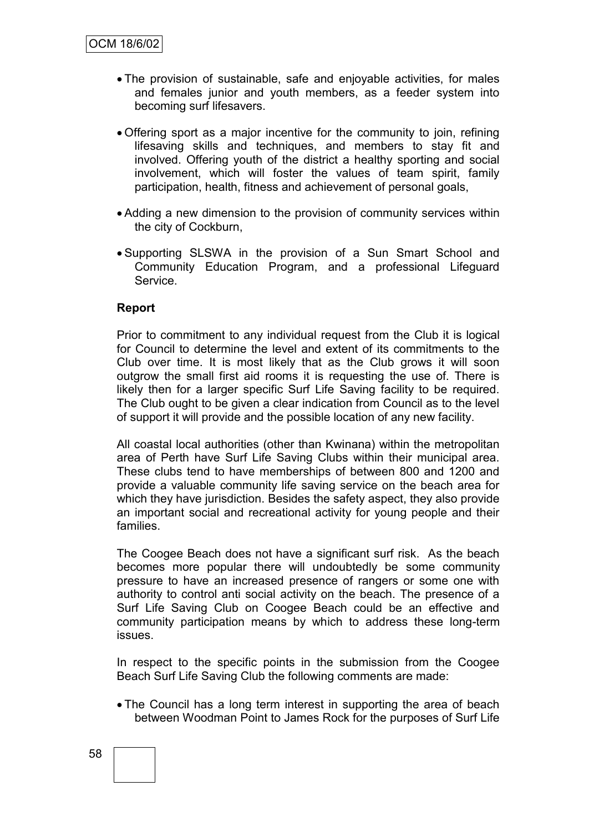- The provision of sustainable, safe and enjoyable activities, for males and females junior and youth members, as a feeder system into becoming surf lifesavers.
- Offering sport as a major incentive for the community to join, refining lifesaving skills and techniques, and members to stay fit and involved. Offering youth of the district a healthy sporting and social involvement, which will foster the values of team spirit, family participation, health, fitness and achievement of personal goals,
- Adding a new dimension to the provision of community services within the city of Cockburn,
- Supporting SLSWA in the provision of a Sun Smart School and Community Education Program, and a professional Lifeguard Service.

#### **Report**

Prior to commitment to any individual request from the Club it is logical for Council to determine the level and extent of its commitments to the Club over time. It is most likely that as the Club grows it will soon outgrow the small first aid rooms it is requesting the use of. There is likely then for a larger specific Surf Life Saving facility to be required. The Club ought to be given a clear indication from Council as to the level of support it will provide and the possible location of any new facility.

All coastal local authorities (other than Kwinana) within the metropolitan area of Perth have Surf Life Saving Clubs within their municipal area. These clubs tend to have memberships of between 800 and 1200 and provide a valuable community life saving service on the beach area for which they have jurisdiction. Besides the safety aspect, they also provide an important social and recreational activity for young people and their families.

The Coogee Beach does not have a significant surf risk. As the beach becomes more popular there will undoubtedly be some community pressure to have an increased presence of rangers or some one with authority to control anti social activity on the beach. The presence of a Surf Life Saving Club on Coogee Beach could be an effective and community participation means by which to address these long-term issues.

In respect to the specific points in the submission from the Coogee Beach Surf Life Saving Club the following comments are made:

• The Council has a long term interest in supporting the area of beach between Woodman Point to James Rock for the purposes of Surf Life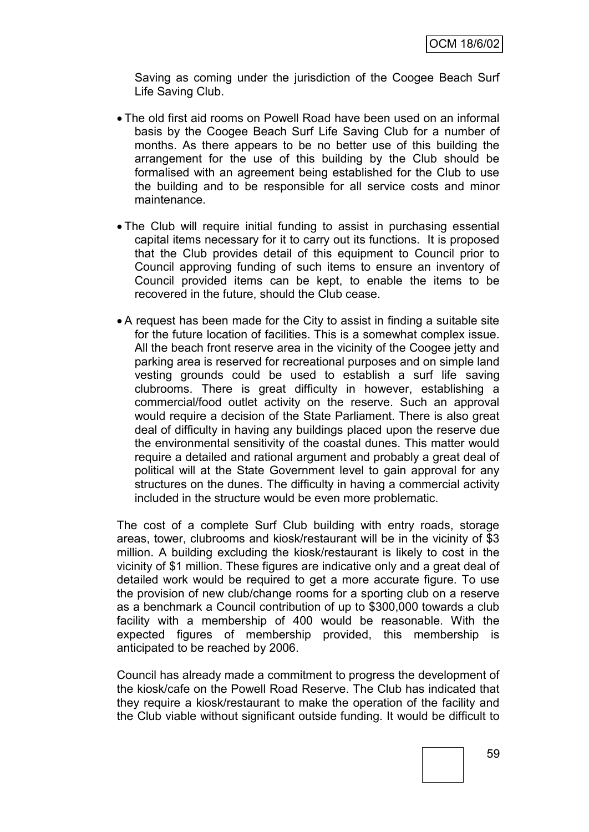Saving as coming under the jurisdiction of the Coogee Beach Surf Life Saving Club.

- The old first aid rooms on Powell Road have been used on an informal basis by the Coogee Beach Surf Life Saving Club for a number of months. As there appears to be no better use of this building the arrangement for the use of this building by the Club should be formalised with an agreement being established for the Club to use the building and to be responsible for all service costs and minor maintenance.
- The Club will require initial funding to assist in purchasing essential capital items necessary for it to carry out its functions. It is proposed that the Club provides detail of this equipment to Council prior to Council approving funding of such items to ensure an inventory of Council provided items can be kept, to enable the items to be recovered in the future, should the Club cease.
- A request has been made for the City to assist in finding a suitable site for the future location of facilities. This is a somewhat complex issue. All the beach front reserve area in the vicinity of the Coogee jetty and parking area is reserved for recreational purposes and on simple land vesting grounds could be used to establish a surf life saving clubrooms. There is great difficulty in however, establishing a commercial/food outlet activity on the reserve. Such an approval would require a decision of the State Parliament. There is also great deal of difficulty in having any buildings placed upon the reserve due the environmental sensitivity of the coastal dunes. This matter would require a detailed and rational argument and probably a great deal of political will at the State Government level to gain approval for any structures on the dunes. The difficulty in having a commercial activity included in the structure would be even more problematic.

The cost of a complete Surf Club building with entry roads, storage areas, tower, clubrooms and kiosk/restaurant will be in the vicinity of \$3 million. A building excluding the kiosk/restaurant is likely to cost in the vicinity of \$1 million. These figures are indicative only and a great deal of detailed work would be required to get a more accurate figure. To use the provision of new club/change rooms for a sporting club on a reserve as a benchmark a Council contribution of up to \$300,000 towards a club facility with a membership of 400 would be reasonable. With the expected figures of membership provided, this membership is anticipated to be reached by 2006.

Council has already made a commitment to progress the development of the kiosk/cafe on the Powell Road Reserve. The Club has indicated that they require a kiosk/restaurant to make the operation of the facility and the Club viable without significant outside funding. It would be difficult to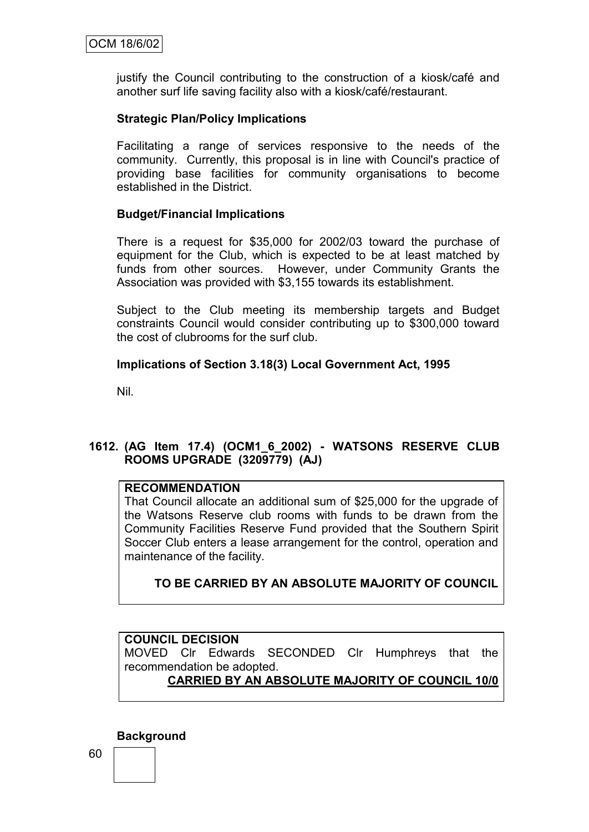justify the Council contributing to the construction of a kiosk/café and another surf life saving facility also with a kiosk/café/restaurant.

### **Strategic Plan/Policy Implications**

Facilitating a range of services responsive to the needs of the community. Currently, this proposal is in line with Council's practice of providing base facilities for community organisations to become established in the District.

#### **Budget/Financial Implications**

There is a request for \$35,000 for 2002/03 toward the purchase of equipment for the Club, which is expected to be at least matched by funds from other sources. However, under Community Grants the Association was provided with \$3,155 towards its establishment.

Subject to the Club meeting its membership targets and Budget constraints Council would consider contributing up to \$300,000 toward the cost of clubrooms for the surf club.

### **Implications of Section 3.18(3) Local Government Act, 1995**

Nil.

# **1612. (AG Item 17.4) (OCM1\_6\_2002) - WATSONS RESERVE CLUB ROOMS UPGRADE (3209779) (AJ)**

#### **RECOMMENDATION**

That Council allocate an additional sum of \$25,000 for the upgrade of the Watsons Reserve club rooms with funds to be drawn from the Community Facilities Reserve Fund provided that the Southern Spirit Soccer Club enters a lease arrangement for the control, operation and maintenance of the facility.

# **TO BE CARRIED BY AN ABSOLUTE MAJORITY OF COUNCIL**

# **COUNCIL DECISION**

MOVED Clr Edwards SECONDED Clr Humphreys that the recommendation be adopted.

# **CARRIED BY AN ABSOLUTE MAJORITY OF COUNCIL 10/0**

**Background**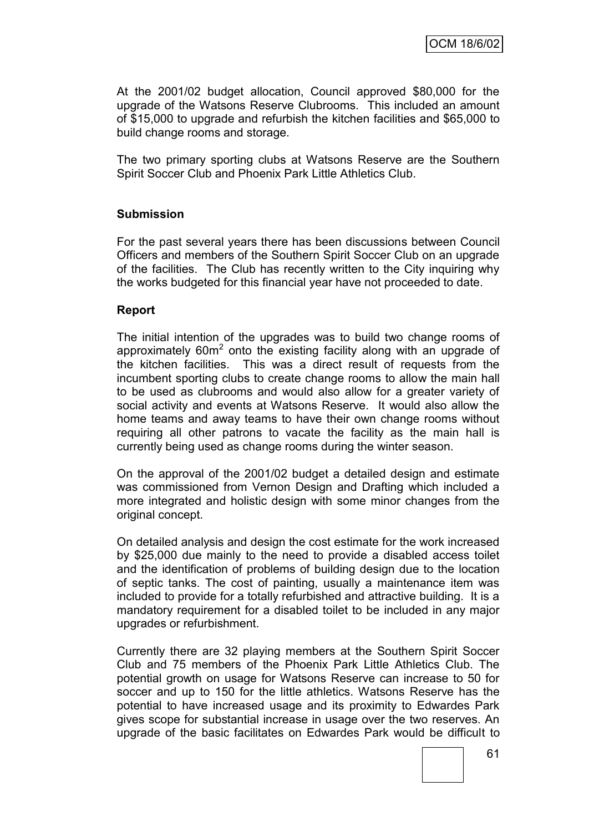At the 2001/02 budget allocation, Council approved \$80,000 for the upgrade of the Watsons Reserve Clubrooms. This included an amount of \$15,000 to upgrade and refurbish the kitchen facilities and \$65,000 to build change rooms and storage.

The two primary sporting clubs at Watsons Reserve are the Southern Spirit Soccer Club and Phoenix Park Little Athletics Club.

#### **Submission**

For the past several years there has been discussions between Council Officers and members of the Southern Spirit Soccer Club on an upgrade of the facilities. The Club has recently written to the City inquiring why the works budgeted for this financial year have not proceeded to date.

#### **Report**

The initial intention of the upgrades was to build two change rooms of approximately  $60m^2$  onto the existing facility along with an upgrade of the kitchen facilities. This was a direct result of requests from the incumbent sporting clubs to create change rooms to allow the main hall to be used as clubrooms and would also allow for a greater variety of social activity and events at Watsons Reserve. It would also allow the home teams and away teams to have their own change rooms without requiring all other patrons to vacate the facility as the main hall is currently being used as change rooms during the winter season.

On the approval of the 2001/02 budget a detailed design and estimate was commissioned from Vernon Design and Drafting which included a more integrated and holistic design with some minor changes from the original concept.

On detailed analysis and design the cost estimate for the work increased by \$25,000 due mainly to the need to provide a disabled access toilet and the identification of problems of building design due to the location of septic tanks. The cost of painting, usually a maintenance item was included to provide for a totally refurbished and attractive building. It is a mandatory requirement for a disabled toilet to be included in any major upgrades or refurbishment.

Currently there are 32 playing members at the Southern Spirit Soccer Club and 75 members of the Phoenix Park Little Athletics Club. The potential growth on usage for Watsons Reserve can increase to 50 for soccer and up to 150 for the little athletics. Watsons Reserve has the potential to have increased usage and its proximity to Edwardes Park gives scope for substantial increase in usage over the two reserves. An upgrade of the basic facilitates on Edwardes Park would be difficult to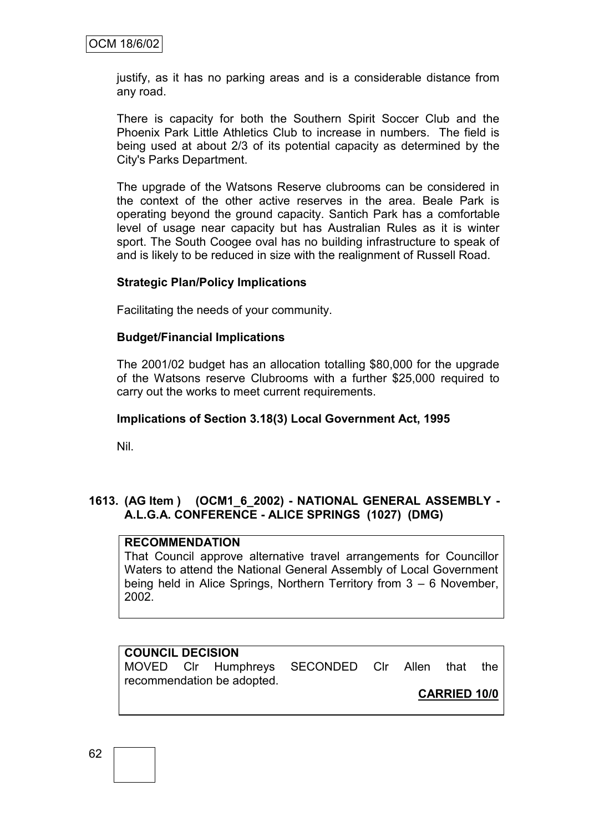justify, as it has no parking areas and is a considerable distance from any road.

There is capacity for both the Southern Spirit Soccer Club and the Phoenix Park Little Athletics Club to increase in numbers. The field is being used at about 2/3 of its potential capacity as determined by the City's Parks Department.

The upgrade of the Watsons Reserve clubrooms can be considered in the context of the other active reserves in the area. Beale Park is operating beyond the ground capacity. Santich Park has a comfortable level of usage near capacity but has Australian Rules as it is winter sport. The South Coogee oval has no building infrastructure to speak of and is likely to be reduced in size with the realignment of Russell Road.

#### **Strategic Plan/Policy Implications**

Facilitating the needs of your community.

#### **Budget/Financial Implications**

The 2001/02 budget has an allocation totalling \$80,000 for the upgrade of the Watsons reserve Clubrooms with a further \$25,000 required to carry out the works to meet current requirements.

#### **Implications of Section 3.18(3) Local Government Act, 1995**

Nil.

#### **1613. (AG Item ) (OCM1\_6\_2002) - NATIONAL GENERAL ASSEMBLY - A.L.G.A. CONFERENCE - ALICE SPRINGS (1027) (DMG)**

#### **RECOMMENDATION**

That Council approve alternative travel arrangements for Councillor Waters to attend the National General Assembly of Local Government being held in Alice Springs, Northern Territory from 3 – 6 November, 2002.

#### **COUNCIL DECISION**

MOVED Clr Humphreys SECONDED Clr Allen that the recommendation be adopted.

**CARRIED 10/0**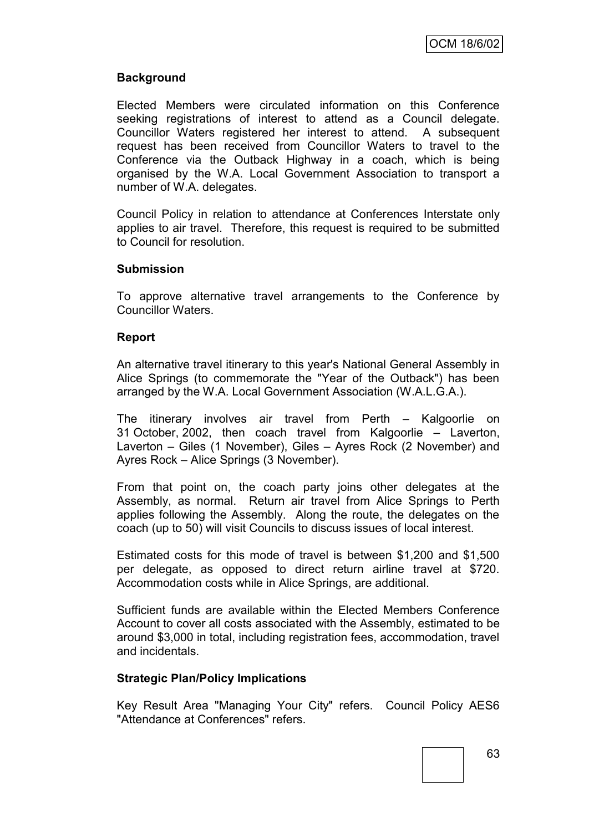### **Background**

Elected Members were circulated information on this Conference seeking registrations of interest to attend as a Council delegate. Councillor Waters registered her interest to attend. A subsequent request has been received from Councillor Waters to travel to the Conference via the Outback Highway in a coach, which is being organised by the W.A. Local Government Association to transport a number of W.A. delegates.

Council Policy in relation to attendance at Conferences Interstate only applies to air travel. Therefore, this request is required to be submitted to Council for resolution.

#### **Submission**

To approve alternative travel arrangements to the Conference by Councillor Waters.

#### **Report**

An alternative travel itinerary to this year's National General Assembly in Alice Springs (to commemorate the "Year of the Outback") has been arranged by the W.A. Local Government Association (W.A.L.G.A.).

The itinerary involves air travel from Perth – Kalgoorlie on 31 October, 2002, then coach travel from Kalgoorlie – Laverton, Laverton – Giles (1 November), Giles – Ayres Rock (2 November) and Ayres Rock – Alice Springs (3 November).

From that point on, the coach party joins other delegates at the Assembly, as normal. Return air travel from Alice Springs to Perth applies following the Assembly. Along the route, the delegates on the coach (up to 50) will visit Councils to discuss issues of local interest.

Estimated costs for this mode of travel is between \$1,200 and \$1,500 per delegate, as opposed to direct return airline travel at \$720. Accommodation costs while in Alice Springs, are additional.

Sufficient funds are available within the Elected Members Conference Account to cover all costs associated with the Assembly, estimated to be around \$3,000 in total, including registration fees, accommodation, travel and incidentals.

#### **Strategic Plan/Policy Implications**

Key Result Area "Managing Your City" refers. Council Policy AES6 "Attendance at Conferences" refers.

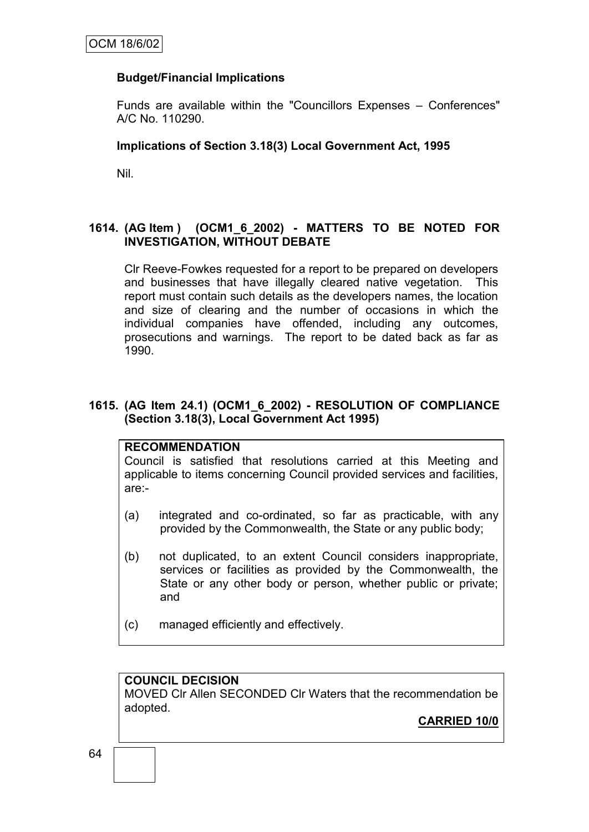### **Budget/Financial Implications**

Funds are available within the "Councillors Expenses – Conferences" A/C No. 110290.

#### **Implications of Section 3.18(3) Local Government Act, 1995**

Nil.

### **1614. (AG Item ) (OCM1\_6\_2002) - MATTERS TO BE NOTED FOR INVESTIGATION, WITHOUT DEBATE**

Clr Reeve-Fowkes requested for a report to be prepared on developers and businesses that have illegally cleared native vegetation. This report must contain such details as the developers names, the location and size of clearing and the number of occasions in which the individual companies have offended, including any outcomes, prosecutions and warnings. The report to be dated back as far as 1990.

#### **1615. (AG Item 24.1) (OCM1\_6\_2002) - RESOLUTION OF COMPLIANCE (Section 3.18(3), Local Government Act 1995)**

#### **RECOMMENDATION**

Council is satisfied that resolutions carried at this Meeting and applicable to items concerning Council provided services and facilities, are:-

- (a) integrated and co-ordinated, so far as practicable, with any provided by the Commonwealth, the State or any public body;
- (b) not duplicated, to an extent Council considers inappropriate, services or facilities as provided by the Commonwealth, the State or any other body or person, whether public or private; and
- (c) managed efficiently and effectively.

### **COUNCIL DECISION**

MOVED Clr Allen SECONDED Clr Waters that the recommendation be adopted.

**CARRIED 10/0**